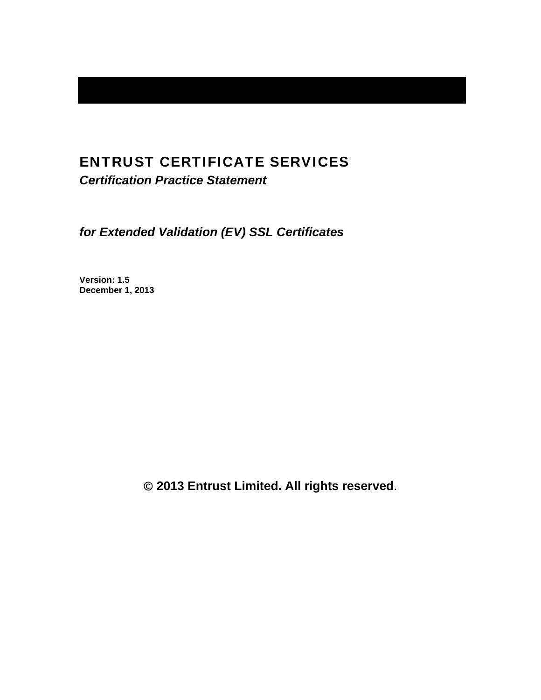# ENTRUST CERTIFICATE SERVICES

*Certification Practice Statement* 

*for Extended Validation (EV) SSL Certificates* 

**Version: 1.5 December 1, 2013** 

 **2013 Entrust Limited. All rights reserved**.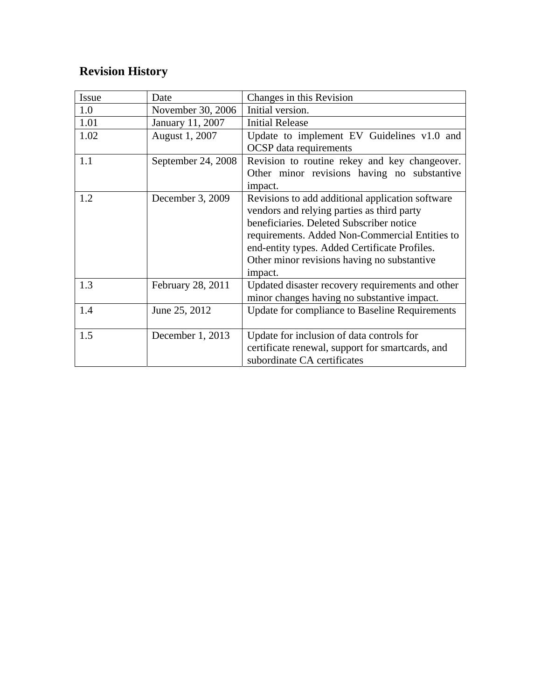# **Revision History**

| <b>Issue</b> | Date               | Changes in this Revision                                                                                                                                                                                                                                                                                |
|--------------|--------------------|---------------------------------------------------------------------------------------------------------------------------------------------------------------------------------------------------------------------------------------------------------------------------------------------------------|
| 1.0          | November 30, 2006  | Initial version.                                                                                                                                                                                                                                                                                        |
| 1.01         | January 11, 2007   | <b>Initial Release</b>                                                                                                                                                                                                                                                                                  |
| 1.02         | August 1, 2007     | Update to implement EV Guidelines v1.0 and<br><b>OCSP</b> data requirements                                                                                                                                                                                                                             |
| 1.1          | September 24, 2008 | Revision to routine rekey and key changeover.<br>Other minor revisions having no substantive<br>impact.                                                                                                                                                                                                 |
| 1.2          | December 3, 2009   | Revisions to add additional application software<br>vendors and relying parties as third party<br>beneficiaries. Deleted Subscriber notice<br>requirements. Added Non-Commercial Entities to<br>end-entity types. Added Certificate Profiles.<br>Other minor revisions having no substantive<br>impact. |
| 1.3          | February 28, 2011  | Updated disaster recovery requirements and other<br>minor changes having no substantive impact.                                                                                                                                                                                                         |
| 1.4          | June 25, 2012      | Update for compliance to Baseline Requirements                                                                                                                                                                                                                                                          |
| 1.5          | December 1, 2013   | Update for inclusion of data controls for<br>certificate renewal, support for smartcards, and<br>subordinate CA certificates                                                                                                                                                                            |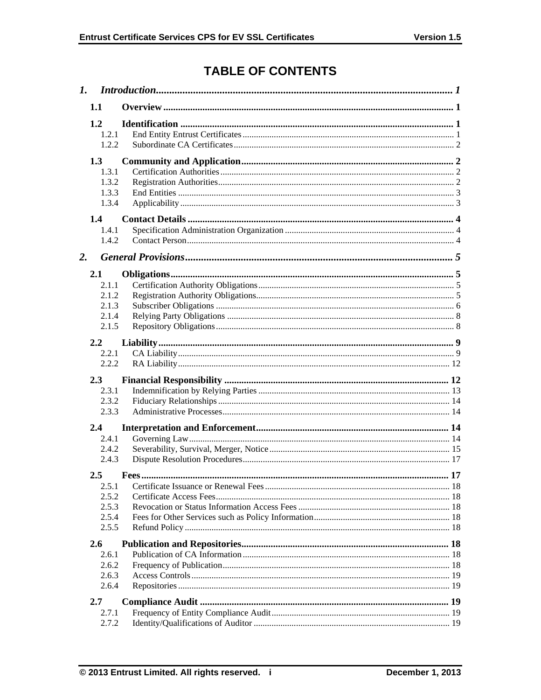# **TABLE OF CONTENTS**

|    | 1.1            |  |  |  |
|----|----------------|--|--|--|
|    | 1.2            |  |  |  |
|    | 1.2.1<br>1.2.2 |  |  |  |
|    | 1.3            |  |  |  |
|    | 1.3.1          |  |  |  |
|    | 1.3.2<br>1.3.3 |  |  |  |
|    | 1.3.4          |  |  |  |
|    | 1.4            |  |  |  |
|    | 1.4.1          |  |  |  |
|    | 1.4.2          |  |  |  |
| 2. |                |  |  |  |
|    | 2.1            |  |  |  |
|    | 2.1.1          |  |  |  |
|    | 2.1.2          |  |  |  |
|    | 2.1.3<br>2.1.4 |  |  |  |
|    | 2.1.5          |  |  |  |
|    |                |  |  |  |
|    | 2.2            |  |  |  |
|    | 2.2.1<br>2.2.2 |  |  |  |
|    |                |  |  |  |
|    | 2.3            |  |  |  |
|    | 2.3.1          |  |  |  |
|    | 2.3.2          |  |  |  |
|    | 2.3.3          |  |  |  |
|    | 2.4            |  |  |  |
|    | 2.4.1          |  |  |  |
|    | 2.4.2<br>2.4.3 |  |  |  |
|    |                |  |  |  |
|    | 2.5            |  |  |  |
|    | 2.5.1<br>2.5.2 |  |  |  |
|    | 2.5.3          |  |  |  |
|    | 2.5.4          |  |  |  |
|    | 2.5.5          |  |  |  |
|    | <b>2.6</b>     |  |  |  |
|    | 2.6.1          |  |  |  |
|    | 2.6.2          |  |  |  |
|    | 2.6.3          |  |  |  |
|    | 2.6.4          |  |  |  |
|    | 2.7            |  |  |  |
|    | 2.7.1          |  |  |  |
|    | 2.7.2          |  |  |  |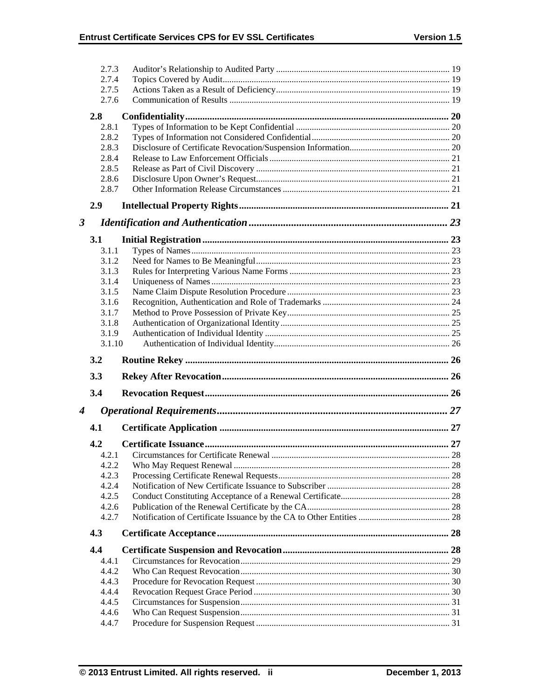|                      | 2.7.3          |  |
|----------------------|----------------|--|
|                      | 2.7.4          |  |
|                      | 2.7.5          |  |
|                      | 2.7.6          |  |
|                      |                |  |
|                      | 2.8            |  |
|                      | 2.8.1          |  |
|                      | 2.8.2          |  |
|                      | 2.8.3          |  |
|                      | 2.8.4          |  |
|                      | 2.8.5          |  |
|                      |                |  |
|                      | 2.8.6          |  |
|                      | 2.8.7          |  |
|                      | 2.9            |  |
| $\boldsymbol{\beta}$ |                |  |
|                      | <b>3.1</b>     |  |
|                      | 3.1.1          |  |
|                      | 3.1.2          |  |
|                      | 3.1.3          |  |
|                      | 3.1.4          |  |
|                      |                |  |
|                      | 3.1.5          |  |
|                      | 3.1.6          |  |
|                      | 3.1.7          |  |
|                      | 3.1.8          |  |
|                      | 3.1.9          |  |
|                      | 3.1.10         |  |
|                      |                |  |
|                      | 3.2            |  |
|                      | 3.3            |  |
|                      | 3.4            |  |
| 4                    |                |  |
|                      | 4.1            |  |
|                      |                |  |
|                      | 4.2            |  |
|                      | 4.2.1          |  |
|                      | 4.2.2          |  |
|                      | 4.2.3          |  |
|                      | 4.2.4          |  |
|                      | 4.2.5          |  |
|                      | 4.2.6          |  |
|                      | 4.2.7          |  |
|                      | 4.3            |  |
|                      | 4.4            |  |
|                      |                |  |
|                      | 4.4.1<br>4.4.2 |  |
|                      |                |  |
|                      | 4.4.3          |  |
|                      | 4.4.4          |  |
|                      | 4.4.5          |  |
|                      | 4.4.6<br>4.4.7 |  |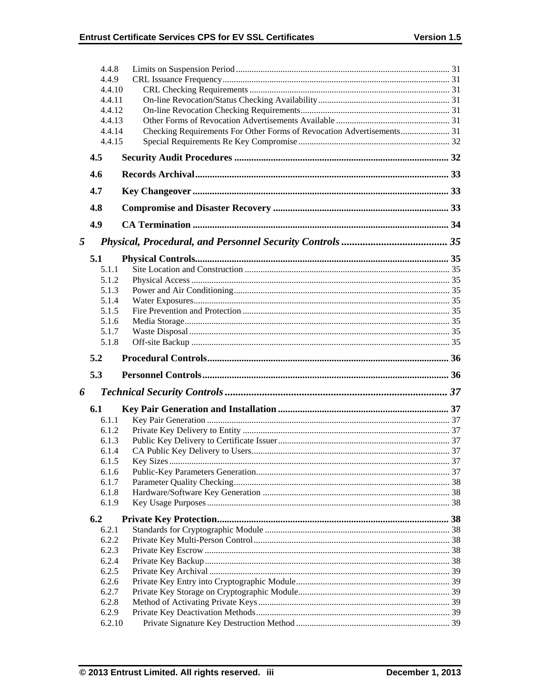|   | 4.4.8           |                                                                       |  |
|---|-----------------|-----------------------------------------------------------------------|--|
|   | 4.4.9<br>4.4.10 |                                                                       |  |
|   | 4.4.11          |                                                                       |  |
|   | 4.4.12          |                                                                       |  |
|   | 4.4.13          |                                                                       |  |
|   | 4.4.14          | Checking Requirements For Other Forms of Revocation Advertisements 31 |  |
|   | 4.4.15          |                                                                       |  |
|   | 4.5             |                                                                       |  |
|   | 4.6             |                                                                       |  |
|   | 4.7             |                                                                       |  |
|   | 4.8             |                                                                       |  |
|   | 4.9             |                                                                       |  |
| 5 |                 |                                                                       |  |
|   | 5.1             |                                                                       |  |
|   | 5.1.1           |                                                                       |  |
|   | 5.1.2           |                                                                       |  |
|   | 5.1.3           |                                                                       |  |
|   | 5.1.4           |                                                                       |  |
|   | 5.1.5           |                                                                       |  |
|   | 5.1.6           |                                                                       |  |
|   | 5.1.7           |                                                                       |  |
|   | 5.1.8           |                                                                       |  |
|   |                 |                                                                       |  |
|   | 5.2             |                                                                       |  |
|   | 5.3             |                                                                       |  |
|   |                 |                                                                       |  |
|   | 6.1             |                                                                       |  |
|   | 6.1.1           |                                                                       |  |
|   | 6.1.2           |                                                                       |  |
|   | 6.1.3           |                                                                       |  |
|   | 6.1.4           |                                                                       |  |
|   | 6.1.5           |                                                                       |  |
|   | 6.1.6           |                                                                       |  |
|   | 6.1.7           |                                                                       |  |
|   | 6.1.8<br>6.1.9  |                                                                       |  |
|   | 6.2             |                                                                       |  |
|   | 6.2.1           |                                                                       |  |
|   | 6.2.2           |                                                                       |  |
|   | 6.2.3           |                                                                       |  |
|   | 6.2.4           |                                                                       |  |
|   | 6.2.5           |                                                                       |  |
| 6 | 6.2.6           |                                                                       |  |
|   | 6.2.7           |                                                                       |  |
|   | 6.2.8           |                                                                       |  |
|   | 6.2.9<br>6.2.10 |                                                                       |  |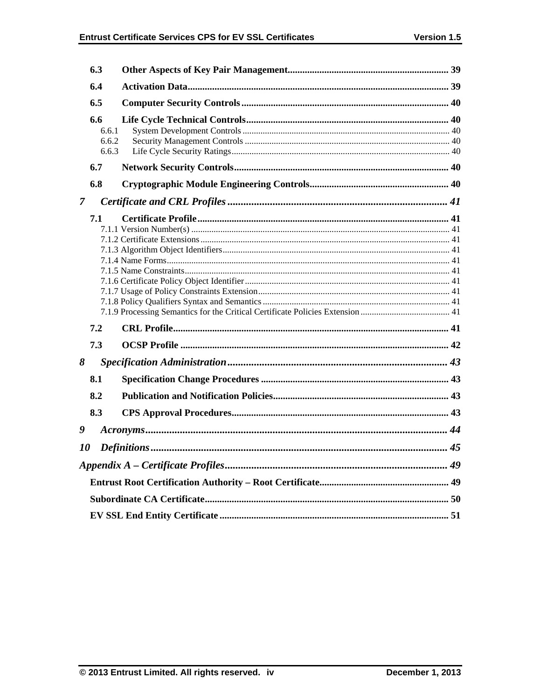|                | 6.3                            |                                                                                |  |
|----------------|--------------------------------|--------------------------------------------------------------------------------|--|
|                | 6.4                            |                                                                                |  |
|                | 6.5                            |                                                                                |  |
|                | 6.6<br>6.6.1<br>6.6.2<br>6.6.3 |                                                                                |  |
|                | 6.7                            |                                                                                |  |
|                | 6.8                            |                                                                                |  |
| $\overline{7}$ |                                |                                                                                |  |
|                | 7.1                            | 7.1.9 Processing Semantics for the Critical Certificate Policies Extension  41 |  |
|                | 7.2                            |                                                                                |  |
|                | 7.3                            |                                                                                |  |
| 8              |                                |                                                                                |  |
|                | 8.1                            |                                                                                |  |
|                | 8.2                            |                                                                                |  |
|                | 8.3                            |                                                                                |  |
| 9              |                                |                                                                                |  |
| <i>10</i>      |                                |                                                                                |  |
|                |                                |                                                                                |  |
|                |                                |                                                                                |  |
|                |                                |                                                                                |  |
|                |                                |                                                                                |  |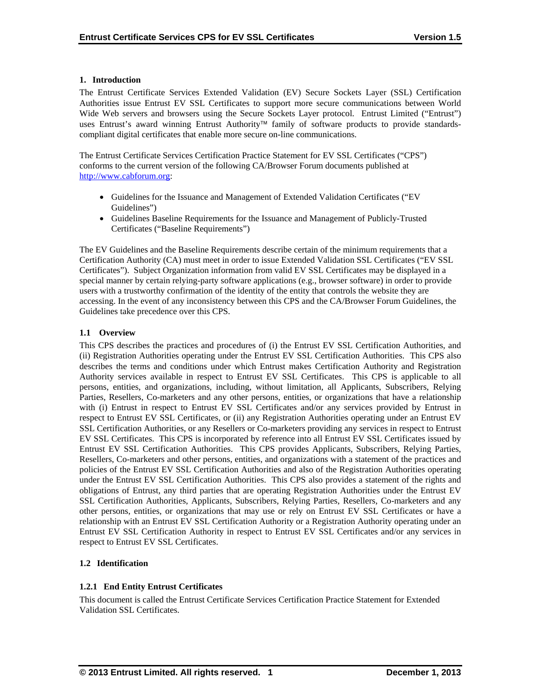# **1. Introduction**

The Entrust Certificate Services Extended Validation (EV) Secure Sockets Layer (SSL) Certification Authorities issue Entrust EV SSL Certificates to support more secure communications between World Wide Web servers and browsers using the Secure Sockets Layer protocol. Entrust Limited ("Entrust") uses Entrust's award winning Entrust Authority<sup>™</sup> family of software products to provide standardscompliant digital certificates that enable more secure on-line communications.

The Entrust Certificate Services Certification Practice Statement for EV SSL Certificates ("CPS") conforms to the current version of the following CA/Browser Forum documents published at http://www.cabforum.org:

- Guidelines for the Issuance and Management of Extended Validation Certificates ("EV Guidelines")
- Guidelines Baseline Requirements for the Issuance and Management of Publicly-Trusted Certificates ("Baseline Requirements")

The EV Guidelines and the Baseline Requirements describe certain of the minimum requirements that a Certification Authority (CA) must meet in order to issue Extended Validation SSL Certificates ("EV SSL Certificates"). Subject Organization information from valid EV SSL Certificates may be displayed in a special manner by certain relying-party software applications (e.g., browser software) in order to provide users with a trustworthy confirmation of the identity of the entity that controls the website they are accessing. In the event of any inconsistency between this CPS and the CA/Browser Forum Guidelines, the Guidelines take precedence over this CPS.

# **1.1 Overview**

This CPS describes the practices and procedures of (i) the Entrust EV SSL Certification Authorities, and (ii) Registration Authorities operating under the Entrust EV SSL Certification Authorities. This CPS also describes the terms and conditions under which Entrust makes Certification Authority and Registration Authority services available in respect to Entrust EV SSL Certificates. This CPS is applicable to all persons, entities, and organizations, including, without limitation, all Applicants, Subscribers, Relying Parties, Resellers, Co-marketers and any other persons, entities, or organizations that have a relationship with (i) Entrust in respect to Entrust EV SSL Certificates and/or any services provided by Entrust in respect to Entrust EV SSL Certificates, or (ii) any Registration Authorities operating under an Entrust EV SSL Certification Authorities, or any Resellers or Co-marketers providing any services in respect to Entrust EV SSL Certificates. This CPS is incorporated by reference into all Entrust EV SSL Certificates issued by Entrust EV SSL Certification Authorities. This CPS provides Applicants, Subscribers, Relying Parties, Resellers, Co-marketers and other persons, entities, and organizations with a statement of the practices and policies of the Entrust EV SSL Certification Authorities and also of the Registration Authorities operating under the Entrust EV SSL Certification Authorities. This CPS also provides a statement of the rights and obligations of Entrust, any third parties that are operating Registration Authorities under the Entrust EV SSL Certification Authorities, Applicants, Subscribers, Relying Parties, Resellers, Co-marketers and any other persons, entities, or organizations that may use or rely on Entrust EV SSL Certificates or have a relationship with an Entrust EV SSL Certification Authority or a Registration Authority operating under an Entrust EV SSL Certification Authority in respect to Entrust EV SSL Certificates and/or any services in respect to Entrust EV SSL Certificates.

# **1.2 Identification**

# **1.2.1 End Entity Entrust Certificates**

This document is called the Entrust Certificate Services Certification Practice Statement for Extended Validation SSL Certificates.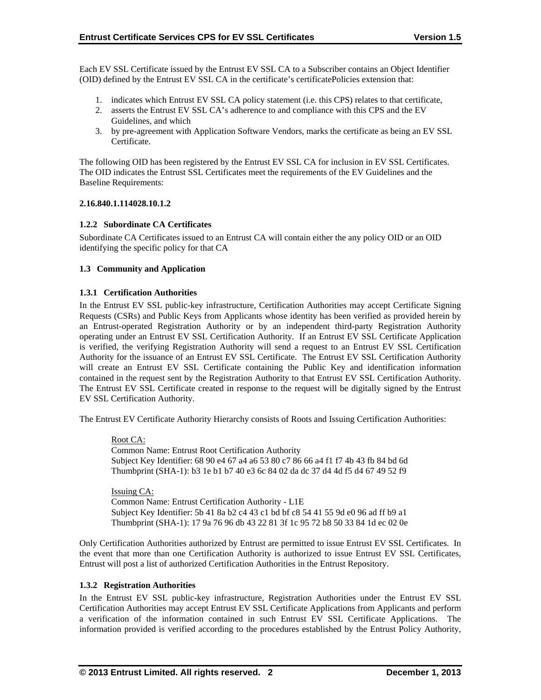Each EV SSL Certificate issued by the Entrust EV SSL CA to a Subscriber contains an Object Identifier (OID) defined by the Entrust EV SSL CA in the certificate's certificatePolicies extension that:

- 1. indicates which Entrust EV SSL CA policy statement (i.e. this CPS) relates to that certificate,
- 2. asserts the Entrust EV SSL CA's adherence to and compliance with this CPS and the EV Guidelines, and which
- 3. by pre-agreement with Application Software Vendors, marks the certificate as being an EV SSL Certificate.

The following OID has been registered by the Entrust EV SSL CA for inclusion in EV SSL Certificates. The OID indicates the Entrust SSL Certificates meet the requirements of the EV Guidelines and the Baseline Requirements:

#### **2.16.840.1.114028.10.1.2**

# **1.2.2 Subordinate CA Certificates**

Subordinate CA Certificates issued to an Entrust CA will contain either the any policy OID or an OID identifying the specific policy for that CA

# **1.3 Community and Application**

# **1.3.1 Certification Authorities**

In the Entrust EV SSL public-key infrastructure, Certification Authorities may accept Certificate Signing Requests (CSRs) and Public Keys from Applicants whose identity has been verified as provided herein by an Entrust-operated Registration Authority or by an independent third-party Registration Authority operating under an Entrust EV SSL Certification Authority. If an Entrust EV SSL Certificate Application is verified, the verifying Registration Authority will send a request to an Entrust EV SSL Certification Authority for the issuance of an Entrust EV SSL Certificate. The Entrust EV SSL Certification Authority will create an Entrust EV SSL Certificate containing the Public Key and identification information contained in the request sent by the Registration Authority to that Entrust EV SSL Certification Authority. The Entrust EV SSL Certificate created in response to the request will be digitally signed by the Entrust EV SSL Certification Authority.

The Entrust EV Certificate Authority Hierarchy consists of Roots and Issuing Certification Authorities:

Root CA: Common Name: Entrust Root Certification Authority Subject Key Identifier: 68 90 e4 67 a4 a6 53 80 c7 86 66 a4 f1 f7 4b 43 fb 84 bd 6d Thumbprint (SHA-1): b3 1e b1 b7 40 e3 6c 84 02 da dc 37 d4 4d f5 d4 67 49 52 f9

Issuing CA: Common Name: Entrust Certification Authority - L1E Subject Key Identifier: 5b 41 8a b2 c4 43 c1 bd bf c8 54 41 55 9d e0 96 ad ff b9 a1 Thumbprint (SHA-1): 17 9a 76 96 db 43 22 81 3f 1c 95 72 b8 50 33 84 1d ec 02 0e

Only Certification Authorities authorized by Entrust are permitted to issue Entrust EV SSL Certificates. In the event that more than one Certification Authority is authorized to issue Entrust EV SSL Certificates, Entrust will post a list of authorized Certification Authorities in the Entrust Repository.

#### **1.3.2 Registration Authorities**

In the Entrust EV SSL public-key infrastructure, Registration Authorities under the Entrust EV SSL Certification Authorities may accept Entrust EV SSL Certificate Applications from Applicants and perform a verification of the information contained in such Entrust EV SSL Certificate Applications. The information provided is verified according to the procedures established by the Entrust Policy Authority,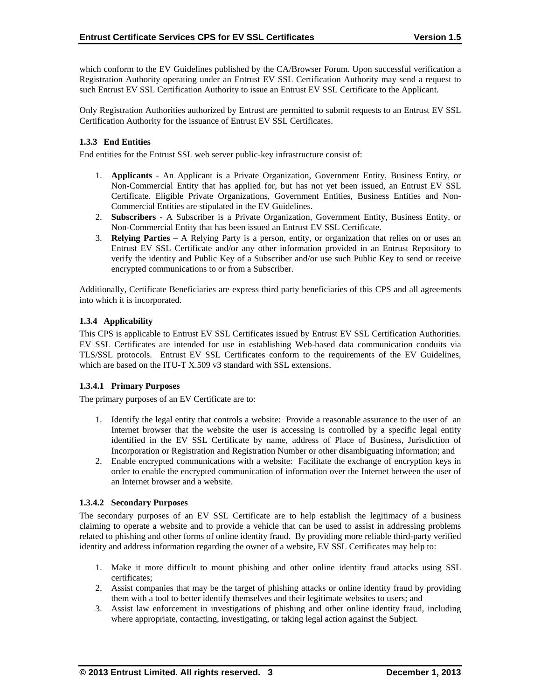which conform to the EV Guidelines published by the CA/Browser Forum. Upon successful verification a Registration Authority operating under an Entrust EV SSL Certification Authority may send a request to such Entrust EV SSL Certification Authority to issue an Entrust EV SSL Certificate to the Applicant.

Only Registration Authorities authorized by Entrust are permitted to submit requests to an Entrust EV SSL Certification Authority for the issuance of Entrust EV SSL Certificates.

# **1.3.3 End Entities**

End entities for the Entrust SSL web server public-key infrastructure consist of:

- 1. **Applicants** An Applicant is a Private Organization, Government Entity, Business Entity, or Non-Commercial Entity that has applied for, but has not yet been issued, an Entrust EV SSL Certificate. Eligible Private Organizations, Government Entities, Business Entities and Non-Commercial Entities are stipulated in the EV Guidelines.
- 2. **Subscribers**  A Subscriber is a Private Organization, Government Entity, Business Entity, or Non-Commercial Entity that has been issued an Entrust EV SSL Certificate.
- 3. **Relying Parties**  A Relying Party is a person, entity, or organization that relies on or uses an Entrust EV SSL Certificate and/or any other information provided in an Entrust Repository to verify the identity and Public Key of a Subscriber and/or use such Public Key to send or receive encrypted communications to or from a Subscriber.

Additionally, Certificate Beneficiaries are express third party beneficiaries of this CPS and all agreements into which it is incorporated.

# **1.3.4 Applicability**

This CPS is applicable to Entrust EV SSL Certificates issued by Entrust EV SSL Certification Authorities. EV SSL Certificates are intended for use in establishing Web-based data communication conduits via TLS/SSL protocols. Entrust EV SSL Certificates conform to the requirements of the EV Guidelines, which are based on the ITU-T X.509 v3 standard with SSL extensions.

#### **1.3.4.1 Primary Purposes**

The primary purposes of an EV Certificate are to:

- 1. Identify the legal entity that controls a website: Provide a reasonable assurance to the user of an Internet browser that the website the user is accessing is controlled by a specific legal entity identified in the EV SSL Certificate by name, address of Place of Business, Jurisdiction of Incorporation or Registration and Registration Number or other disambiguating information; and
- 2. Enable encrypted communications with a website: Facilitate the exchange of encryption keys in order to enable the encrypted communication of information over the Internet between the user of an Internet browser and a website.

#### **1.3.4.2 Secondary Purposes**

The secondary purposes of an EV SSL Certificate are to help establish the legitimacy of a business claiming to operate a website and to provide a vehicle that can be used to assist in addressing problems related to phishing and other forms of online identity fraud. By providing more reliable third-party verified identity and address information regarding the owner of a website, EV SSL Certificates may help to:

- 1. Make it more difficult to mount phishing and other online identity fraud attacks using SSL certificates;
- 2. Assist companies that may be the target of phishing attacks or online identity fraud by providing them with a tool to better identify themselves and their legitimate websites to users; and
- 3. Assist law enforcement in investigations of phishing and other online identity fraud, including where appropriate, contacting, investigating, or taking legal action against the Subject.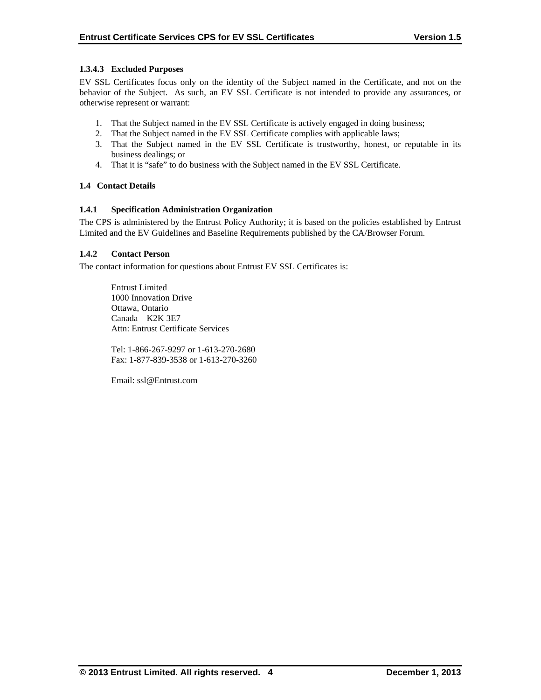# **1.3.4.3 Excluded Purposes**

EV SSL Certificates focus only on the identity of the Subject named in the Certificate, and not on the behavior of the Subject. As such, an EV SSL Certificate is not intended to provide any assurances, or otherwise represent or warrant:

- 1. That the Subject named in the EV SSL Certificate is actively engaged in doing business;
- 2. That the Subject named in the EV SSL Certificate complies with applicable laws;
- 3. That the Subject named in the EV SSL Certificate is trustworthy, honest, or reputable in its business dealings; or
- 4. That it is "safe" to do business with the Subject named in the EV SSL Certificate.

# **1.4 Contact Details**

# **1.4.1 Specification Administration Organization**

The CPS is administered by the Entrust Policy Authority; it is based on the policies established by Entrust Limited and the EV Guidelines and Baseline Requirements published by the CA/Browser Forum.

# **1.4.2 Contact Person**

The contact information for questions about Entrust EV SSL Certificates is:

 Entrust Limited 1000 Innovation Drive Ottawa, Ontario Canada K2K 3E7 Attn: Entrust Certificate Services

Tel: 1-866-267-9297 or 1-613-270-2680 Fax: 1-877-839-3538 or 1-613-270-3260

Email: ssl@Entrust.com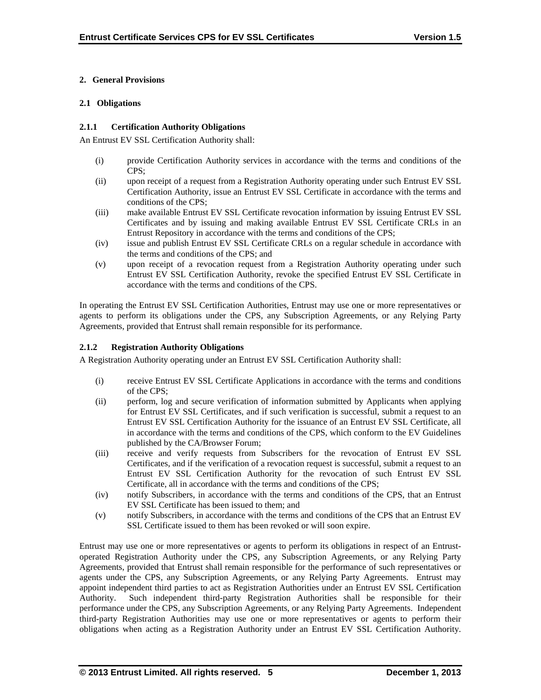# **2. General Provisions**

## **2.1 Obligations**

# **2.1.1 Certification Authority Obligations**

An Entrust EV SSL Certification Authority shall:

- (i) provide Certification Authority services in accordance with the terms and conditions of the CPS;
- (ii) upon receipt of a request from a Registration Authority operating under such Entrust EV SSL Certification Authority, issue an Entrust EV SSL Certificate in accordance with the terms and conditions of the CPS;
- (iii) make available Entrust EV SSL Certificate revocation information by issuing Entrust EV SSL Certificates and by issuing and making available Entrust EV SSL Certificate CRLs in an Entrust Repository in accordance with the terms and conditions of the CPS;
- (iv) issue and publish Entrust EV SSL Certificate CRLs on a regular schedule in accordance with the terms and conditions of the CPS; and
- (v) upon receipt of a revocation request from a Registration Authority operating under such Entrust EV SSL Certification Authority, revoke the specified Entrust EV SSL Certificate in accordance with the terms and conditions of the CPS.

In operating the Entrust EV SSL Certification Authorities, Entrust may use one or more representatives or agents to perform its obligations under the CPS, any Subscription Agreements, or any Relying Party Agreements, provided that Entrust shall remain responsible for its performance.

# **2.1.2 Registration Authority Obligations**

A Registration Authority operating under an Entrust EV SSL Certification Authority shall:

- (i) receive Entrust EV SSL Certificate Applications in accordance with the terms and conditions of the CPS;
- (ii) perform, log and secure verification of information submitted by Applicants when applying for Entrust EV SSL Certificates, and if such verification is successful, submit a request to an Entrust EV SSL Certification Authority for the issuance of an Entrust EV SSL Certificate, all in accordance with the terms and conditions of the CPS, which conform to the EV Guidelines published by the CA/Browser Forum;
- (iii) receive and verify requests from Subscribers for the revocation of Entrust EV SSL Certificates, and if the verification of a revocation request is successful, submit a request to an Entrust EV SSL Certification Authority for the revocation of such Entrust EV SSL Certificate, all in accordance with the terms and conditions of the CPS;
- (iv) notify Subscribers, in accordance with the terms and conditions of the CPS, that an Entrust EV SSL Certificate has been issued to them; and
- (v) notify Subscribers, in accordance with the terms and conditions of the CPS that an Entrust EV SSL Certificate issued to them has been revoked or will soon expire.

Entrust may use one or more representatives or agents to perform its obligations in respect of an Entrustoperated Registration Authority under the CPS, any Subscription Agreements, or any Relying Party Agreements, provided that Entrust shall remain responsible for the performance of such representatives or agents under the CPS, any Subscription Agreements, or any Relying Party Agreements. Entrust may appoint independent third parties to act as Registration Authorities under an Entrust EV SSL Certification Authority. Such independent third-party Registration Authorities shall be responsible for their performance under the CPS, any Subscription Agreements, or any Relying Party Agreements. Independent third-party Registration Authorities may use one or more representatives or agents to perform their obligations when acting as a Registration Authority under an Entrust EV SSL Certification Authority.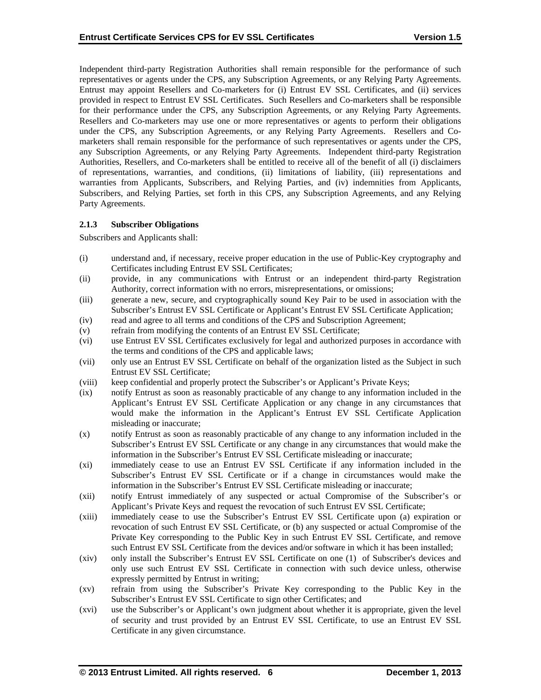Independent third-party Registration Authorities shall remain responsible for the performance of such representatives or agents under the CPS, any Subscription Agreements, or any Relying Party Agreements. Entrust may appoint Resellers and Co-marketers for (i) Entrust EV SSL Certificates, and (ii) services provided in respect to Entrust EV SSL Certificates. Such Resellers and Co-marketers shall be responsible for their performance under the CPS, any Subscription Agreements, or any Relying Party Agreements. Resellers and Co-marketers may use one or more representatives or agents to perform their obligations under the CPS, any Subscription Agreements, or any Relying Party Agreements. Resellers and Comarketers shall remain responsible for the performance of such representatives or agents under the CPS, any Subscription Agreements, or any Relying Party Agreements. Independent third-party Registration Authorities, Resellers, and Co-marketers shall be entitled to receive all of the benefit of all (i) disclaimers of representations, warranties, and conditions, (ii) limitations of liability, (iii) representations and warranties from Applicants, Subscribers, and Relying Parties, and (iv) indemnities from Applicants, Subscribers, and Relying Parties, set forth in this CPS, any Subscription Agreements, and any Relying Party Agreements.

# **2.1.3 Subscriber Obligations**

Subscribers and Applicants shall:

- (i) understand and, if necessary, receive proper education in the use of Public-Key cryptography and Certificates including Entrust EV SSL Certificates;
- (ii) provide, in any communications with Entrust or an independent third-party Registration Authority, correct information with no errors, misrepresentations, or omissions;
- (iii) generate a new, secure, and cryptographically sound Key Pair to be used in association with the Subscriber's Entrust EV SSL Certificate or Applicant's Entrust EV SSL Certificate Application;
- (iv) read and agree to all terms and conditions of the CPS and Subscription Agreement;
- (v) refrain from modifying the contents of an Entrust EV SSL Certificate;
- (vi) use Entrust EV SSL Certificates exclusively for legal and authorized purposes in accordance with the terms and conditions of the CPS and applicable laws;
- (vii) only use an Entrust EV SSL Certificate on behalf of the organization listed as the Subject in such Entrust EV SSL Certificate;
- (viii) keep confidential and properly protect the Subscriber's or Applicant's Private Keys;
- (ix) notify Entrust as soon as reasonably practicable of any change to any information included in the Applicant's Entrust EV SSL Certificate Application or any change in any circumstances that would make the information in the Applicant's Entrust EV SSL Certificate Application misleading or inaccurate;
- (x) notify Entrust as soon as reasonably practicable of any change to any information included in the Subscriber's Entrust EV SSL Certificate or any change in any circumstances that would make the information in the Subscriber's Entrust EV SSL Certificate misleading or inaccurate;
- (xi) immediately cease to use an Entrust EV SSL Certificate if any information included in the Subscriber's Entrust EV SSL Certificate or if a change in circumstances would make the information in the Subscriber's Entrust EV SSL Certificate misleading or inaccurate;
- (xii) notify Entrust immediately of any suspected or actual Compromise of the Subscriber's or Applicant's Private Keys and request the revocation of such Entrust EV SSL Certificate;
- (xiii) immediately cease to use the Subscriber's Entrust EV SSL Certificate upon (a) expiration or revocation of such Entrust EV SSL Certificate, or (b) any suspected or actual Compromise of the Private Key corresponding to the Public Key in such Entrust EV SSL Certificate, and remove such Entrust EV SSL Certificate from the devices and/or software in which it has been installed;
- (xiv) only install the Subscriber's Entrust EV SSL Certificate on one (1) of Subscriber's devices and only use such Entrust EV SSL Certificate in connection with such device unless, otherwise expressly permitted by Entrust in writing;
- (xv) refrain from using the Subscriber's Private Key corresponding to the Public Key in the Subscriber's Entrust EV SSL Certificate to sign other Certificates; and
- (xvi) use the Subscriber's or Applicant's own judgment about whether it is appropriate, given the level of security and trust provided by an Entrust EV SSL Certificate, to use an Entrust EV SSL Certificate in any given circumstance.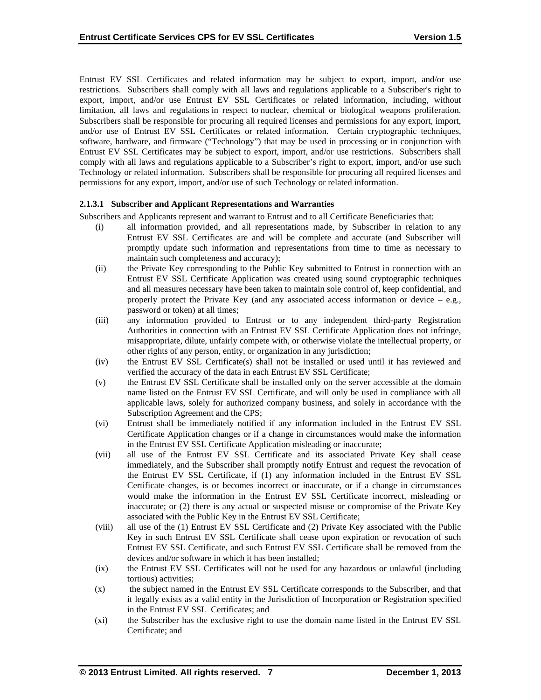Entrust EV SSL Certificates and related information may be subject to export, import, and/or use restrictions. Subscribers shall comply with all laws and regulations applicable to a Subscriber's right to export, import, and/or use Entrust EV SSL Certificates or related information, including, without limitation, all laws and regulations in respect to nuclear, chemical or biological weapons proliferation. Subscribers shall be responsible for procuring all required licenses and permissions for any export, import, and/or use of Entrust EV SSL Certificates or related information. Certain cryptographic techniques, software, hardware, and firmware ("Technology") that may be used in processing or in conjunction with Entrust EV SSL Certificates may be subject to export, import, and/or use restrictions. Subscribers shall comply with all laws and regulations applicable to a Subscriber's right to export, import, and/or use such Technology or related information. Subscribers shall be responsible for procuring all required licenses and permissions for any export, import, and/or use of such Technology or related information.

# **2.1.3.1 Subscriber and Applicant Representations and Warranties**

Subscribers and Applicants represent and warrant to Entrust and to all Certificate Beneficiaries that:

- (i) all information provided, and all representations made, by Subscriber in relation to any Entrust EV SSL Certificates are and will be complete and accurate (and Subscriber will promptly update such information and representations from time to time as necessary to maintain such completeness and accuracy);
- (ii) the Private Key corresponding to the Public Key submitted to Entrust in connection with an Entrust EV SSL Certificate Application was created using sound cryptographic techniques and all measures necessary have been taken to maintain sole control of, keep confidential, and properly protect the Private Key (and any associated access information or device  $-$  e.g., password or token) at all times;
- (iii) any information provided to Entrust or to any independent third-party Registration Authorities in connection with an Entrust EV SSL Certificate Application does not infringe, misappropriate, dilute, unfairly compete with, or otherwise violate the intellectual property, or other rights of any person, entity, or organization in any jurisdiction;
- (iv) the Entrust EV SSL Certificate(s) shall not be installed or used until it has reviewed and verified the accuracy of the data in each Entrust EV SSL Certificate;
- (v) the Entrust EV SSL Certificate shall be installed only on the server accessible at the domain name listed on the Entrust EV SSL Certificate, and will only be used in compliance with all applicable laws, solely for authorized company business, and solely in accordance with the Subscription Agreement and the CPS;
- (vi) Entrust shall be immediately notified if any information included in the Entrust EV SSL Certificate Application changes or if a change in circumstances would make the information in the Entrust EV SSL Certificate Application misleading or inaccurate;
- (vii) all use of the Entrust EV SSL Certificate and its associated Private Key shall cease immediately, and the Subscriber shall promptly notify Entrust and request the revocation of the Entrust EV SSL Certificate, if (1) any information included in the Entrust EV SSL Certificate changes, is or becomes incorrect or inaccurate, or if a change in circumstances would make the information in the Entrust EV SSL Certificate incorrect, misleading or inaccurate; or (2) there is any actual or suspected misuse or compromise of the Private Key associated with the Public Key in the Entrust EV SSL Certificate;
- (viii) all use of the (1) Entrust EV SSL Certificate and (2) Private Key associated with the Public Key in such Entrust EV SSL Certificate shall cease upon expiration or revocation of such Entrust EV SSL Certificate, and such Entrust EV SSL Certificate shall be removed from the devices and/or software in which it has been installed;
- (ix) the Entrust EV SSL Certificates will not be used for any hazardous or unlawful (including tortious) activities;
- (x) the subject named in the Entrust EV SSL Certificate corresponds to the Subscriber, and that it legally exists as a valid entity in the Jurisdiction of Incorporation or Registration specified in the Entrust EV SSL Certificates; and
- (xi) the Subscriber has the exclusive right to use the domain name listed in the Entrust EV SSL Certificate; and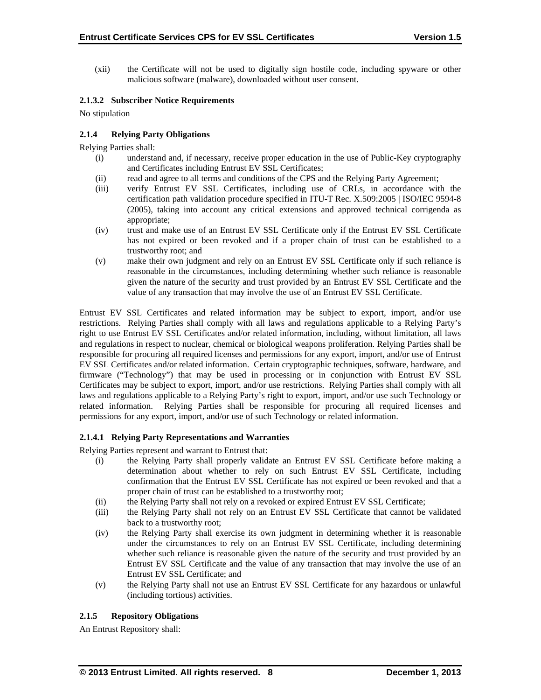(xii) the Certificate will not be used to digitally sign hostile code, including spyware or other malicious software (malware), downloaded without user consent.

#### **2.1.3.2 Subscriber Notice Requirements**

No stipulation

#### **2.1.4 Relying Party Obligations**

Relying Parties shall:

- (i) understand and, if necessary, receive proper education in the use of Public-Key cryptography and Certificates including Entrust EV SSL Certificates;
- (ii) read and agree to all terms and conditions of the CPS and the Relying Party Agreement;
- (iii) verify Entrust EV SSL Certificates, including use of CRLs, in accordance with the certification path validation procedure specified in ITU-T Rec. X.509:2005 | ISO/IEC 9594-8 (2005), taking into account any critical extensions and approved technical corrigenda as appropriate;
- (iv) trust and make use of an Entrust EV SSL Certificate only if the Entrust EV SSL Certificate has not expired or been revoked and if a proper chain of trust can be established to a trustworthy root; and
- (v) make their own judgment and rely on an Entrust EV SSL Certificate only if such reliance is reasonable in the circumstances, including determining whether such reliance is reasonable given the nature of the security and trust provided by an Entrust EV SSL Certificate and the value of any transaction that may involve the use of an Entrust EV SSL Certificate.

Entrust EV SSL Certificates and related information may be subject to export, import, and/or use restrictions. Relying Parties shall comply with all laws and regulations applicable to a Relying Party's right to use Entrust EV SSL Certificates and/or related information, including, without limitation, all laws and regulations in respect to nuclear, chemical or biological weapons proliferation. Relying Parties shall be responsible for procuring all required licenses and permissions for any export, import, and/or use of Entrust EV SSL Certificates and/or related information. Certain cryptographic techniques, software, hardware, and firmware ("Technology") that may be used in processing or in conjunction with Entrust EV SSL Certificates may be subject to export, import, and/or use restrictions. Relying Parties shall comply with all laws and regulations applicable to a Relying Party's right to export, import, and/or use such Technology or related information. Relying Parties shall be responsible for procuring all required licenses and permissions for any export, import, and/or use of such Technology or related information.

#### **2.1.4.1 Relying Party Representations and Warranties**

Relying Parties represent and warrant to Entrust that:

- (i) the Relying Party shall properly validate an Entrust EV SSL Certificate before making a determination about whether to rely on such Entrust EV SSL Certificate, including confirmation that the Entrust EV SSL Certificate has not expired or been revoked and that a proper chain of trust can be established to a trustworthy root;
- (ii) the Relying Party shall not rely on a revoked or expired Entrust EV SSL Certificate;
- (iii) the Relying Party shall not rely on an Entrust EV SSL Certificate that cannot be validated back to a trustworthy root;
- (iv) the Relying Party shall exercise its own judgment in determining whether it is reasonable under the circumstances to rely on an Entrust EV SSL Certificate, including determining whether such reliance is reasonable given the nature of the security and trust provided by an Entrust EV SSL Certificate and the value of any transaction that may involve the use of an Entrust EV SSL Certificate; and
- (v) the Relying Party shall not use an Entrust EV SSL Certificate for any hazardous or unlawful (including tortious) activities.

#### **2.1.5 Repository Obligations**

An Entrust Repository shall: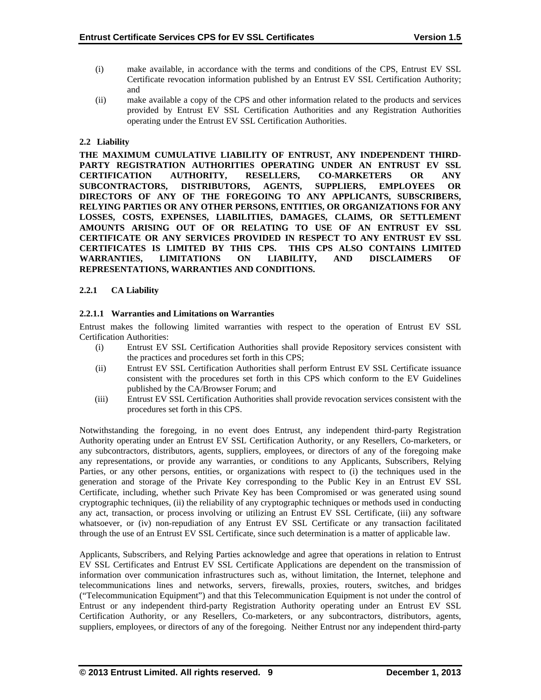- (i) make available, in accordance with the terms and conditions of the CPS, Entrust EV SSL Certificate revocation information published by an Entrust EV SSL Certification Authority; and
- (ii) make available a copy of the CPS and other information related to the products and services provided by Entrust EV SSL Certification Authorities and any Registration Authorities operating under the Entrust EV SSL Certification Authorities.

# **2.2 Liability**

**THE MAXIMUM CUMULATIVE LIABILITY OF ENTRUST, ANY INDEPENDENT THIRD-PARTY REGISTRATION AUTHORITIES OPERATING UNDER AN ENTRUST EV SSL CERTIFICATION AUTHORITY, RESELLERS, CO-MARKETERS OR ANY SUBCONTRACTORS, DISTRIBUTORS, AGENTS, SUPPLIERS, EMPLOYEES OR DIRECTORS OF ANY OF THE FOREGOING TO ANY APPLICANTS, SUBSCRIBERS, RELYING PARTIES OR ANY OTHER PERSONS, ENTITIES, OR ORGANIZATIONS FOR ANY LOSSES, COSTS, EXPENSES, LIABILITIES, DAMAGES, CLAIMS, OR SETTLEMENT AMOUNTS ARISING OUT OF OR RELATING TO USE OF AN ENTRUST EV SSL CERTIFICATE OR ANY SERVICES PROVIDED IN RESPECT TO ANY ENTRUST EV SSL CERTIFICATES IS LIMITED BY THIS CPS. THIS CPS ALSO CONTAINS LIMITED WARRANTIES, LIMITATIONS ON LIABILITY, AND DISCLAIMERS OF REPRESENTATIONS, WARRANTIES AND CONDITIONS.** 

# **2.2.1 CA Liability**

# **2.2.1.1 Warranties and Limitations on Warranties**

Entrust makes the following limited warranties with respect to the operation of Entrust EV SSL Certification Authorities:

- (i) Entrust EV SSL Certification Authorities shall provide Repository services consistent with the practices and procedures set forth in this CPS;
- (ii) Entrust EV SSL Certification Authorities shall perform Entrust EV SSL Certificate issuance consistent with the procedures set forth in this CPS which conform to the EV Guidelines published by the CA/Browser Forum; and
- (iii) Entrust EV SSL Certification Authorities shall provide revocation services consistent with the procedures set forth in this CPS.

Notwithstanding the foregoing, in no event does Entrust, any independent third-party Registration Authority operating under an Entrust EV SSL Certification Authority, or any Resellers, Co-marketers, or any subcontractors, distributors, agents, suppliers, employees, or directors of any of the foregoing make any representations, or provide any warranties, or conditions to any Applicants, Subscribers, Relying Parties, or any other persons, entities, or organizations with respect to (i) the techniques used in the generation and storage of the Private Key corresponding to the Public Key in an Entrust EV SSL Certificate, including, whether such Private Key has been Compromised or was generated using sound cryptographic techniques, (ii) the reliability of any cryptographic techniques or methods used in conducting any act, transaction, or process involving or utilizing an Entrust EV SSL Certificate, (iii) any software whatsoever, or (iv) non-repudiation of any Entrust EV SSL Certificate or any transaction facilitated through the use of an Entrust EV SSL Certificate, since such determination is a matter of applicable law.

Applicants, Subscribers, and Relying Parties acknowledge and agree that operations in relation to Entrust EV SSL Certificates and Entrust EV SSL Certificate Applications are dependent on the transmission of information over communication infrastructures such as, without limitation, the Internet, telephone and telecommunications lines and networks, servers, firewalls, proxies, routers, switches, and bridges ("Telecommunication Equipment") and that this Telecommunication Equipment is not under the control of Entrust or any independent third-party Registration Authority operating under an Entrust EV SSL Certification Authority, or any Resellers, Co-marketers, or any subcontractors, distributors, agents, suppliers, employees, or directors of any of the foregoing. Neither Entrust nor any independent third-party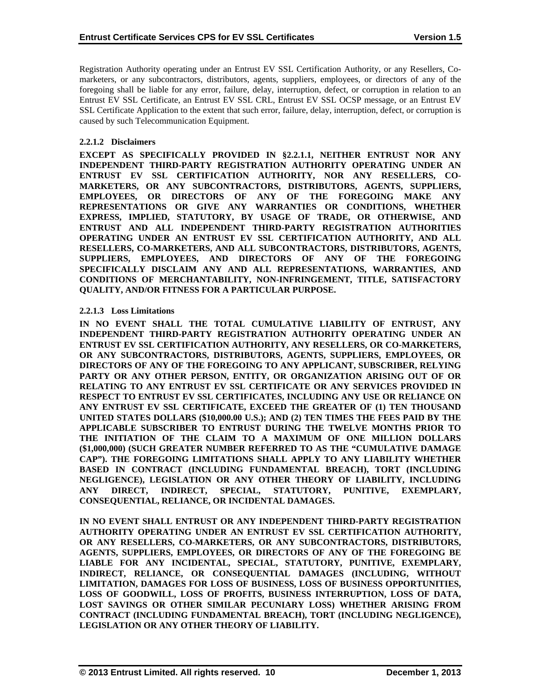Registration Authority operating under an Entrust EV SSL Certification Authority, or any Resellers, Comarketers, or any subcontractors, distributors, agents, suppliers, employees, or directors of any of the foregoing shall be liable for any error, failure, delay, interruption, defect, or corruption in relation to an Entrust EV SSL Certificate, an Entrust EV SSL CRL, Entrust EV SSL OCSP message, or an Entrust EV SSL Certificate Application to the extent that such error, failure, delay, interruption, defect, or corruption is caused by such Telecommunication Equipment.

# **2.2.1.2 Disclaimers**

**EXCEPT AS SPECIFICALLY PROVIDED IN §2.2.1.1, NEITHER ENTRUST NOR ANY INDEPENDENT THIRD-PARTY REGISTRATION AUTHORITY OPERATING UNDER AN ENTRUST EV SSL CERTIFICATION AUTHORITY, NOR ANY RESELLERS, CO-MARKETERS, OR ANY SUBCONTRACTORS, DISTRIBUTORS, AGENTS, SUPPLIERS, EMPLOYEES, OR DIRECTORS OF ANY OF THE FOREGOING MAKE ANY REPRESENTATIONS OR GIVE ANY WARRANTIES OR CONDITIONS, WHETHER EXPRESS, IMPLIED, STATUTORY, BY USAGE OF TRADE, OR OTHERWISE, AND ENTRUST AND ALL INDEPENDENT THIRD-PARTY REGISTRATION AUTHORITIES OPERATING UNDER AN ENTRUST EV SSL CERTIFICATION AUTHORITY, AND ALL RESELLERS, CO-MARKETERS, AND ALL SUBCONTRACTORS, DISTRIBUTORS, AGENTS, SUPPLIERS, EMPLOYEES, AND DIRECTORS OF ANY OF THE FOREGOING SPECIFICALLY DISCLAIM ANY AND ALL REPRESENTATIONS, WARRANTIES, AND CONDITIONS OF MERCHANTABILITY, NON-INFRINGEMENT, TITLE, SATISFACTORY QUALITY, AND/OR FITNESS FOR A PARTICULAR PURPOSE.** 

# **2.2.1.3 Loss Limitations**

**IN NO EVENT SHALL THE TOTAL CUMULATIVE LIABILITY OF ENTRUST, ANY INDEPENDENT THIRD-PARTY REGISTRATION AUTHORITY OPERATING UNDER AN ENTRUST EV SSL CERTIFICATION AUTHORITY, ANY RESELLERS, OR CO-MARKETERS, OR ANY SUBCONTRACTORS, DISTRIBUTORS, AGENTS, SUPPLIERS, EMPLOYEES, OR DIRECTORS OF ANY OF THE FOREGOING TO ANY APPLICANT, SUBSCRIBER, RELYING PARTY OR ANY OTHER PERSON, ENTITY, OR ORGANIZATION ARISING OUT OF OR RELATING TO ANY ENTRUST EV SSL CERTIFICATE OR ANY SERVICES PROVIDED IN RESPECT TO ENTRUST EV SSL CERTIFICATES, INCLUDING ANY USE OR RELIANCE ON ANY ENTRUST EV SSL CERTIFICATE, EXCEED THE GREATER OF (1) TEN THOUSAND UNITED STATES DOLLARS (\$10,000.00 U.S.); AND (2) TEN TIMES THE FEES PAID BY THE APPLICABLE SUBSCRIBER TO ENTRUST DURING THE TWELVE MONTHS PRIOR TO THE INITIATION OF THE CLAIM TO A MAXIMUM OF ONE MILLION DOLLARS (\$1,000,000) (SUCH GREATER NUMBER REFERRED TO AS THE "CUMULATIVE DAMAGE CAP"). THE FOREGOING LIMITATIONS SHALL APPLY TO ANY LIABILITY WHETHER BASED IN CONTRACT (INCLUDING FUNDAMENTAL BREACH), TORT (INCLUDING NEGLIGENCE), LEGISLATION OR ANY OTHER THEORY OF LIABILITY, INCLUDING ANY DIRECT, INDIRECT, SPECIAL, STATUTORY, PUNITIVE, EXEMPLARY, CONSEQUENTIAL, RELIANCE, OR INCIDENTAL DAMAGES.** 

**IN NO EVENT SHALL ENTRUST OR ANY INDEPENDENT THIRD-PARTY REGISTRATION AUTHORITY OPERATING UNDER AN ENTRUST EV SSL CERTIFICATION AUTHORITY, OR ANY RESELLERS, CO-MARKETERS, OR ANY SUBCONTRACTORS, DISTRIBUTORS, AGENTS, SUPPLIERS, EMPLOYEES, OR DIRECTORS OF ANY OF THE FOREGOING BE LIABLE FOR ANY INCIDENTAL, SPECIAL, STATUTORY, PUNITIVE, EXEMPLARY, INDIRECT, RELIANCE, OR CONSEQUENTIAL DAMAGES (INCLUDING, WITHOUT LIMITATION, DAMAGES FOR LOSS OF BUSINESS, LOSS OF BUSINESS OPPORTUNITIES, LOSS OF GOODWILL, LOSS OF PROFITS, BUSINESS INTERRUPTION, LOSS OF DATA, LOST SAVINGS OR OTHER SIMILAR PECUNIARY LOSS) WHETHER ARISING FROM CONTRACT (INCLUDING FUNDAMENTAL BREACH), TORT (INCLUDING NEGLIGENCE), LEGISLATION OR ANY OTHER THEORY OF LIABILITY.**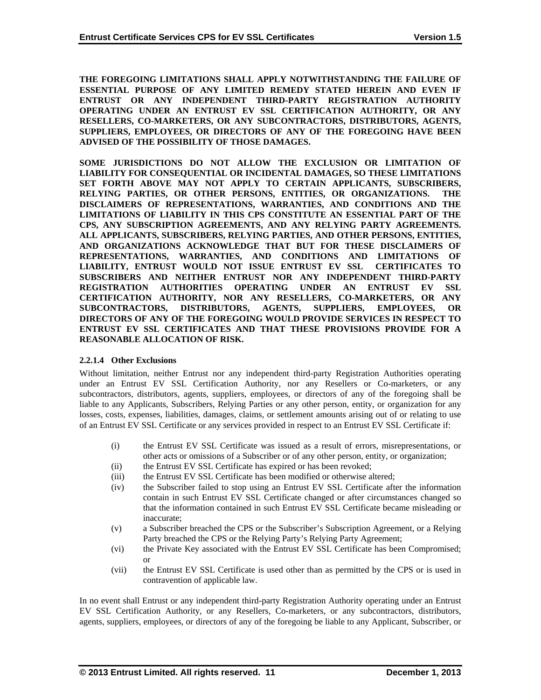**THE FOREGOING LIMITATIONS SHALL APPLY NOTWITHSTANDING THE FAILURE OF ESSENTIAL PURPOSE OF ANY LIMITED REMEDY STATED HEREIN AND EVEN IF ENTRUST OR ANY INDEPENDENT THIRD-PARTY REGISTRATION AUTHORITY OPERATING UNDER AN ENTRUST EV SSL CERTIFICATION AUTHORITY, OR ANY RESELLERS, CO-MARKETERS, OR ANY SUBCONTRACTORS, DISTRIBUTORS, AGENTS, SUPPLIERS, EMPLOYEES, OR DIRECTORS OF ANY OF THE FOREGOING HAVE BEEN ADVISED OF THE POSSIBILITY OF THOSE DAMAGES.** 

**SOME JURISDICTIONS DO NOT ALLOW THE EXCLUSION OR LIMITATION OF LIABILITY FOR CONSEQUENTIAL OR INCIDENTAL DAMAGES, SO THESE LIMITATIONS SET FORTH ABOVE MAY NOT APPLY TO CERTAIN APPLICANTS, SUBSCRIBERS,**  RELYING PARTIES, OR OTHER PERSONS, ENTITIES, OR ORGANIZATIONS. **DISCLAIMERS OF REPRESENTATIONS, WARRANTIES, AND CONDITIONS AND THE LIMITATIONS OF LIABILITY IN THIS CPS CONSTITUTE AN ESSENTIAL PART OF THE CPS, ANY SUBSCRIPTION AGREEMENTS, AND ANY RELYING PARTY AGREEMENTS. ALL APPLICANTS, SUBSCRIBERS, RELYING PARTIES, AND OTHER PERSONS, ENTITIES, AND ORGANIZATIONS ACKNOWLEDGE THAT BUT FOR THESE DISCLAIMERS OF REPRESENTATIONS, WARRANTIES, AND CONDITIONS AND LIMITATIONS OF LIABILITY, ENTRUST WOULD NOT ISSUE ENTRUST EV SSL CERTIFICATES TO SUBSCRIBERS AND NEITHER ENTRUST NOR ANY INDEPENDENT THIRD-PARTY REGISTRATION AUTHORITIES OPERATING UNDER AN ENTRUST EV SSL CERTIFICATION AUTHORITY, NOR ANY RESELLERS, CO-MARKETERS, OR ANY SUBCONTRACTORS, DISTRIBUTORS, AGENTS, SUPPLIERS, EMPLOYEES, OR DIRECTORS OF ANY OF THE FOREGOING WOULD PROVIDE SERVICES IN RESPECT TO ENTRUST EV SSL CERTIFICATES AND THAT THESE PROVISIONS PROVIDE FOR A REASONABLE ALLOCATION OF RISK.** 

# **2.2.1.4 Other Exclusions**

Without limitation, neither Entrust nor any independent third-party Registration Authorities operating under an Entrust EV SSL Certification Authority, nor any Resellers or Co-marketers, or any subcontractors, distributors, agents, suppliers, employees, or directors of any of the foregoing shall be liable to any Applicants, Subscribers, Relying Parties or any other person, entity, or organization for any losses, costs, expenses, liabilities, damages, claims, or settlement amounts arising out of or relating to use of an Entrust EV SSL Certificate or any services provided in respect to an Entrust EV SSL Certificate if:

- (i) the Entrust EV SSL Certificate was issued as a result of errors, misrepresentations, or other acts or omissions of a Subscriber or of any other person, entity, or organization;
- (ii) the Entrust EV SSL Certificate has expired or has been revoked;
- (iii) the Entrust EV SSL Certificate has been modified or otherwise altered;
- (iv) the Subscriber failed to stop using an Entrust EV SSL Certificate after the information contain in such Entrust EV SSL Certificate changed or after circumstances changed so that the information contained in such Entrust EV SSL Certificate became misleading or inaccurate;
- (v) a Subscriber breached the CPS or the Subscriber's Subscription Agreement, or a Relying Party breached the CPS or the Relying Party's Relying Party Agreement;
- (vi) the Private Key associated with the Entrust EV SSL Certificate has been Compromised; or
- (vii) the Entrust EV SSL Certificate is used other than as permitted by the CPS or is used in contravention of applicable law.

In no event shall Entrust or any independent third-party Registration Authority operating under an Entrust EV SSL Certification Authority, or any Resellers, Co-marketers, or any subcontractors, distributors, agents, suppliers, employees, or directors of any of the foregoing be liable to any Applicant, Subscriber, or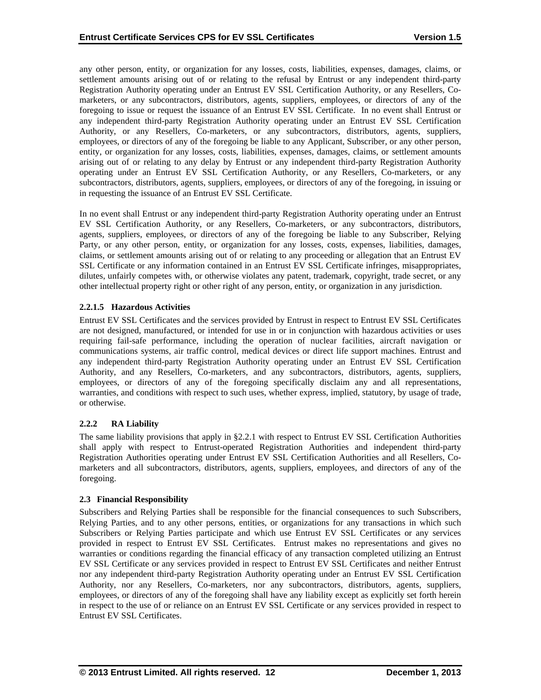any other person, entity, or organization for any losses, costs, liabilities, expenses, damages, claims, or settlement amounts arising out of or relating to the refusal by Entrust or any independent third-party Registration Authority operating under an Entrust EV SSL Certification Authority, or any Resellers, Comarketers, or any subcontractors, distributors, agents, suppliers, employees, or directors of any of the foregoing to issue or request the issuance of an Entrust EV SSL Certificate. In no event shall Entrust or any independent third-party Registration Authority operating under an Entrust EV SSL Certification Authority, or any Resellers, Co-marketers, or any subcontractors, distributors, agents, suppliers, employees, or directors of any of the foregoing be liable to any Applicant, Subscriber, or any other person, entity, or organization for any losses, costs, liabilities, expenses, damages, claims, or settlement amounts arising out of or relating to any delay by Entrust or any independent third-party Registration Authority operating under an Entrust EV SSL Certification Authority, or any Resellers, Co-marketers, or any subcontractors, distributors, agents, suppliers, employees, or directors of any of the foregoing, in issuing or in requesting the issuance of an Entrust EV SSL Certificate.

In no event shall Entrust or any independent third-party Registration Authority operating under an Entrust EV SSL Certification Authority, or any Resellers, Co-marketers, or any subcontractors, distributors, agents, suppliers, employees, or directors of any of the foregoing be liable to any Subscriber, Relying Party, or any other person, entity, or organization for any losses, costs, expenses, liabilities, damages, claims, or settlement amounts arising out of or relating to any proceeding or allegation that an Entrust EV SSL Certificate or any information contained in an Entrust EV SSL Certificate infringes, misappropriates, dilutes, unfairly competes with, or otherwise violates any patent, trademark, copyright, trade secret, or any other intellectual property right or other right of any person, entity, or organization in any jurisdiction.

# **2.2.1.5 Hazardous Activities**

Entrust EV SSL Certificates and the services provided by Entrust in respect to Entrust EV SSL Certificates are not designed, manufactured, or intended for use in or in conjunction with hazardous activities or uses requiring fail-safe performance, including the operation of nuclear facilities, aircraft navigation or communications systems, air traffic control, medical devices or direct life support machines. Entrust and any independent third-party Registration Authority operating under an Entrust EV SSL Certification Authority, and any Resellers, Co-marketers, and any subcontractors, distributors, agents, suppliers, employees, or directors of any of the foregoing specifically disclaim any and all representations, warranties, and conditions with respect to such uses, whether express, implied, statutory, by usage of trade, or otherwise.

# **2.2.2 RA Liability**

The same liability provisions that apply in §2.2.1 with respect to Entrust EV SSL Certification Authorities shall apply with respect to Entrust-operated Registration Authorities and independent third-party Registration Authorities operating under Entrust EV SSL Certification Authorities and all Resellers, Comarketers and all subcontractors, distributors, agents, suppliers, employees, and directors of any of the foregoing.

#### **2.3 Financial Responsibility**

Subscribers and Relying Parties shall be responsible for the financial consequences to such Subscribers, Relying Parties, and to any other persons, entities, or organizations for any transactions in which such Subscribers or Relying Parties participate and which use Entrust EV SSL Certificates or any services provided in respect to Entrust EV SSL Certificates. Entrust makes no representations and gives no warranties or conditions regarding the financial efficacy of any transaction completed utilizing an Entrust EV SSL Certificate or any services provided in respect to Entrust EV SSL Certificates and neither Entrust nor any independent third-party Registration Authority operating under an Entrust EV SSL Certification Authority, nor any Resellers, Co-marketers, nor any subcontractors, distributors, agents, suppliers, employees, or directors of any of the foregoing shall have any liability except as explicitly set forth herein in respect to the use of or reliance on an Entrust EV SSL Certificate or any services provided in respect to Entrust EV SSL Certificates.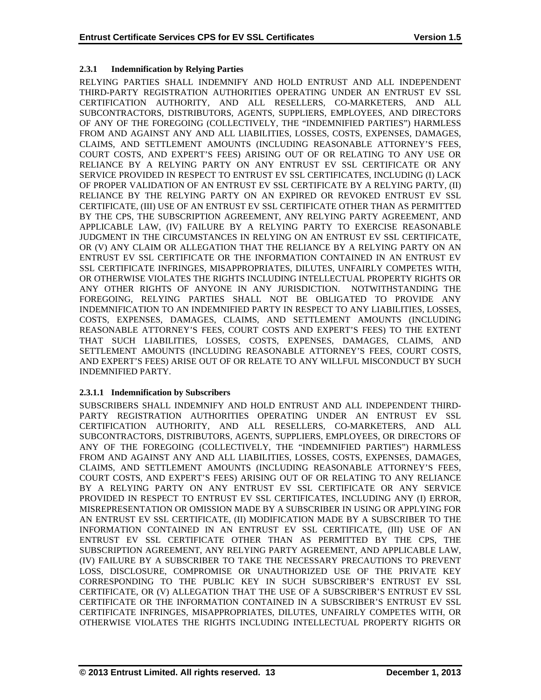# **2.3.1 Indemnification by Relying Parties**

RELYING PARTIES SHALL INDEMNIFY AND HOLD ENTRUST AND ALL INDEPENDENT THIRD-PARTY REGISTRATION AUTHORITIES OPERATING UNDER AN ENTRUST EV SSL CERTIFICATION AUTHORITY, AND ALL RESELLERS, CO-MARKETERS, AND ALL SUBCONTRACTORS, DISTRIBUTORS, AGENTS, SUPPLIERS, EMPLOYEES, AND DIRECTORS OF ANY OF THE FOREGOING (COLLECTIVELY, THE "INDEMNIFIED PARTIES") HARMLESS FROM AND AGAINST ANY AND ALL LIABILITIES, LOSSES, COSTS, EXPENSES, DAMAGES, CLAIMS, AND SETTLEMENT AMOUNTS (INCLUDING REASONABLE ATTORNEY'S FEES, COURT COSTS, AND EXPERT'S FEES) ARISING OUT OF OR RELATING TO ANY USE OR RELIANCE BY A RELYING PARTY ON ANY ENTRUST EV SSL CERTIFICATE OR ANY SERVICE PROVIDED IN RESPECT TO ENTRUST EV SSL CERTIFICATES, INCLUDING (I) LACK OF PROPER VALIDATION OF AN ENTRUST EV SSL CERTIFICATE BY A RELYING PARTY, (II) RELIANCE BY THE RELYING PARTY ON AN EXPIRED OR REVOKED ENTRUST EV SSL CERTIFICATE, (III) USE OF AN ENTRUST EV SSL CERTIFICATE OTHER THAN AS PERMITTED BY THE CPS, THE SUBSCRIPTION AGREEMENT, ANY RELYING PARTY AGREEMENT, AND APPLICABLE LAW, (IV) FAILURE BY A RELYING PARTY TO EXERCISE REASONABLE JUDGMENT IN THE CIRCUMSTANCES IN RELYING ON AN ENTRUST EV SSL CERTIFICATE, OR (V) ANY CLAIM OR ALLEGATION THAT THE RELIANCE BY A RELYING PARTY ON AN ENTRUST EV SSL CERTIFICATE OR THE INFORMATION CONTAINED IN AN ENTRUST EV SSL CERTIFICATE INFRINGES, MISAPPROPRIATES, DILUTES, UNFAIRLY COMPETES WITH, OR OTHERWISE VIOLATES THE RIGHTS INCLUDING INTELLECTUAL PROPERTY RIGHTS OR ANY OTHER RIGHTS OF ANYONE IN ANY JURISDICTION. NOTWITHSTANDING THE FOREGOING, RELYING PARTIES SHALL NOT BE OBLIGATED TO PROVIDE ANY INDEMNIFICATION TO AN INDEMNIFIED PARTY IN RESPECT TO ANY LIABILITIES, LOSSES, COSTS, EXPENSES, DAMAGES, CLAIMS, AND SETTLEMENT AMOUNTS (INCLUDING REASONABLE ATTORNEY'S FEES, COURT COSTS AND EXPERT'S FEES) TO THE EXTENT THAT SUCH LIABILITIES, LOSSES, COSTS, EXPENSES, DAMAGES, CLAIMS, AND SETTLEMENT AMOUNTS (INCLUDING REASONABLE ATTORNEY'S FEES, COURT COSTS, AND EXPERT'S FEES) ARISE OUT OF OR RELATE TO ANY WILLFUL MISCONDUCT BY SUCH INDEMNIFIED PARTY.

# **2.3.1.1 Indemnification by Subscribers**

SUBSCRIBERS SHALL INDEMNIFY AND HOLD ENTRUST AND ALL INDEPENDENT THIRD-PARTY REGISTRATION AUTHORITIES OPERATING UNDER AN ENTRUST EV SSL CERTIFICATION AUTHORITY, AND ALL RESELLERS, CO-MARKETERS, AND ALL SUBCONTRACTORS, DISTRIBUTORS, AGENTS, SUPPLIERS, EMPLOYEES, OR DIRECTORS OF ANY OF THE FOREGOING (COLLECTIVELY, THE "INDEMNIFIED PARTIES") HARMLESS FROM AND AGAINST ANY AND ALL LIABILITIES, LOSSES, COSTS, EXPENSES, DAMAGES, CLAIMS, AND SETTLEMENT AMOUNTS (INCLUDING REASONABLE ATTORNEY'S FEES, COURT COSTS, AND EXPERT'S FEES) ARISING OUT OF OR RELATING TO ANY RELIANCE BY A RELYING PARTY ON ANY ENTRUST EV SSL CERTIFICATE OR ANY SERVICE PROVIDED IN RESPECT TO ENTRUST EV SSL CERTIFICATES, INCLUDING ANY (I) ERROR, MISREPRESENTATION OR OMISSION MADE BY A SUBSCRIBER IN USING OR APPLYING FOR AN ENTRUST EV SSL CERTIFICATE, (II) MODIFICATION MADE BY A SUBSCRIBER TO THE INFORMATION CONTAINED IN AN ENTRUST EV SSL CERTIFICATE, (III) USE OF AN ENTRUST EV SSL CERTIFICATE OTHER THAN AS PERMITTED BY THE CPS, THE SUBSCRIPTION AGREEMENT, ANY RELYING PARTY AGREEMENT, AND APPLICABLE LAW, (IV) FAILURE BY A SUBSCRIBER TO TAKE THE NECESSARY PRECAUTIONS TO PREVENT LOSS, DISCLOSURE, COMPROMISE OR UNAUTHORIZED USE OF THE PRIVATE KEY CORRESPONDING TO THE PUBLIC KEY IN SUCH SUBSCRIBER'S ENTRUST EV SSL CERTIFICATE, OR (V) ALLEGATION THAT THE USE OF A SUBSCRIBER'S ENTRUST EV SSL CERTIFICATE OR THE INFORMATION CONTAINED IN A SUBSCRIBER'S ENTRUST EV SSL CERTIFICATE INFRINGES, MISAPPROPRIATES, DILUTES, UNFAIRLY COMPETES WITH, OR OTHERWISE VIOLATES THE RIGHTS INCLUDING INTELLECTUAL PROPERTY RIGHTS OR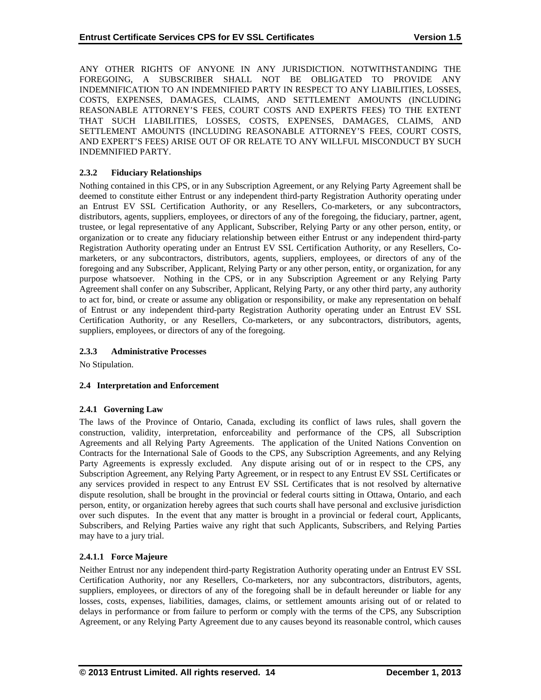ANY OTHER RIGHTS OF ANYONE IN ANY JURISDICTION. NOTWITHSTANDING THE FOREGOING, A SUBSCRIBER SHALL NOT BE OBLIGATED TO PROVIDE ANY INDEMNIFICATION TO AN INDEMNIFIED PARTY IN RESPECT TO ANY LIABILITIES, LOSSES, COSTS, EXPENSES, DAMAGES, CLAIMS, AND SETTLEMENT AMOUNTS (INCLUDING REASONABLE ATTORNEY'S FEES, COURT COSTS AND EXPERTS FEES) TO THE EXTENT THAT SUCH LIABILITIES, LOSSES, COSTS, EXPENSES, DAMAGES, CLAIMS, AND SETTLEMENT AMOUNTS (INCLUDING REASONABLE ATTORNEY'S FEES, COURT COSTS, AND EXPERT'S FEES) ARISE OUT OF OR RELATE TO ANY WILLFUL MISCONDUCT BY SUCH INDEMNIFIED PARTY.

# **2.3.2 Fiduciary Relationships**

Nothing contained in this CPS, or in any Subscription Agreement, or any Relying Party Agreement shall be deemed to constitute either Entrust or any independent third-party Registration Authority operating under an Entrust EV SSL Certification Authority, or any Resellers, Co-marketers, or any subcontractors, distributors, agents, suppliers, employees, or directors of any of the foregoing, the fiduciary, partner, agent, trustee, or legal representative of any Applicant, Subscriber, Relying Party or any other person, entity, or organization or to create any fiduciary relationship between either Entrust or any independent third-party Registration Authority operating under an Entrust EV SSL Certification Authority, or any Resellers, Comarketers, or any subcontractors, distributors, agents, suppliers, employees, or directors of any of the foregoing and any Subscriber, Applicant, Relying Party or any other person, entity, or organization, for any purpose whatsoever. Nothing in the CPS, or in any Subscription Agreement or any Relying Party Agreement shall confer on any Subscriber, Applicant, Relying Party, or any other third party, any authority to act for, bind, or create or assume any obligation or responsibility, or make any representation on behalf of Entrust or any independent third-party Registration Authority operating under an Entrust EV SSL Certification Authority, or any Resellers, Co-marketers, or any subcontractors, distributors, agents, suppliers, employees, or directors of any of the foregoing.

# **2.3.3 Administrative Processes**

No Stipulation.

# **2.4 Interpretation and Enforcement**

#### **2.4.1 Governing Law**

The laws of the Province of Ontario, Canada, excluding its conflict of laws rules, shall govern the construction, validity, interpretation, enforceability and performance of the CPS, all Subscription Agreements and all Relying Party Agreements. The application of the United Nations Convention on Contracts for the International Sale of Goods to the CPS, any Subscription Agreements, and any Relying Party Agreements is expressly excluded. Any dispute arising out of or in respect to the CPS, any Subscription Agreement, any Relying Party Agreement, or in respect to any Entrust EV SSL Certificates or any services provided in respect to any Entrust EV SSL Certificates that is not resolved by alternative dispute resolution, shall be brought in the provincial or federal courts sitting in Ottawa, Ontario, and each person, entity, or organization hereby agrees that such courts shall have personal and exclusive jurisdiction over such disputes. In the event that any matter is brought in a provincial or federal court, Applicants, Subscribers, and Relying Parties waive any right that such Applicants, Subscribers, and Relying Parties may have to a jury trial.

# **2.4.1.1 Force Majeure**

Neither Entrust nor any independent third-party Registration Authority operating under an Entrust EV SSL Certification Authority, nor any Resellers, Co-marketers, nor any subcontractors, distributors, agents, suppliers, employees, or directors of any of the foregoing shall be in default hereunder or liable for any losses, costs, expenses, liabilities, damages, claims, or settlement amounts arising out of or related to delays in performance or from failure to perform or comply with the terms of the CPS, any Subscription Agreement, or any Relying Party Agreement due to any causes beyond its reasonable control, which causes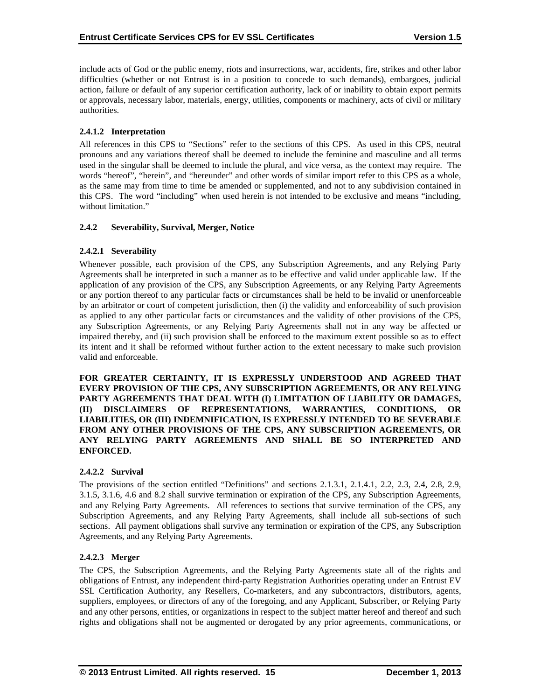include acts of God or the public enemy, riots and insurrections, war, accidents, fire, strikes and other labor difficulties (whether or not Entrust is in a position to concede to such demands), embargoes, judicial action, failure or default of any superior certification authority, lack of or inability to obtain export permits or approvals, necessary labor, materials, energy, utilities, components or machinery, acts of civil or military authorities.

# **2.4.1.2 Interpretation**

All references in this CPS to "Sections" refer to the sections of this CPS. As used in this CPS, neutral pronouns and any variations thereof shall be deemed to include the feminine and masculine and all terms used in the singular shall be deemed to include the plural, and vice versa, as the context may require. The words "hereof", "herein", and "hereunder" and other words of similar import refer to this CPS as a whole, as the same may from time to time be amended or supplemented, and not to any subdivision contained in this CPS. The word "including" when used herein is not intended to be exclusive and means "including, without limitation."

# **2.4.2 Severability, Survival, Merger, Notice**

# **2.4.2.1 Severability**

Whenever possible, each provision of the CPS, any Subscription Agreements, and any Relying Party Agreements shall be interpreted in such a manner as to be effective and valid under applicable law. If the application of any provision of the CPS, any Subscription Agreements, or any Relying Party Agreements or any portion thereof to any particular facts or circumstances shall be held to be invalid or unenforceable by an arbitrator or court of competent jurisdiction, then (i) the validity and enforceability of such provision as applied to any other particular facts or circumstances and the validity of other provisions of the CPS, any Subscription Agreements, or any Relying Party Agreements shall not in any way be affected or impaired thereby, and (ii) such provision shall be enforced to the maximum extent possible so as to effect its intent and it shall be reformed without further action to the extent necessary to make such provision valid and enforceable.

**FOR GREATER CERTAINTY, IT IS EXPRESSLY UNDERSTOOD AND AGREED THAT EVERY PROVISION OF THE CPS, ANY SUBSCRIPTION AGREEMENTS, OR ANY RELYING PARTY AGREEMENTS THAT DEAL WITH (I) LIMITATION OF LIABILITY OR DAMAGES, (II) DISCLAIMERS OF REPRESENTATIONS, WARRANTIES, CONDITIONS, OR LIABILITIES, OR (III) INDEMNIFICATION, IS EXPRESSLY INTENDED TO BE SEVERABLE FROM ANY OTHER PROVISIONS OF THE CPS, ANY SUBSCRIPTION AGREEMENTS, OR ANY RELYING PARTY AGREEMENTS AND SHALL BE SO INTERPRETED AND ENFORCED.** 

# **2.4.2.2 Survival**

The provisions of the section entitled "Definitions" and sections 2.1.3.1, 2.1.4.1, 2.2, 2.3, 2.4, 2.8, 2.9, 3.1.5, 3.1.6, 4.6 and 8.2 shall survive termination or expiration of the CPS, any Subscription Agreements, and any Relying Party Agreements. All references to sections that survive termination of the CPS, any Subscription Agreements, and any Relying Party Agreements, shall include all sub-sections of such sections. All payment obligations shall survive any termination or expiration of the CPS, any Subscription Agreements, and any Relying Party Agreements.

#### **2.4.2.3 Merger**

The CPS, the Subscription Agreements, and the Relying Party Agreements state all of the rights and obligations of Entrust, any independent third-party Registration Authorities operating under an Entrust EV SSL Certification Authority, any Resellers, Co-marketers, and any subcontractors, distributors, agents, suppliers, employees, or directors of any of the foregoing, and any Applicant, Subscriber, or Relying Party and any other persons, entities, or organizations in respect to the subject matter hereof and thereof and such rights and obligations shall not be augmented or derogated by any prior agreements, communications, or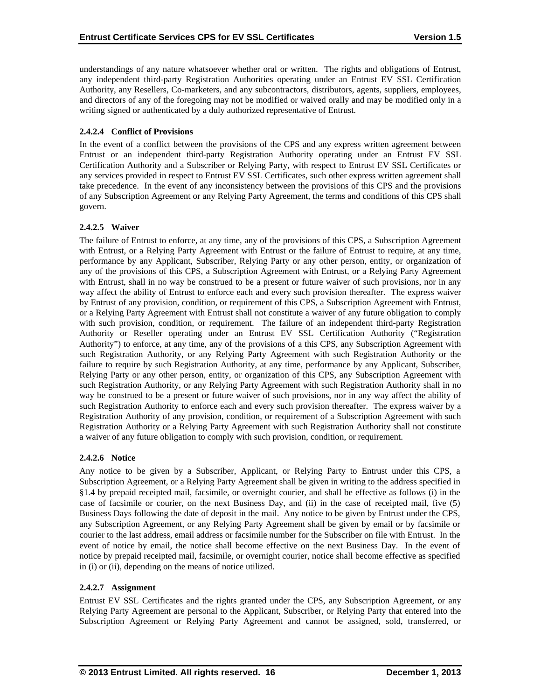understandings of any nature whatsoever whether oral or written. The rights and obligations of Entrust, any independent third-party Registration Authorities operating under an Entrust EV SSL Certification Authority, any Resellers, Co-marketers, and any subcontractors, distributors, agents, suppliers, employees, and directors of any of the foregoing may not be modified or waived orally and may be modified only in a writing signed or authenticated by a duly authorized representative of Entrust.

# **2.4.2.4 Conflict of Provisions**

In the event of a conflict between the provisions of the CPS and any express written agreement between Entrust or an independent third-party Registration Authority operating under an Entrust EV SSL Certification Authority and a Subscriber or Relying Party, with respect to Entrust EV SSL Certificates or any services provided in respect to Entrust EV SSL Certificates, such other express written agreement shall take precedence. In the event of any inconsistency between the provisions of this CPS and the provisions of any Subscription Agreement or any Relying Party Agreement, the terms and conditions of this CPS shall govern.

# **2.4.2.5 Waiver**

The failure of Entrust to enforce, at any time, any of the provisions of this CPS, a Subscription Agreement with Entrust, or a Relying Party Agreement with Entrust or the failure of Entrust to require, at any time, performance by any Applicant, Subscriber, Relying Party or any other person, entity, or organization of any of the provisions of this CPS, a Subscription Agreement with Entrust, or a Relying Party Agreement with Entrust, shall in no way be construed to be a present or future waiver of such provisions, nor in any way affect the ability of Entrust to enforce each and every such provision thereafter. The express waiver by Entrust of any provision, condition, or requirement of this CPS, a Subscription Agreement with Entrust, or a Relying Party Agreement with Entrust shall not constitute a waiver of any future obligation to comply with such provision, condition, or requirement. The failure of an independent third-party Registration Authority or Reseller operating under an Entrust EV SSL Certification Authority ("Registration Authority") to enforce, at any time, any of the provisions of a this CPS, any Subscription Agreement with such Registration Authority, or any Relying Party Agreement with such Registration Authority or the failure to require by such Registration Authority, at any time, performance by any Applicant, Subscriber, Relying Party or any other person, entity, or organization of this CPS, any Subscription Agreement with such Registration Authority, or any Relying Party Agreement with such Registration Authority shall in no way be construed to be a present or future waiver of such provisions, nor in any way affect the ability of such Registration Authority to enforce each and every such provision thereafter. The express waiver by a Registration Authority of any provision, condition, or requirement of a Subscription Agreement with such Registration Authority or a Relying Party Agreement with such Registration Authority shall not constitute a waiver of any future obligation to comply with such provision, condition, or requirement.

#### **2.4.2.6 Notice**

Any notice to be given by a Subscriber, Applicant, or Relying Party to Entrust under this CPS, a Subscription Agreement, or a Relying Party Agreement shall be given in writing to the address specified in §1.4 by prepaid receipted mail, facsimile, or overnight courier, and shall be effective as follows (i) in the case of facsimile or courier, on the next Business Day, and (ii) in the case of receipted mail, five (5) Business Days following the date of deposit in the mail. Any notice to be given by Entrust under the CPS, any Subscription Agreement, or any Relying Party Agreement shall be given by email or by facsimile or courier to the last address, email address or facsimile number for the Subscriber on file with Entrust. In the event of notice by email, the notice shall become effective on the next Business Day. In the event of notice by prepaid receipted mail, facsimile, or overnight courier, notice shall become effective as specified in (i) or (ii), depending on the means of notice utilized.

#### **2.4.2.7 Assignment**

Entrust EV SSL Certificates and the rights granted under the CPS, any Subscription Agreement, or any Relying Party Agreement are personal to the Applicant, Subscriber, or Relying Party that entered into the Subscription Agreement or Relying Party Agreement and cannot be assigned, sold, transferred, or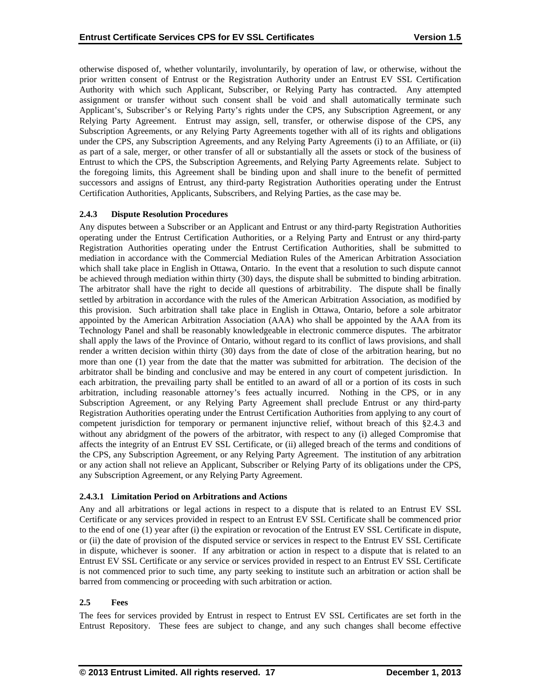otherwise disposed of, whether voluntarily, involuntarily, by operation of law, or otherwise, without the prior written consent of Entrust or the Registration Authority under an Entrust EV SSL Certification Authority with which such Applicant, Subscriber, or Relying Party has contracted. Any attempted assignment or transfer without such consent shall be void and shall automatically terminate such Applicant's, Subscriber's or Relying Party's rights under the CPS, any Subscription Agreement, or any Relying Party Agreement. Entrust may assign, sell, transfer, or otherwise dispose of the CPS, any Subscription Agreements, or any Relying Party Agreements together with all of its rights and obligations under the CPS, any Subscription Agreements, and any Relying Party Agreements (i) to an Affiliate, or (ii) as part of a sale, merger, or other transfer of all or substantially all the assets or stock of the business of Entrust to which the CPS, the Subscription Agreements, and Relying Party Agreements relate. Subject to the foregoing limits, this Agreement shall be binding upon and shall inure to the benefit of permitted successors and assigns of Entrust, any third-party Registration Authorities operating under the Entrust Certification Authorities, Applicants, Subscribers, and Relying Parties, as the case may be.

# **2.4.3 Dispute Resolution Procedures**

Any disputes between a Subscriber or an Applicant and Entrust or any third-party Registration Authorities operating under the Entrust Certification Authorities, or a Relying Party and Entrust or any third-party Registration Authorities operating under the Entrust Certification Authorities, shall be submitted to mediation in accordance with the Commercial Mediation Rules of the American Arbitration Association which shall take place in English in Ottawa, Ontario. In the event that a resolution to such dispute cannot be achieved through mediation within thirty (30) days, the dispute shall be submitted to binding arbitration. The arbitrator shall have the right to decide all questions of arbitrability. The dispute shall be finally settled by arbitration in accordance with the rules of the American Arbitration Association, as modified by this provision. Such arbitration shall take place in English in Ottawa, Ontario, before a sole arbitrator appointed by the American Arbitration Association (AAA) who shall be appointed by the AAA from its Technology Panel and shall be reasonably knowledgeable in electronic commerce disputes. The arbitrator shall apply the laws of the Province of Ontario, without regard to its conflict of laws provisions, and shall render a written decision within thirty (30) days from the date of close of the arbitration hearing, but no more than one (1) year from the date that the matter was submitted for arbitration. The decision of the arbitrator shall be binding and conclusive and may be entered in any court of competent jurisdiction. In each arbitration, the prevailing party shall be entitled to an award of all or a portion of its costs in such arbitration, including reasonable attorney's fees actually incurred. Nothing in the CPS, or in any Subscription Agreement, or any Relying Party Agreement shall preclude Entrust or any third-party Registration Authorities operating under the Entrust Certification Authorities from applying to any court of competent jurisdiction for temporary or permanent injunctive relief, without breach of this §2.4.3 and without any abridgment of the powers of the arbitrator, with respect to any (i) alleged Compromise that affects the integrity of an Entrust EV SSL Certificate, or (ii) alleged breach of the terms and conditions of the CPS, any Subscription Agreement, or any Relying Party Agreement. The institution of any arbitration or any action shall not relieve an Applicant, Subscriber or Relying Party of its obligations under the CPS, any Subscription Agreement, or any Relying Party Agreement.

# **2.4.3.1 Limitation Period on Arbitrations and Actions**

Any and all arbitrations or legal actions in respect to a dispute that is related to an Entrust EV SSL Certificate or any services provided in respect to an Entrust EV SSL Certificate shall be commenced prior to the end of one (1) year after (i) the expiration or revocation of the Entrust EV SSL Certificate in dispute, or (ii) the date of provision of the disputed service or services in respect to the Entrust EV SSL Certificate in dispute, whichever is sooner. If any arbitration or action in respect to a dispute that is related to an Entrust EV SSL Certificate or any service or services provided in respect to an Entrust EV SSL Certificate is not commenced prior to such time, any party seeking to institute such an arbitration or action shall be barred from commencing or proceeding with such arbitration or action.

#### **2.5 Fees**

The fees for services provided by Entrust in respect to Entrust EV SSL Certificates are set forth in the Entrust Repository. These fees are subject to change, and any such changes shall become effective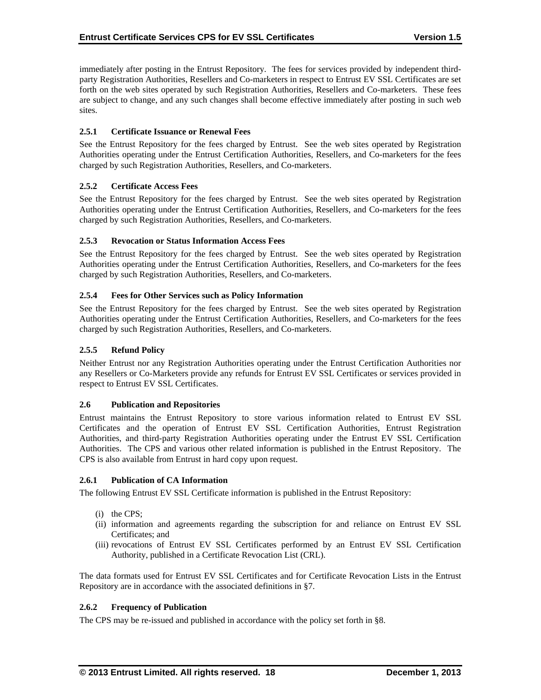immediately after posting in the Entrust Repository. The fees for services provided by independent thirdparty Registration Authorities, Resellers and Co-marketers in respect to Entrust EV SSL Certificates are set forth on the web sites operated by such Registration Authorities, Resellers and Co-marketers. These fees are subject to change, and any such changes shall become effective immediately after posting in such web sites.

# **2.5.1 Certificate Issuance or Renewal Fees**

See the Entrust Repository for the fees charged by Entrust. See the web sites operated by Registration Authorities operating under the Entrust Certification Authorities, Resellers, and Co-marketers for the fees charged by such Registration Authorities, Resellers, and Co-marketers.

# **2.5.2 Certificate Access Fees**

See the Entrust Repository for the fees charged by Entrust. See the web sites operated by Registration Authorities operating under the Entrust Certification Authorities, Resellers, and Co-marketers for the fees charged by such Registration Authorities, Resellers, and Co-marketers.

# **2.5.3 Revocation or Status Information Access Fees**

See the Entrust Repository for the fees charged by Entrust. See the web sites operated by Registration Authorities operating under the Entrust Certification Authorities, Resellers, and Co-marketers for the fees charged by such Registration Authorities, Resellers, and Co-marketers.

# **2.5.4 Fees for Other Services such as Policy Information**

See the Entrust Repository for the fees charged by Entrust. See the web sites operated by Registration Authorities operating under the Entrust Certification Authorities, Resellers, and Co-marketers for the fees charged by such Registration Authorities, Resellers, and Co-marketers.

## **2.5.5 Refund Policy**

Neither Entrust nor any Registration Authorities operating under the Entrust Certification Authorities nor any Resellers or Co-Marketers provide any refunds for Entrust EV SSL Certificates or services provided in respect to Entrust EV SSL Certificates.

#### **2.6 Publication and Repositories**

Entrust maintains the Entrust Repository to store various information related to Entrust EV SSL Certificates and the operation of Entrust EV SSL Certification Authorities, Entrust Registration Authorities, and third-party Registration Authorities operating under the Entrust EV SSL Certification Authorities. The CPS and various other related information is published in the Entrust Repository. The CPS is also available from Entrust in hard copy upon request.

#### **2.6.1 Publication of CA Information**

The following Entrust EV SSL Certificate information is published in the Entrust Repository:

- (i) the CPS;
- (ii) information and agreements regarding the subscription for and reliance on Entrust EV SSL Certificates; and
- (iii) revocations of Entrust EV SSL Certificates performed by an Entrust EV SSL Certification Authority, published in a Certificate Revocation List (CRL).

The data formats used for Entrust EV SSL Certificates and for Certificate Revocation Lists in the Entrust Repository are in accordance with the associated definitions in §7.

#### **2.6.2 Frequency of Publication**

The CPS may be re-issued and published in accordance with the policy set forth in §8.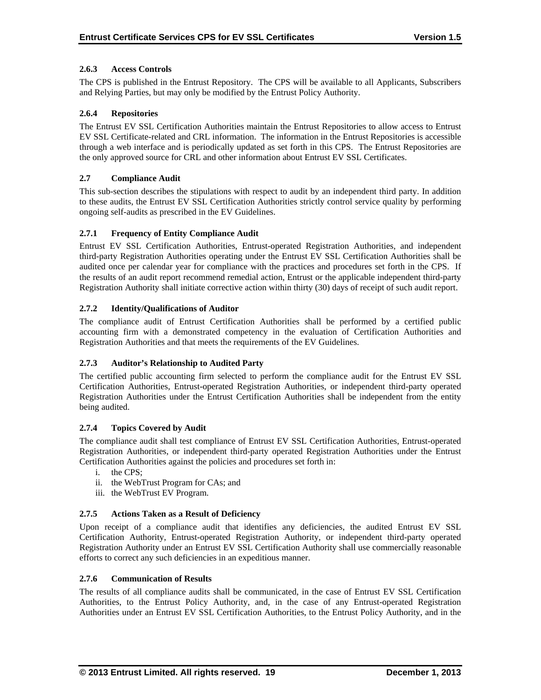# **2.6.3 Access Controls**

The CPS is published in the Entrust Repository. The CPS will be available to all Applicants, Subscribers and Relying Parties, but may only be modified by the Entrust Policy Authority.

# **2.6.4 Repositories**

The Entrust EV SSL Certification Authorities maintain the Entrust Repositories to allow access to Entrust EV SSL Certificate-related and CRL information. The information in the Entrust Repositories is accessible through a web interface and is periodically updated as set forth in this CPS. The Entrust Repositories are the only approved source for CRL and other information about Entrust EV SSL Certificates.

# **2.7 Compliance Audit**

This sub-section describes the stipulations with respect to audit by an independent third party. In addition to these audits, the Entrust EV SSL Certification Authorities strictly control service quality by performing ongoing self-audits as prescribed in the EV Guidelines.

# **2.7.1 Frequency of Entity Compliance Audit**

Entrust EV SSL Certification Authorities, Entrust-operated Registration Authorities, and independent third-party Registration Authorities operating under the Entrust EV SSL Certification Authorities shall be audited once per calendar year for compliance with the practices and procedures set forth in the CPS. If the results of an audit report recommend remedial action, Entrust or the applicable independent third-party Registration Authority shall initiate corrective action within thirty (30) days of receipt of such audit report.

# **2.7.2 Identity/Qualifications of Auditor**

The compliance audit of Entrust Certification Authorities shall be performed by a certified public accounting firm with a demonstrated competency in the evaluation of Certification Authorities and Registration Authorities and that meets the requirements of the EV Guidelines.

# **2.7.3 Auditor's Relationship to Audited Party**

The certified public accounting firm selected to perform the compliance audit for the Entrust EV SSL Certification Authorities, Entrust-operated Registration Authorities, or independent third-party operated Registration Authorities under the Entrust Certification Authorities shall be independent from the entity being audited.

# **2.7.4 Topics Covered by Audit**

The compliance audit shall test compliance of Entrust EV SSL Certification Authorities, Entrust-operated Registration Authorities, or independent third-party operated Registration Authorities under the Entrust Certification Authorities against the policies and procedures set forth in:

- i. the CPS;
- ii. the WebTrust Program for CAs; and
- iii. the WebTrust EV Program.

#### **2.7.5 Actions Taken as a Result of Deficiency**

Upon receipt of a compliance audit that identifies any deficiencies, the audited Entrust EV SSL Certification Authority, Entrust-operated Registration Authority, or independent third-party operated Registration Authority under an Entrust EV SSL Certification Authority shall use commercially reasonable efforts to correct any such deficiencies in an expeditious manner.

#### **2.7.6 Communication of Results**

The results of all compliance audits shall be communicated, in the case of Entrust EV SSL Certification Authorities, to the Entrust Policy Authority, and, in the case of any Entrust-operated Registration Authorities under an Entrust EV SSL Certification Authorities, to the Entrust Policy Authority, and in the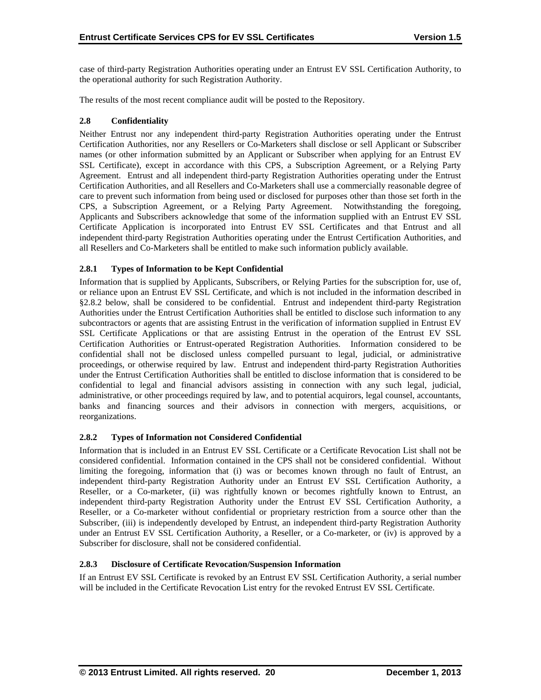case of third-party Registration Authorities operating under an Entrust EV SSL Certification Authority, to the operational authority for such Registration Authority.

The results of the most recent compliance audit will be posted to the Repository.

# **2.8 Confidentiality**

Neither Entrust nor any independent third-party Registration Authorities operating under the Entrust Certification Authorities, nor any Resellers or Co-Marketers shall disclose or sell Applicant or Subscriber names (or other information submitted by an Applicant or Subscriber when applying for an Entrust EV SSL Certificate), except in accordance with this CPS, a Subscription Agreement, or a Relying Party Agreement. Entrust and all independent third-party Registration Authorities operating under the Entrust Certification Authorities, and all Resellers and Co-Marketers shall use a commercially reasonable degree of care to prevent such information from being used or disclosed for purposes other than those set forth in the CPS, a Subscription Agreement, or a Relying Party Agreement. Notwithstanding the foregoing, Applicants and Subscribers acknowledge that some of the information supplied with an Entrust EV SSL Certificate Application is incorporated into Entrust EV SSL Certificates and that Entrust and all independent third-party Registration Authorities operating under the Entrust Certification Authorities, and all Resellers and Co-Marketers shall be entitled to make such information publicly available.

# **2.8.1 Types of Information to be Kept Confidential**

Information that is supplied by Applicants, Subscribers, or Relying Parties for the subscription for, use of, or reliance upon an Entrust EV SSL Certificate, and which is not included in the information described in §2.8.2 below, shall be considered to be confidential. Entrust and independent third-party Registration Authorities under the Entrust Certification Authorities shall be entitled to disclose such information to any subcontractors or agents that are assisting Entrust in the verification of information supplied in Entrust EV SSL Certificate Applications or that are assisting Entrust in the operation of the Entrust EV SSL Certification Authorities or Entrust-operated Registration Authorities. Information considered to be confidential shall not be disclosed unless compelled pursuant to legal, judicial, or administrative proceedings, or otherwise required by law. Entrust and independent third-party Registration Authorities under the Entrust Certification Authorities shall be entitled to disclose information that is considered to be confidential to legal and financial advisors assisting in connection with any such legal, judicial, administrative, or other proceedings required by law, and to potential acquirors, legal counsel, accountants, banks and financing sources and their advisors in connection with mergers, acquisitions, or reorganizations.

# **2.8.2 Types of Information not Considered Confidential**

Information that is included in an Entrust EV SSL Certificate or a Certificate Revocation List shall not be considered confidential. Information contained in the CPS shall not be considered confidential. Without limiting the foregoing, information that (i) was or becomes known through no fault of Entrust, an independent third-party Registration Authority under an Entrust EV SSL Certification Authority, a Reseller, or a Co-marketer, (ii) was rightfully known or becomes rightfully known to Entrust, an independent third-party Registration Authority under the Entrust EV SSL Certification Authority, a Reseller, or a Co-marketer without confidential or proprietary restriction from a source other than the Subscriber, (iii) is independently developed by Entrust, an independent third-party Registration Authority under an Entrust EV SSL Certification Authority, a Reseller, or a Co-marketer, or (iv) is approved by a Subscriber for disclosure, shall not be considered confidential.

# **2.8.3 Disclosure of Certificate Revocation/Suspension Information**

If an Entrust EV SSL Certificate is revoked by an Entrust EV SSL Certification Authority, a serial number will be included in the Certificate Revocation List entry for the revoked Entrust EV SSL Certificate.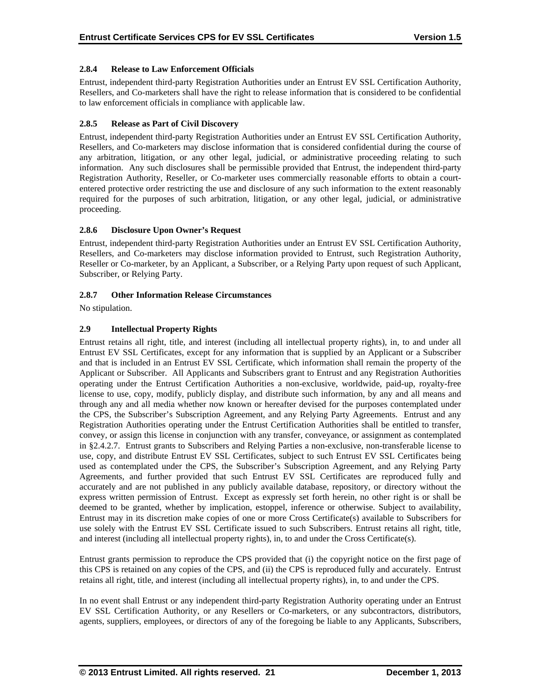# **2.8.4 Release to Law Enforcement Officials**

Entrust, independent third-party Registration Authorities under an Entrust EV SSL Certification Authority, Resellers, and Co-marketers shall have the right to release information that is considered to be confidential to law enforcement officials in compliance with applicable law.

# **2.8.5 Release as Part of Civil Discovery**

Entrust, independent third-party Registration Authorities under an Entrust EV SSL Certification Authority, Resellers, and Co-marketers may disclose information that is considered confidential during the course of any arbitration, litigation, or any other legal, judicial, or administrative proceeding relating to such information. Any such disclosures shall be permissible provided that Entrust, the independent third-party Registration Authority, Reseller, or Co-marketer uses commercially reasonable efforts to obtain a courtentered protective order restricting the use and disclosure of any such information to the extent reasonably required for the purposes of such arbitration, litigation, or any other legal, judicial, or administrative proceeding.

# **2.8.6 Disclosure Upon Owner's Request**

Entrust, independent third-party Registration Authorities under an Entrust EV SSL Certification Authority, Resellers, and Co-marketers may disclose information provided to Entrust, such Registration Authority, Reseller or Co-marketer, by an Applicant, a Subscriber, or a Relying Party upon request of such Applicant, Subscriber, or Relying Party.

# **2.8.7 Other Information Release Circumstances**

No stipulation.

# **2.9 Intellectual Property Rights**

Entrust retains all right, title, and interest (including all intellectual property rights), in, to and under all Entrust EV SSL Certificates, except for any information that is supplied by an Applicant or a Subscriber and that is included in an Entrust EV SSL Certificate, which information shall remain the property of the Applicant or Subscriber. All Applicants and Subscribers grant to Entrust and any Registration Authorities operating under the Entrust Certification Authorities a non-exclusive, worldwide, paid-up, royalty-free license to use, copy, modify, publicly display, and distribute such information, by any and all means and through any and all media whether now known or hereafter devised for the purposes contemplated under the CPS, the Subscriber's Subscription Agreement, and any Relying Party Agreements. Entrust and any Registration Authorities operating under the Entrust Certification Authorities shall be entitled to transfer, convey, or assign this license in conjunction with any transfer, conveyance, or assignment as contemplated in §2.4.2.7. Entrust grants to Subscribers and Relying Parties a non-exclusive, non-transferable license to use, copy, and distribute Entrust EV SSL Certificates, subject to such Entrust EV SSL Certificates being used as contemplated under the CPS, the Subscriber's Subscription Agreement, and any Relying Party Agreements, and further provided that such Entrust EV SSL Certificates are reproduced fully and accurately and are not published in any publicly available database, repository, or directory without the express written permission of Entrust. Except as expressly set forth herein, no other right is or shall be deemed to be granted, whether by implication, estoppel, inference or otherwise. Subject to availability, Entrust may in its discretion make copies of one or more Cross Certificate(s) available to Subscribers for use solely with the Entrust EV SSL Certificate issued to such Subscribers. Entrust retains all right, title, and interest (including all intellectual property rights), in, to and under the Cross Certificate(s).

Entrust grants permission to reproduce the CPS provided that (i) the copyright notice on the first page of this CPS is retained on any copies of the CPS, and (ii) the CPS is reproduced fully and accurately. Entrust retains all right, title, and interest (including all intellectual property rights), in, to and under the CPS.

In no event shall Entrust or any independent third-party Registration Authority operating under an Entrust EV SSL Certification Authority, or any Resellers or Co-marketers, or any subcontractors, distributors, agents, suppliers, employees, or directors of any of the foregoing be liable to any Applicants, Subscribers,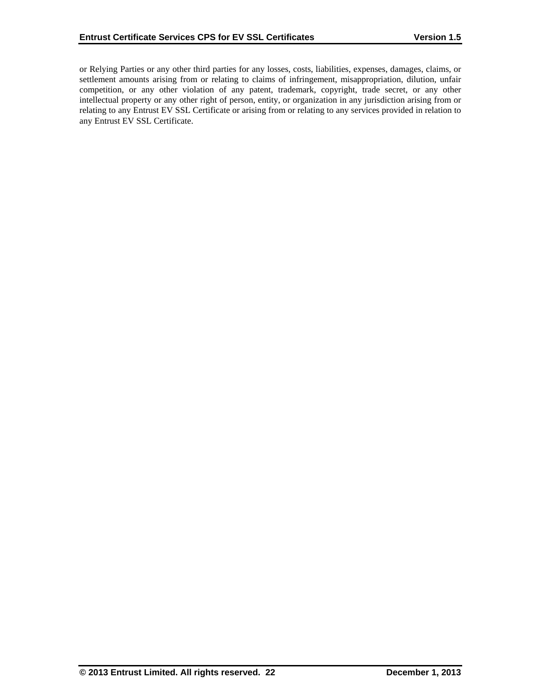or Relying Parties or any other third parties for any losses, costs, liabilities, expenses, damages, claims, or settlement amounts arising from or relating to claims of infringement, misappropriation, dilution, unfair competition, or any other violation of any patent, trademark, copyright, trade secret, or any other intellectual property or any other right of person, entity, or organization in any jurisdiction arising from or relating to any Entrust EV SSL Certificate or arising from or relating to any services provided in relation to any Entrust EV SSL Certificate.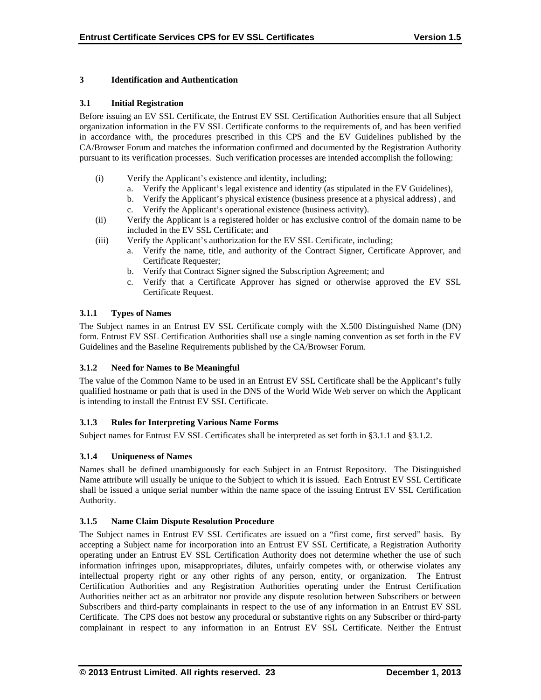# **3 Identification and Authentication**

## **3.1 Initial Registration**

Before issuing an EV SSL Certificate, the Entrust EV SSL Certification Authorities ensure that all Subject organization information in the EV SSL Certificate conforms to the requirements of, and has been verified in accordance with, the procedures prescribed in this CPS and the EV Guidelines published by the CA/Browser Forum and matches the information confirmed and documented by the Registration Authority pursuant to its verification processes. Such verification processes are intended accomplish the following:

- (i) Verify the Applicant's existence and identity, including;
	- a. Verify the Applicant's legal existence and identity (as stipulated in the EV Guidelines),
	- b. Verify the Applicant's physical existence (business presence at a physical address) , and
	- c. Verify the Applicant's operational existence (business activity).
- (ii) Verify the Applicant is a registered holder or has exclusive control of the domain name to be included in the EV SSL Certificate; and
- (iii) Verify the Applicant's authorization for the EV SSL Certificate, including;
	- a. Verify the name, title, and authority of the Contract Signer, Certificate Approver, and Certificate Requester;
	- b. Verify that Contract Signer signed the Subscription Agreement; and
	- c. Verify that a Certificate Approver has signed or otherwise approved the EV SSL Certificate Request.

# **3.1.1 Types of Names**

The Subject names in an Entrust EV SSL Certificate comply with the X.500 Distinguished Name (DN) form. Entrust EV SSL Certification Authorities shall use a single naming convention as set forth in the EV Guidelines and the Baseline Requirements published by the CA/Browser Forum.

# **3.1.2 Need for Names to Be Meaningful**

The value of the Common Name to be used in an Entrust EV SSL Certificate shall be the Applicant's fully qualified hostname or path that is used in the DNS of the World Wide Web server on which the Applicant is intending to install the Entrust EV SSL Certificate.

# **3.1.3 Rules for Interpreting Various Name Forms**

Subject names for Entrust EV SSL Certificates shall be interpreted as set forth in §3.1.1 and §3.1.2.

# **3.1.4 Uniqueness of Names**

Names shall be defined unambiguously for each Subject in an Entrust Repository. The Distinguished Name attribute will usually be unique to the Subject to which it is issued. Each Entrust EV SSL Certificate shall be issued a unique serial number within the name space of the issuing Entrust EV SSL Certification Authority.

## **3.1.5 Name Claim Dispute Resolution Procedure**

The Subject names in Entrust EV SSL Certificates are issued on a "first come, first served" basis. By accepting a Subject name for incorporation into an Entrust EV SSL Certificate, a Registration Authority operating under an Entrust EV SSL Certification Authority does not determine whether the use of such information infringes upon, misappropriates, dilutes, unfairly competes with, or otherwise violates any intellectual property right or any other rights of any person, entity, or organization. The Entrust Certification Authorities and any Registration Authorities operating under the Entrust Certification Authorities neither act as an arbitrator nor provide any dispute resolution between Subscribers or between Subscribers and third-party complainants in respect to the use of any information in an Entrust EV SSL Certificate. The CPS does not bestow any procedural or substantive rights on any Subscriber or third-party complainant in respect to any information in an Entrust EV SSL Certificate. Neither the Entrust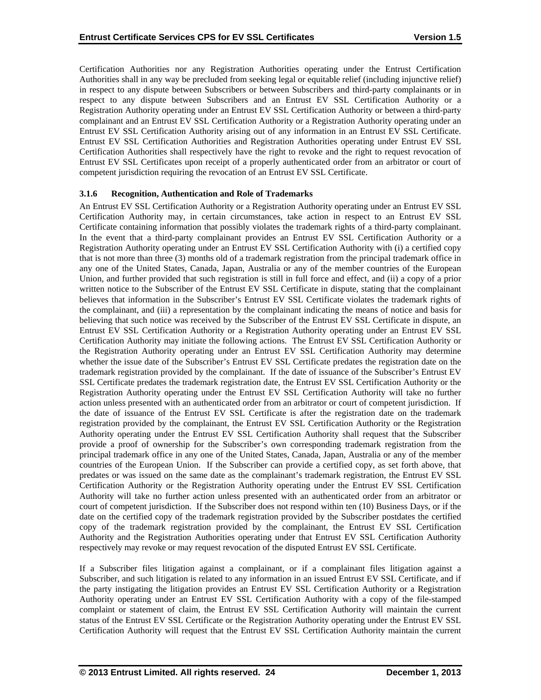Certification Authorities nor any Registration Authorities operating under the Entrust Certification Authorities shall in any way be precluded from seeking legal or equitable relief (including injunctive relief) in respect to any dispute between Subscribers or between Subscribers and third-party complainants or in respect to any dispute between Subscribers and an Entrust EV SSL Certification Authority or a Registration Authority operating under an Entrust EV SSL Certification Authority or between a third-party complainant and an Entrust EV SSL Certification Authority or a Registration Authority operating under an Entrust EV SSL Certification Authority arising out of any information in an Entrust EV SSL Certificate. Entrust EV SSL Certification Authorities and Registration Authorities operating under Entrust EV SSL Certification Authorities shall respectively have the right to revoke and the right to request revocation of Entrust EV SSL Certificates upon receipt of a properly authenticated order from an arbitrator or court of competent jurisdiction requiring the revocation of an Entrust EV SSL Certificate.

#### **3.1.6 Recognition, Authentication and Role of Trademarks**

An Entrust EV SSL Certification Authority or a Registration Authority operating under an Entrust EV SSL Certification Authority may, in certain circumstances, take action in respect to an Entrust EV SSL Certificate containing information that possibly violates the trademark rights of a third-party complainant. In the event that a third-party complainant provides an Entrust EV SSL Certification Authority or a Registration Authority operating under an Entrust EV SSL Certification Authority with (i) a certified copy that is not more than three (3) months old of a trademark registration from the principal trademark office in any one of the United States, Canada, Japan, Australia or any of the member countries of the European Union, and further provided that such registration is still in full force and effect, and (ii) a copy of a prior written notice to the Subscriber of the Entrust EV SSL Certificate in dispute, stating that the complainant believes that information in the Subscriber's Entrust EV SSL Certificate violates the trademark rights of the complainant, and (iii) a representation by the complainant indicating the means of notice and basis for believing that such notice was received by the Subscriber of the Entrust EV SSL Certificate in dispute, an Entrust EV SSL Certification Authority or a Registration Authority operating under an Entrust EV SSL Certification Authority may initiate the following actions. The Entrust EV SSL Certification Authority or the Registration Authority operating under an Entrust EV SSL Certification Authority may determine whether the issue date of the Subscriber's Entrust EV SSL Certificate predates the registration date on the trademark registration provided by the complainant. If the date of issuance of the Subscriber's Entrust EV SSL Certificate predates the trademark registration date, the Entrust EV SSL Certification Authority or the Registration Authority operating under the Entrust EV SSL Certification Authority will take no further action unless presented with an authenticated order from an arbitrator or court of competent jurisdiction. If the date of issuance of the Entrust EV SSL Certificate is after the registration date on the trademark registration provided by the complainant, the Entrust EV SSL Certification Authority or the Registration Authority operating under the Entrust EV SSL Certification Authority shall request that the Subscriber provide a proof of ownership for the Subscriber's own corresponding trademark registration from the principal trademark office in any one of the United States, Canada, Japan, Australia or any of the member countries of the European Union. If the Subscriber can provide a certified copy, as set forth above, that predates or was issued on the same date as the complainant's trademark registration, the Entrust EV SSL Certification Authority or the Registration Authority operating under the Entrust EV SSL Certification Authority will take no further action unless presented with an authenticated order from an arbitrator or court of competent jurisdiction. If the Subscriber does not respond within ten (10) Business Days, or if the date on the certified copy of the trademark registration provided by the Subscriber postdates the certified copy of the trademark registration provided by the complainant, the Entrust EV SSL Certification Authority and the Registration Authorities operating under that Entrust EV SSL Certification Authority respectively may revoke or may request revocation of the disputed Entrust EV SSL Certificate.

If a Subscriber files litigation against a complainant, or if a complainant files litigation against a Subscriber, and such litigation is related to any information in an issued Entrust EV SSL Certificate, and if the party instigating the litigation provides an Entrust EV SSL Certification Authority or a Registration Authority operating under an Entrust EV SSL Certification Authority with a copy of the file-stamped complaint or statement of claim, the Entrust EV SSL Certification Authority will maintain the current status of the Entrust EV SSL Certificate or the Registration Authority operating under the Entrust EV SSL Certification Authority will request that the Entrust EV SSL Certification Authority maintain the current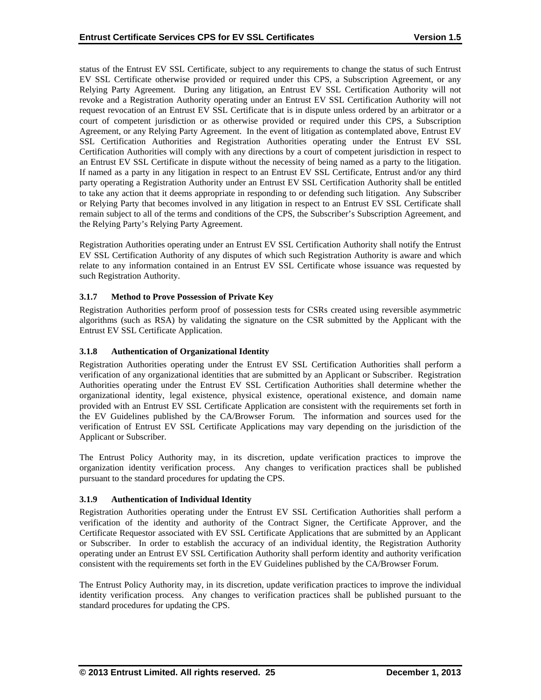status of the Entrust EV SSL Certificate, subject to any requirements to change the status of such Entrust EV SSL Certificate otherwise provided or required under this CPS, a Subscription Agreement, or any Relying Party Agreement. During any litigation, an Entrust EV SSL Certification Authority will not revoke and a Registration Authority operating under an Entrust EV SSL Certification Authority will not request revocation of an Entrust EV SSL Certificate that is in dispute unless ordered by an arbitrator or a court of competent jurisdiction or as otherwise provided or required under this CPS, a Subscription Agreement, or any Relying Party Agreement. In the event of litigation as contemplated above, Entrust EV SSL Certification Authorities and Registration Authorities operating under the Entrust EV SSL Certification Authorities will comply with any directions by a court of competent jurisdiction in respect to an Entrust EV SSL Certificate in dispute without the necessity of being named as a party to the litigation. If named as a party in any litigation in respect to an Entrust EV SSL Certificate, Entrust and/or any third party operating a Registration Authority under an Entrust EV SSL Certification Authority shall be entitled to take any action that it deems appropriate in responding to or defending such litigation. Any Subscriber or Relying Party that becomes involved in any litigation in respect to an Entrust EV SSL Certificate shall remain subject to all of the terms and conditions of the CPS, the Subscriber's Subscription Agreement, and the Relying Party's Relying Party Agreement.

Registration Authorities operating under an Entrust EV SSL Certification Authority shall notify the Entrust EV SSL Certification Authority of any disputes of which such Registration Authority is aware and which relate to any information contained in an Entrust EV SSL Certificate whose issuance was requested by such Registration Authority.

# **3.1.7 Method to Prove Possession of Private Key**

Registration Authorities perform proof of possession tests for CSRs created using reversible asymmetric algorithms (such as RSA) by validating the signature on the CSR submitted by the Applicant with the Entrust EV SSL Certificate Application.

## **3.1.8 Authentication of Organizational Identity**

Registration Authorities operating under the Entrust EV SSL Certification Authorities shall perform a verification of any organizational identities that are submitted by an Applicant or Subscriber. Registration Authorities operating under the Entrust EV SSL Certification Authorities shall determine whether the organizational identity, legal existence, physical existence, operational existence, and domain name provided with an Entrust EV SSL Certificate Application are consistent with the requirements set forth in the EV Guidelines published by the CA/Browser Forum. The information and sources used for the verification of Entrust EV SSL Certificate Applications may vary depending on the jurisdiction of the Applicant or Subscriber.

The Entrust Policy Authority may, in its discretion, update verification practices to improve the organization identity verification process. Any changes to verification practices shall be published pursuant to the standard procedures for updating the CPS.

#### **3.1.9 Authentication of Individual Identity**

Registration Authorities operating under the Entrust EV SSL Certification Authorities shall perform a verification of the identity and authority of the Contract Signer, the Certificate Approver, and the Certificate Requestor associated with EV SSL Certificate Applications that are submitted by an Applicant or Subscriber. In order to establish the accuracy of an individual identity, the Registration Authority operating under an Entrust EV SSL Certification Authority shall perform identity and authority verification consistent with the requirements set forth in the EV Guidelines published by the CA/Browser Forum.

The Entrust Policy Authority may, in its discretion, update verification practices to improve the individual identity verification process. Any changes to verification practices shall be published pursuant to the standard procedures for updating the CPS.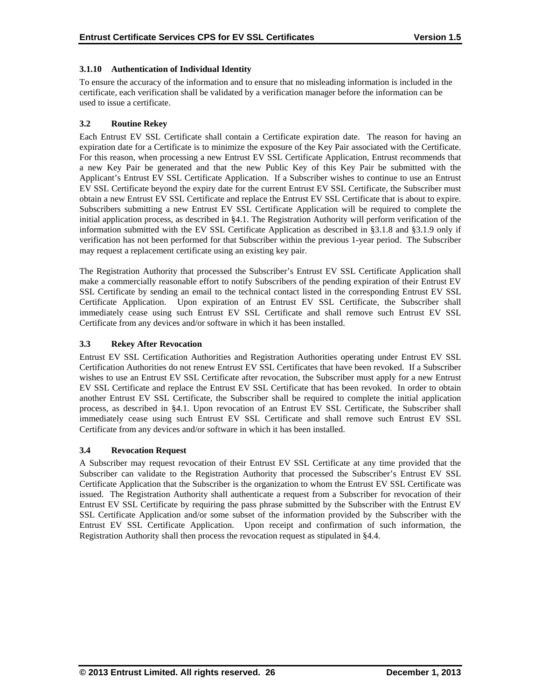# **3.1.10 Authentication of Individual Identity**

To ensure the accuracy of the information and to ensure that no misleading information is included in the certificate, each verification shall be validated by a verification manager before the information can be used to issue a certificate.

# **3.2 Routine Rekey**

Each Entrust EV SSL Certificate shall contain a Certificate expiration date. The reason for having an expiration date for a Certificate is to minimize the exposure of the Key Pair associated with the Certificate. For this reason, when processing a new Entrust EV SSL Certificate Application, Entrust recommends that a new Key Pair be generated and that the new Public Key of this Key Pair be submitted with the Applicant's Entrust EV SSL Certificate Application. If a Subscriber wishes to continue to use an Entrust EV SSL Certificate beyond the expiry date for the current Entrust EV SSL Certificate, the Subscriber must obtain a new Entrust EV SSL Certificate and replace the Entrust EV SSL Certificate that is about to expire. Subscribers submitting a new Entrust EV SSL Certificate Application will be required to complete the initial application process, as described in §4.1. The Registration Authority will perform verification of the information submitted with the EV SSL Certificate Application as described in §3.1.8 and §3.1.9 only if verification has not been performed for that Subscriber within the previous 1-year period. The Subscriber may request a replacement certificate using an existing key pair.

The Registration Authority that processed the Subscriber's Entrust EV SSL Certificate Application shall make a commercially reasonable effort to notify Subscribers of the pending expiration of their Entrust EV SSL Certificate by sending an email to the technical contact listed in the corresponding Entrust EV SSL Certificate Application. Upon expiration of an Entrust EV SSL Certificate, the Subscriber shall immediately cease using such Entrust EV SSL Certificate and shall remove such Entrust EV SSL Certificate from any devices and/or software in which it has been installed.

# **3.3 Rekey After Revocation**

Entrust EV SSL Certification Authorities and Registration Authorities operating under Entrust EV SSL Certification Authorities do not renew Entrust EV SSL Certificates that have been revoked. If a Subscriber wishes to use an Entrust EV SSL Certificate after revocation, the Subscriber must apply for a new Entrust EV SSL Certificate and replace the Entrust EV SSL Certificate that has been revoked. In order to obtain another Entrust EV SSL Certificate, the Subscriber shall be required to complete the initial application process, as described in §4.1. Upon revocation of an Entrust EV SSL Certificate, the Subscriber shall immediately cease using such Entrust EV SSL Certificate and shall remove such Entrust EV SSL Certificate from any devices and/or software in which it has been installed.

#### **3.4 Revocation Request**

A Subscriber may request revocation of their Entrust EV SSL Certificate at any time provided that the Subscriber can validate to the Registration Authority that processed the Subscriber's Entrust EV SSL Certificate Application that the Subscriber is the organization to whom the Entrust EV SSL Certificate was issued. The Registration Authority shall authenticate a request from a Subscriber for revocation of their Entrust EV SSL Certificate by requiring the pass phrase submitted by the Subscriber with the Entrust EV SSL Certificate Application and/or some subset of the information provided by the Subscriber with the Entrust EV SSL Certificate Application. Upon receipt and confirmation of such information, the Registration Authority shall then process the revocation request as stipulated in §4.4.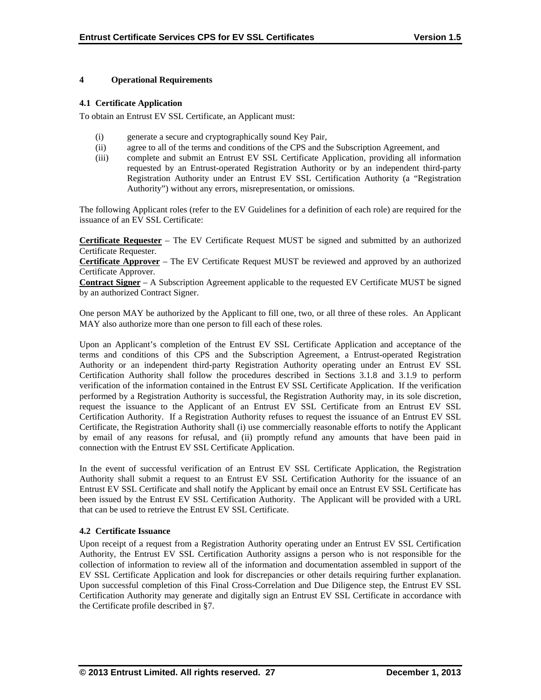# **4 Operational Requirements**

#### **4.1 Certificate Application**

To obtain an Entrust EV SSL Certificate, an Applicant must:

- (i) generate a secure and cryptographically sound Key Pair,
- (ii) agree to all of the terms and conditions of the CPS and the Subscription Agreement, and
- (iii) complete and submit an Entrust EV SSL Certificate Application, providing all information requested by an Entrust-operated Registration Authority or by an independent third-party Registration Authority under an Entrust EV SSL Certification Authority (a "Registration Authority") without any errors, misrepresentation, or omissions.

The following Applicant roles (refer to the EV Guidelines for a definition of each role) are required for the issuance of an EV SSL Certificate:

**Certificate Requester** – The EV Certificate Request MUST be signed and submitted by an authorized Certificate Requester.

**Certificate Approver** – The EV Certificate Request MUST be reviewed and approved by an authorized Certificate Approver.

**Contract Signer** – A Subscription Agreement applicable to the requested EV Certificate MUST be signed by an authorized Contract Signer.

One person MAY be authorized by the Applicant to fill one, two, or all three of these roles. An Applicant MAY also authorize more than one person to fill each of these roles.

Upon an Applicant's completion of the Entrust EV SSL Certificate Application and acceptance of the terms and conditions of this CPS and the Subscription Agreement, a Entrust-operated Registration Authority or an independent third-party Registration Authority operating under an Entrust EV SSL Certification Authority shall follow the procedures described in Sections 3.1.8 and 3.1.9 to perform verification of the information contained in the Entrust EV SSL Certificate Application. If the verification performed by a Registration Authority is successful, the Registration Authority may, in its sole discretion, request the issuance to the Applicant of an Entrust EV SSL Certificate from an Entrust EV SSL Certification Authority. If a Registration Authority refuses to request the issuance of an Entrust EV SSL Certificate, the Registration Authority shall (i) use commercially reasonable efforts to notify the Applicant by email of any reasons for refusal, and (ii) promptly refund any amounts that have been paid in connection with the Entrust EV SSL Certificate Application.

In the event of successful verification of an Entrust EV SSL Certificate Application, the Registration Authority shall submit a request to an Entrust EV SSL Certification Authority for the issuance of an Entrust EV SSL Certificate and shall notify the Applicant by email once an Entrust EV SSL Certificate has been issued by the Entrust EV SSL Certification Authority. The Applicant will be provided with a URL that can be used to retrieve the Entrust EV SSL Certificate.

# **4.2 Certificate Issuance**

Upon receipt of a request from a Registration Authority operating under an Entrust EV SSL Certification Authority, the Entrust EV SSL Certification Authority assigns a person who is not responsible for the collection of information to review all of the information and documentation assembled in support of the EV SSL Certificate Application and look for discrepancies or other details requiring further explanation. Upon successful completion of this Final Cross-Correlation and Due Diligence step, the Entrust EV SSL Certification Authority may generate and digitally sign an Entrust EV SSL Certificate in accordance with the Certificate profile described in §7.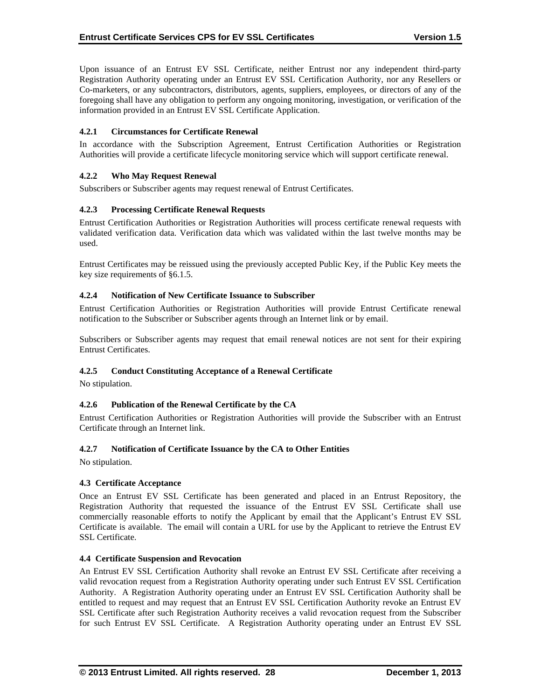Upon issuance of an Entrust EV SSL Certificate, neither Entrust nor any independent third-party Registration Authority operating under an Entrust EV SSL Certification Authority, nor any Resellers or Co-marketers, or any subcontractors, distributors, agents, suppliers, employees, or directors of any of the foregoing shall have any obligation to perform any ongoing monitoring, investigation, or verification of the information provided in an Entrust EV SSL Certificate Application.

# **4.2.1 Circumstances for Certificate Renewal**

In accordance with the Subscription Agreement, Entrust Certification Authorities or Registration Authorities will provide a certificate lifecycle monitoring service which will support certificate renewal.

# **4.2.2 Who May Request Renewal**

Subscribers or Subscriber agents may request renewal of Entrust Certificates.

# **4.2.3 Processing Certificate Renewal Requests**

Entrust Certification Authorities or Registration Authorities will process certificate renewal requests with validated verification data. Verification data which was validated within the last twelve months may be used.

Entrust Certificates may be reissued using the previously accepted Public Key, if the Public Key meets the key size requirements of §6.1.5.

#### **4.2.4 Notification of New Certificate Issuance to Subscriber**

Entrust Certification Authorities or Registration Authorities will provide Entrust Certificate renewal notification to the Subscriber or Subscriber agents through an Internet link or by email.

Subscribers or Subscriber agents may request that email renewal notices are not sent for their expiring Entrust Certificates.

#### **4.2.5 Conduct Constituting Acceptance of a Renewal Certificate**

No stipulation.

#### **4.2.6 Publication of the Renewal Certificate by the CA**

Entrust Certification Authorities or Registration Authorities will provide the Subscriber with an Entrust Certificate through an Internet link.

#### **4.2.7 Notification of Certificate Issuance by the CA to Other Entities**

No stipulation.

#### **4.3 Certificate Acceptance**

Once an Entrust EV SSL Certificate has been generated and placed in an Entrust Repository, the Registration Authority that requested the issuance of the Entrust EV SSL Certificate shall use commercially reasonable efforts to notify the Applicant by email that the Applicant's Entrust EV SSL Certificate is available. The email will contain a URL for use by the Applicant to retrieve the Entrust EV SSL Certificate.

#### **4.4 Certificate Suspension and Revocation**

An Entrust EV SSL Certification Authority shall revoke an Entrust EV SSL Certificate after receiving a valid revocation request from a Registration Authority operating under such Entrust EV SSL Certification Authority. A Registration Authority operating under an Entrust EV SSL Certification Authority shall be entitled to request and may request that an Entrust EV SSL Certification Authority revoke an Entrust EV SSL Certificate after such Registration Authority receives a valid revocation request from the Subscriber for such Entrust EV SSL Certificate. A Registration Authority operating under an Entrust EV SSL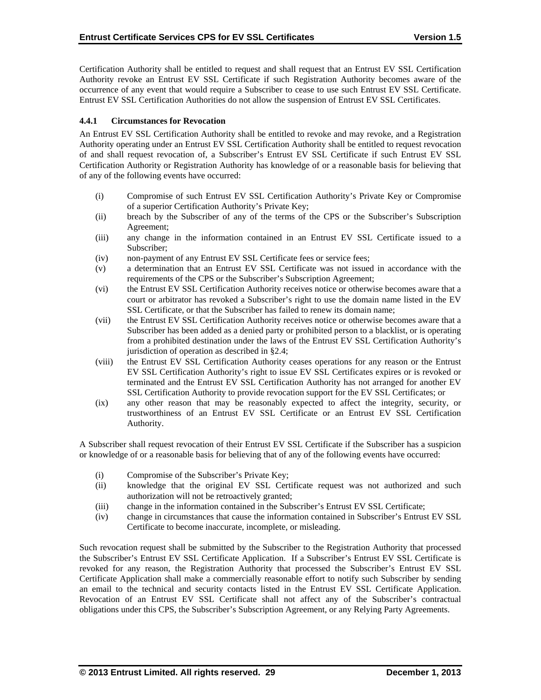Certification Authority shall be entitled to request and shall request that an Entrust EV SSL Certification Authority revoke an Entrust EV SSL Certificate if such Registration Authority becomes aware of the occurrence of any event that would require a Subscriber to cease to use such Entrust EV SSL Certificate. Entrust EV SSL Certification Authorities do not allow the suspension of Entrust EV SSL Certificates.

# **4.4.1 Circumstances for Revocation**

An Entrust EV SSL Certification Authority shall be entitled to revoke and may revoke, and a Registration Authority operating under an Entrust EV SSL Certification Authority shall be entitled to request revocation of and shall request revocation of, a Subscriber's Entrust EV SSL Certificate if such Entrust EV SSL Certification Authority or Registration Authority has knowledge of or a reasonable basis for believing that of any of the following events have occurred:

- (i) Compromise of such Entrust EV SSL Certification Authority's Private Key or Compromise of a superior Certification Authority's Private Key;
- (ii) breach by the Subscriber of any of the terms of the CPS or the Subscriber's Subscription Agreement;
- (iii) any change in the information contained in an Entrust EV SSL Certificate issued to a Subscriber;
- (iv) non-payment of any Entrust EV SSL Certificate fees or service fees;
- (v) a determination that an Entrust EV SSL Certificate was not issued in accordance with the requirements of the CPS or the Subscriber's Subscription Agreement;
- (vi) the Entrust EV SSL Certification Authority receives notice or otherwise becomes aware that a court or arbitrator has revoked a Subscriber's right to use the domain name listed in the EV SSL Certificate, or that the Subscriber has failed to renew its domain name;
- (vii) the Entrust EV SSL Certification Authority receives notice or otherwise becomes aware that a Subscriber has been added as a denied party or prohibited person to a blacklist, or is operating from a prohibited destination under the laws of the Entrust EV SSL Certification Authority's jurisdiction of operation as described in §2.4;
- (viii) the Entrust EV SSL Certification Authority ceases operations for any reason or the Entrust EV SSL Certification Authority's right to issue EV SSL Certificates expires or is revoked or terminated and the Entrust EV SSL Certification Authority has not arranged for another EV SSL Certification Authority to provide revocation support for the EV SSL Certificates; or
- (ix) any other reason that may be reasonably expected to affect the integrity, security, or trustworthiness of an Entrust EV SSL Certificate or an Entrust EV SSL Certification Authority.

A Subscriber shall request revocation of their Entrust EV SSL Certificate if the Subscriber has a suspicion or knowledge of or a reasonable basis for believing that of any of the following events have occurred:

- (i) Compromise of the Subscriber's Private Key;
- (ii) knowledge that the original EV SSL Certificate request was not authorized and such authorization will not be retroactively granted;
- (iii) change in the information contained in the Subscriber's Entrust EV SSL Certificate;
- (iv) change in circumstances that cause the information contained in Subscriber's Entrust EV SSL Certificate to become inaccurate, incomplete, or misleading.

Such revocation request shall be submitted by the Subscriber to the Registration Authority that processed the Subscriber's Entrust EV SSL Certificate Application. If a Subscriber's Entrust EV SSL Certificate is revoked for any reason, the Registration Authority that processed the Subscriber's Entrust EV SSL Certificate Application shall make a commercially reasonable effort to notify such Subscriber by sending an email to the technical and security contacts listed in the Entrust EV SSL Certificate Application. Revocation of an Entrust EV SSL Certificate shall not affect any of the Subscriber's contractual obligations under this CPS, the Subscriber's Subscription Agreement, or any Relying Party Agreements.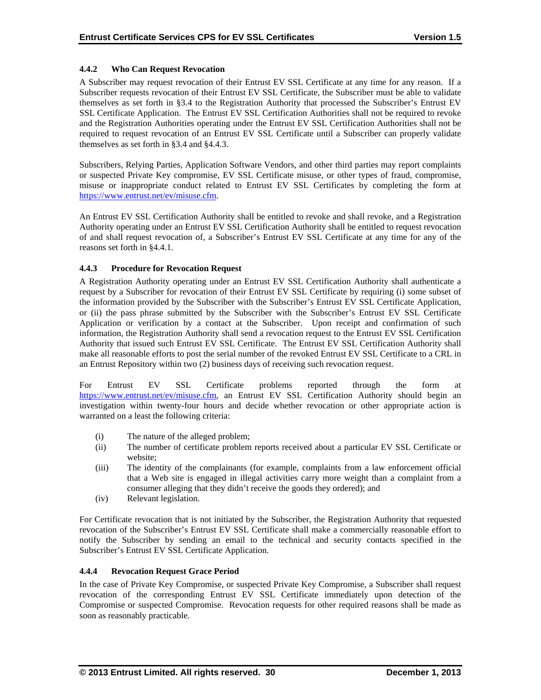# **4.4.2 Who Can Request Revocation**

A Subscriber may request revocation of their Entrust EV SSL Certificate at any time for any reason. If a Subscriber requests revocation of their Entrust EV SSL Certificate, the Subscriber must be able to validate themselves as set forth in §3.4 to the Registration Authority that processed the Subscriber's Entrust EV SSL Certificate Application. The Entrust EV SSL Certification Authorities shall not be required to revoke and the Registration Authorities operating under the Entrust EV SSL Certification Authorities shall not be required to request revocation of an Entrust EV SSL Certificate until a Subscriber can properly validate themselves as set forth in §3.4 and §4.4.3.

Subscribers, Relying Parties, Application Software Vendors, and other third parties may report complaints or suspected Private Key compromise, EV SSL Certificate misuse, or other types of fraud, compromise, misuse or inappropriate conduct related to Entrust EV SSL Certificates by completing the form at https://www.entrust.net/ev/misuse.cfm.

An Entrust EV SSL Certification Authority shall be entitled to revoke and shall revoke, and a Registration Authority operating under an Entrust EV SSL Certification Authority shall be entitled to request revocation of and shall request revocation of, a Subscriber's Entrust EV SSL Certificate at any time for any of the reasons set forth in §4.4.1.

# **4.4.3 Procedure for Revocation Request**

A Registration Authority operating under an Entrust EV SSL Certification Authority shall authenticate a request by a Subscriber for revocation of their Entrust EV SSL Certificate by requiring (i) some subset of the information provided by the Subscriber with the Subscriber's Entrust EV SSL Certificate Application, or (ii) the pass phrase submitted by the Subscriber with the Subscriber's Entrust EV SSL Certificate Application or verification by a contact at the Subscriber. Upon receipt and confirmation of such information, the Registration Authority shall send a revocation request to the Entrust EV SSL Certification Authority that issued such Entrust EV SSL Certificate. The Entrust EV SSL Certification Authority shall make all reasonable efforts to post the serial number of the revoked Entrust EV SSL Certificate to a CRL in an Entrust Repository within two (2) business days of receiving such revocation request.

For Entrust EV SSL Certificate problems reported through the form at https://www.entrust.net/ev/misuse.cfm, an Entrust EV SSL Certification Authority should begin an investigation within twenty-four hours and decide whether revocation or other appropriate action is warranted on a least the following criteria:

- (i) The nature of the alleged problem;
- (ii) The number of certificate problem reports received about a particular EV SSL Certificate or website;
- (iii) The identity of the complainants (for example, complaints from a law enforcement official that a Web site is engaged in illegal activities carry more weight than a complaint from a consumer alleging that they didn't receive the goods they ordered); and
- (iv) Relevant legislation.

For Certificate revocation that is not initiated by the Subscriber, the Registration Authority that requested revocation of the Subscriber's Entrust EV SSL Certificate shall make a commercially reasonable effort to notify the Subscriber by sending an email to the technical and security contacts specified in the Subscriber's Entrust EV SSL Certificate Application.

# **4.4.4 Revocation Request Grace Period**

In the case of Private Key Compromise, or suspected Private Key Compromise, a Subscriber shall request revocation of the corresponding Entrust EV SSL Certificate immediately upon detection of the Compromise or suspected Compromise. Revocation requests for other required reasons shall be made as soon as reasonably practicable.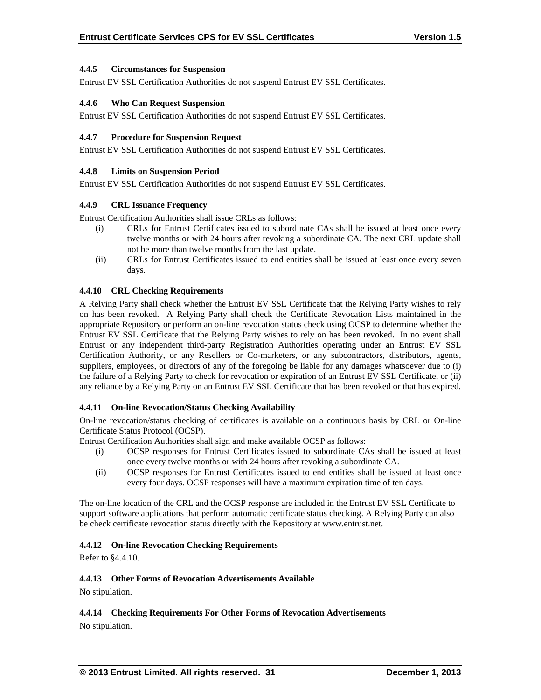# **4.4.5 Circumstances for Suspension**

Entrust EV SSL Certification Authorities do not suspend Entrust EV SSL Certificates.

## **4.4.6 Who Can Request Suspension**

Entrust EV SSL Certification Authorities do not suspend Entrust EV SSL Certificates.

## **4.4.7 Procedure for Suspension Request**

Entrust EV SSL Certification Authorities do not suspend Entrust EV SSL Certificates.

## **4.4.8 Limits on Suspension Period**

Entrust EV SSL Certification Authorities do not suspend Entrust EV SSL Certificates.

# **4.4.9 CRL Issuance Frequency**

Entrust Certification Authorities shall issue CRLs as follows:

- (i) CRLs for Entrust Certificates issued to subordinate CAs shall be issued at least once every twelve months or with 24 hours after revoking a subordinate CA. The next CRL update shall not be more than twelve months from the last update.
- (ii) CRLs for Entrust Certificates issued to end entities shall be issued at least once every seven days.

# **4.4.10 CRL Checking Requirements**

A Relying Party shall check whether the Entrust EV SSL Certificate that the Relying Party wishes to rely on has been revoked. A Relying Party shall check the Certificate Revocation Lists maintained in the appropriate Repository or perform an on-line revocation status check using OCSP to determine whether the Entrust EV SSL Certificate that the Relying Party wishes to rely on has been revoked. In no event shall Entrust or any independent third-party Registration Authorities operating under an Entrust EV SSL Certification Authority, or any Resellers or Co-marketers, or any subcontractors, distributors, agents, suppliers, employees, or directors of any of the foregoing be liable for any damages whatsoever due to (i) the failure of a Relying Party to check for revocation or expiration of an Entrust EV SSL Certificate, or (ii) any reliance by a Relying Party on an Entrust EV SSL Certificate that has been revoked or that has expired.

#### **4.4.11 On-line Revocation/Status Checking Availability**

On-line revocation/status checking of certificates is available on a continuous basis by CRL or On-line Certificate Status Protocol (OCSP).

Entrust Certification Authorities shall sign and make available OCSP as follows:

- (i) OCSP responses for Entrust Certificates issued to subordinate CAs shall be issued at least once every twelve months or with 24 hours after revoking a subordinate CA.
- (ii) OCSP responses for Entrust Certificates issued to end entities shall be issued at least once every four days. OCSP responses will have a maximum expiration time of ten days.

The on-line location of the CRL and the OCSP response are included in the Entrust EV SSL Certificate to support software applications that perform automatic certificate status checking. A Relying Party can also be check certificate revocation status directly with the Repository at www.entrust.net.

#### **4.4.12 On-line Revocation Checking Requirements**

Refer to §4.4.10.

## **4.4.13 Other Forms of Revocation Advertisements Available**

No stipulation.

# **4.4.14 Checking Requirements For Other Forms of Revocation Advertisements**

No stipulation.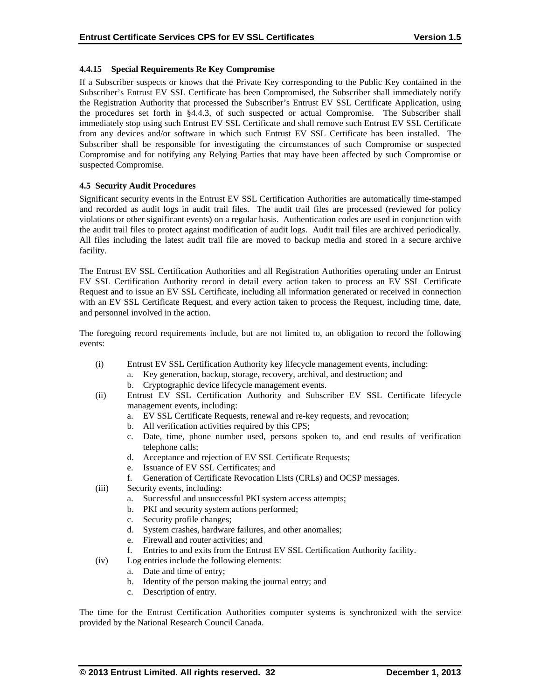# **4.4.15 Special Requirements Re Key Compromise**

If a Subscriber suspects or knows that the Private Key corresponding to the Public Key contained in the Subscriber's Entrust EV SSL Certificate has been Compromised, the Subscriber shall immediately notify the Registration Authority that processed the Subscriber's Entrust EV SSL Certificate Application, using the procedures set forth in §4.4.3, of such suspected or actual Compromise. The Subscriber shall immediately stop using such Entrust EV SSL Certificate and shall remove such Entrust EV SSL Certificate from any devices and/or software in which such Entrust EV SSL Certificate has been installed. The Subscriber shall be responsible for investigating the circumstances of such Compromise or suspected Compromise and for notifying any Relying Parties that may have been affected by such Compromise or suspected Compromise.

# **4.5 Security Audit Procedures**

Significant security events in the Entrust EV SSL Certification Authorities are automatically time-stamped and recorded as audit logs in audit trail files. The audit trail files are processed (reviewed for policy violations or other significant events) on a regular basis. Authentication codes are used in conjunction with the audit trail files to protect against modification of audit logs. Audit trail files are archived periodically. All files including the latest audit trail file are moved to backup media and stored in a secure archive facility.

The Entrust EV SSL Certification Authorities and all Registration Authorities operating under an Entrust EV SSL Certification Authority record in detail every action taken to process an EV SSL Certificate Request and to issue an EV SSL Certificate, including all information generated or received in connection with an EV SSL Certificate Request, and every action taken to process the Request, including time, date, and personnel involved in the action.

The foregoing record requirements include, but are not limited to, an obligation to record the following events:

- (i) Entrust EV SSL Certification Authority key lifecycle management events, including:
	- a. Key generation, backup, storage, recovery, archival, and destruction; and
		- b. Cryptographic device lifecycle management events.
- (ii) Entrust EV SSL Certification Authority and Subscriber EV SSL Certificate lifecycle management events, including:
	- a. EV SSL Certificate Requests, renewal and re-key requests, and revocation;
	- b. All verification activities required by this CPS;
	- c. Date, time, phone number used, persons spoken to, and end results of verification telephone calls;
	- d. Acceptance and rejection of EV SSL Certificate Requests;
	- e. Issuance of EV SSL Certificates; and
	- f. Generation of Certificate Revocation Lists (CRLs) and OCSP messages.
- (iii) Security events, including:
	- a. Successful and unsuccessful PKI system access attempts;
	- b. PKI and security system actions performed;
	- c. Security profile changes;
	- d. System crashes, hardware failures, and other anomalies;
	- e. Firewall and router activities; and
	- f. Entries to and exits from the Entrust EV SSL Certification Authority facility.
- (iv) Log entries include the following elements:
	- a. Date and time of entry;
	- b. Identity of the person making the journal entry; and
	- c. Description of entry.

The time for the Entrust Certification Authorities computer systems is synchronized with the service provided by the National Research Council Canada.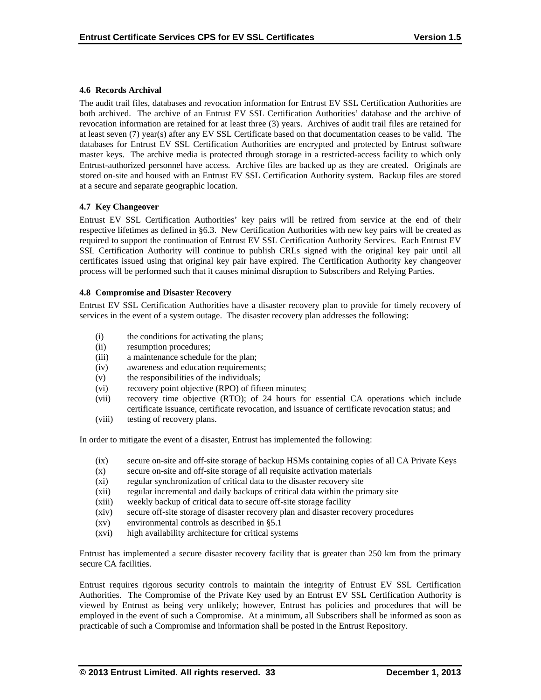# **4.6 Records Archival**

The audit trail files, databases and revocation information for Entrust EV SSL Certification Authorities are both archived. The archive of an Entrust EV SSL Certification Authorities' database and the archive of revocation information are retained for at least three (3) years. Archives of audit trail files are retained for at least seven (7) year(s) after any EV SSL Certificate based on that documentation ceases to be valid. The databases for Entrust EV SSL Certification Authorities are encrypted and protected by Entrust software master keys. The archive media is protected through storage in a restricted-access facility to which only Entrust-authorized personnel have access. Archive files are backed up as they are created. Originals are stored on-site and housed with an Entrust EV SSL Certification Authority system. Backup files are stored at a secure and separate geographic location.

# **4.7 Key Changeover**

Entrust EV SSL Certification Authorities' key pairs will be retired from service at the end of their respective lifetimes as defined in §6.3. New Certification Authorities with new key pairs will be created as required to support the continuation of Entrust EV SSL Certification Authority Services. Each Entrust EV SSL Certification Authority will continue to publish CRLs signed with the original key pair until all certificates issued using that original key pair have expired. The Certification Authority key changeover process will be performed such that it causes minimal disruption to Subscribers and Relying Parties.

#### **4.8 Compromise and Disaster Recovery**

Entrust EV SSL Certification Authorities have a disaster recovery plan to provide for timely recovery of services in the event of a system outage. The disaster recovery plan addresses the following:

- (i) the conditions for activating the plans;
- (ii) resumption procedures;
- (iii) a maintenance schedule for the plan;
- (iv) awareness and education requirements;
- (v) the responsibilities of the individuals;
- (vi) recovery point objective (RPO) of fifteen minutes;
- (vii) recovery time objective (RTO); of 24 hours for essential CA operations which include certificate issuance, certificate revocation, and issuance of certificate revocation status; and
- (viii) testing of recovery plans.

In order to mitigate the event of a disaster, Entrust has implemented the following:

- (ix) secure on-site and off-site storage of backup HSMs containing copies of all CA Private Keys
- (x) secure on-site and off-site storage of all requisite activation materials
- (xi) regular synchronization of critical data to the disaster recovery site
- (xii) regular incremental and daily backups of critical data within the primary site
- (xiii) weekly backup of critical data to secure off-site storage facility
- (xiv) secure off-site storage of disaster recovery plan and disaster recovery procedures
- (xv) environmental controls as described in §5.1
- (xvi) high availability architecture for critical systems

Entrust has implemented a secure disaster recovery facility that is greater than 250 km from the primary secure CA facilities.

Entrust requires rigorous security controls to maintain the integrity of Entrust EV SSL Certification Authorities. The Compromise of the Private Key used by an Entrust EV SSL Certification Authority is viewed by Entrust as being very unlikely; however, Entrust has policies and procedures that will be employed in the event of such a Compromise. At a minimum, all Subscribers shall be informed as soon as practicable of such a Compromise and information shall be posted in the Entrust Repository.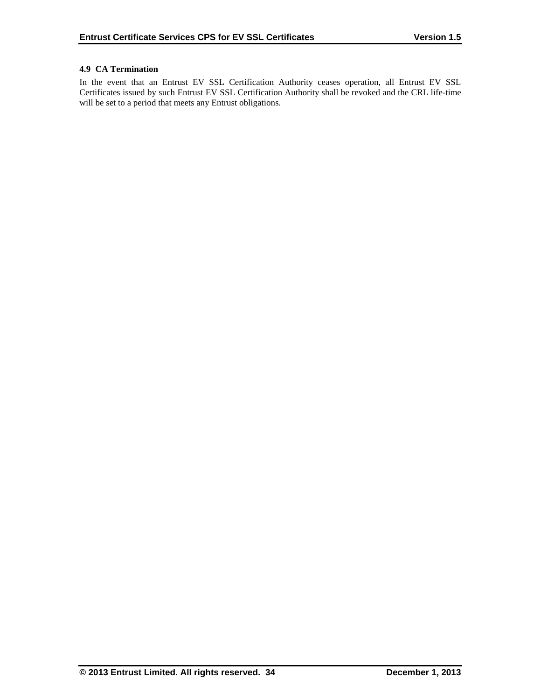# **4.9 CA Termination**

In the event that an Entrust EV SSL Certification Authority ceases operation, all Entrust EV SSL Certificates issued by such Entrust EV SSL Certification Authority shall be revoked and the CRL life-time will be set to a period that meets any Entrust obligations.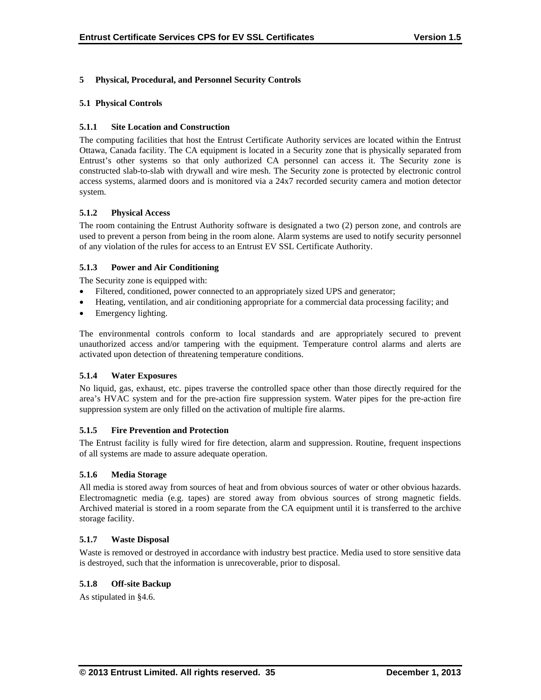# **5 Physical, Procedural, and Personnel Security Controls**

# **5.1 Physical Controls**

# **5.1.1 Site Location and Construction**

The computing facilities that host the Entrust Certificate Authority services are located within the Entrust Ottawa, Canada facility. The CA equipment is located in a Security zone that is physically separated from Entrust's other systems so that only authorized CA personnel can access it. The Security zone is constructed slab-to-slab with drywall and wire mesh. The Security zone is protected by electronic control access systems, alarmed doors and is monitored via a 24x7 recorded security camera and motion detector system.

# **5.1.2 Physical Access**

The room containing the Entrust Authority software is designated a two (2) person zone, and controls are used to prevent a person from being in the room alone. Alarm systems are used to notify security personnel of any violation of the rules for access to an Entrust EV SSL Certificate Authority.

# **5.1.3 Power and Air Conditioning**

The Security zone is equipped with:

- Filtered, conditioned, power connected to an appropriately sized UPS and generator;
- Heating, ventilation, and air conditioning appropriate for a commercial data processing facility; and
- Emergency lighting.

The environmental controls conform to local standards and are appropriately secured to prevent unauthorized access and/or tampering with the equipment. Temperature control alarms and alerts are activated upon detection of threatening temperature conditions.

#### **5.1.4 Water Exposures**

No liquid, gas, exhaust, etc. pipes traverse the controlled space other than those directly required for the area's HVAC system and for the pre-action fire suppression system. Water pipes for the pre-action fire suppression system are only filled on the activation of multiple fire alarms.

#### **5.1.5 Fire Prevention and Protection**

The Entrust facility is fully wired for fire detection, alarm and suppression. Routine, frequent inspections of all systems are made to assure adequate operation.

#### **5.1.6 Media Storage**

All media is stored away from sources of heat and from obvious sources of water or other obvious hazards. Electromagnetic media (e.g. tapes) are stored away from obvious sources of strong magnetic fields. Archived material is stored in a room separate from the CA equipment until it is transferred to the archive storage facility.

#### **5.1.7 Waste Disposal**

Waste is removed or destroyed in accordance with industry best practice. Media used to store sensitive data is destroyed, such that the information is unrecoverable, prior to disposal.

# **5.1.8 Off-site Backup**

As stipulated in §4.6.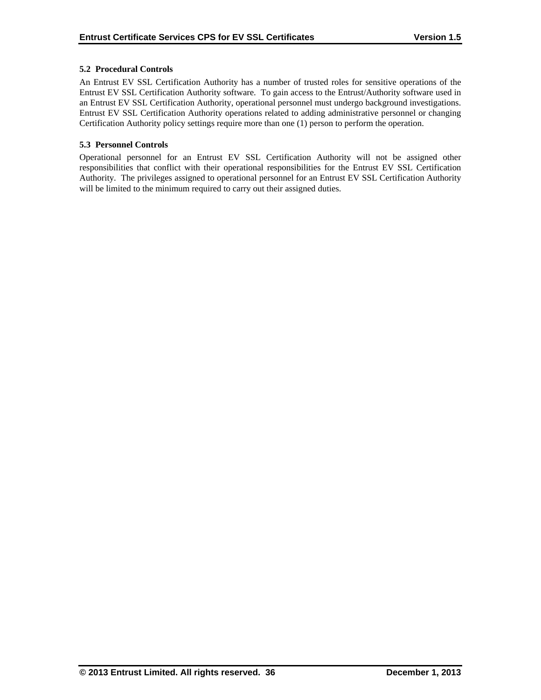# **5.2 Procedural Controls**

An Entrust EV SSL Certification Authority has a number of trusted roles for sensitive operations of the Entrust EV SSL Certification Authority software. To gain access to the Entrust/Authority software used in an Entrust EV SSL Certification Authority, operational personnel must undergo background investigations. Entrust EV SSL Certification Authority operations related to adding administrative personnel or changing Certification Authority policy settings require more than one (1) person to perform the operation.

# **5.3 Personnel Controls**

Operational personnel for an Entrust EV SSL Certification Authority will not be assigned other responsibilities that conflict with their operational responsibilities for the Entrust EV SSL Certification Authority. The privileges assigned to operational personnel for an Entrust EV SSL Certification Authority will be limited to the minimum required to carry out their assigned duties.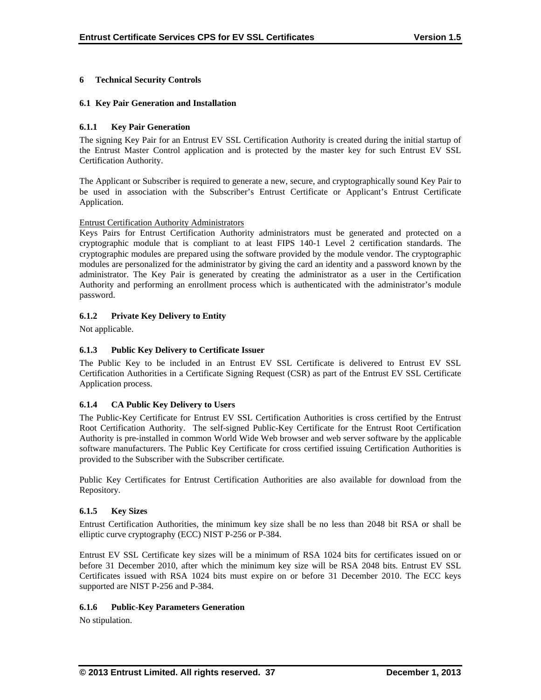# **6 Technical Security Controls**

## **6.1 Key Pair Generation and Installation**

## **6.1.1 Key Pair Generation**

The signing Key Pair for an Entrust EV SSL Certification Authority is created during the initial startup of the Entrust Master Control application and is protected by the master key for such Entrust EV SSL Certification Authority.

The Applicant or Subscriber is required to generate a new, secure, and cryptographically sound Key Pair to be used in association with the Subscriber's Entrust Certificate or Applicant's Entrust Certificate Application.

#### Entrust Certification Authority Administrators

Keys Pairs for Entrust Certification Authority administrators must be generated and protected on a cryptographic module that is compliant to at least FIPS 140-1 Level 2 certification standards. The cryptographic modules are prepared using the software provided by the module vendor. The cryptographic modules are personalized for the administrator by giving the card an identity and a password known by the administrator. The Key Pair is generated by creating the administrator as a user in the Certification Authority and performing an enrollment process which is authenticated with the administrator's module password.

# **6.1.2 Private Key Delivery to Entity**

Not applicable.

## **6.1.3 Public Key Delivery to Certificate Issuer**

The Public Key to be included in an Entrust EV SSL Certificate is delivered to Entrust EV SSL Certification Authorities in a Certificate Signing Request (CSR) as part of the Entrust EV SSL Certificate Application process.

#### **6.1.4 CA Public Key Delivery to Users**

The Public-Key Certificate for Entrust EV SSL Certification Authorities is cross certified by the Entrust Root Certification Authority. The self-signed Public-Key Certificate for the Entrust Root Certification Authority is pre-installed in common World Wide Web browser and web server software by the applicable software manufacturers. The Public Key Certificate for cross certified issuing Certification Authorities is provided to the Subscriber with the Subscriber certificate.

Public Key Certificates for Entrust Certification Authorities are also available for download from the Repository.

#### **6.1.5 Key Sizes**

Entrust Certification Authorities, the minimum key size shall be no less than 2048 bit RSA or shall be elliptic curve cryptography (ECC) NIST P-256 or P-384.

Entrust EV SSL Certificate key sizes will be a minimum of RSA 1024 bits for certificates issued on or before 31 December 2010, after which the minimum key size will be RSA 2048 bits. Entrust EV SSL Certificates issued with RSA 1024 bits must expire on or before 31 December 2010. The ECC keys supported are NIST P-256 and P-384.

# **6.1.6 Public-Key Parameters Generation**

No stipulation.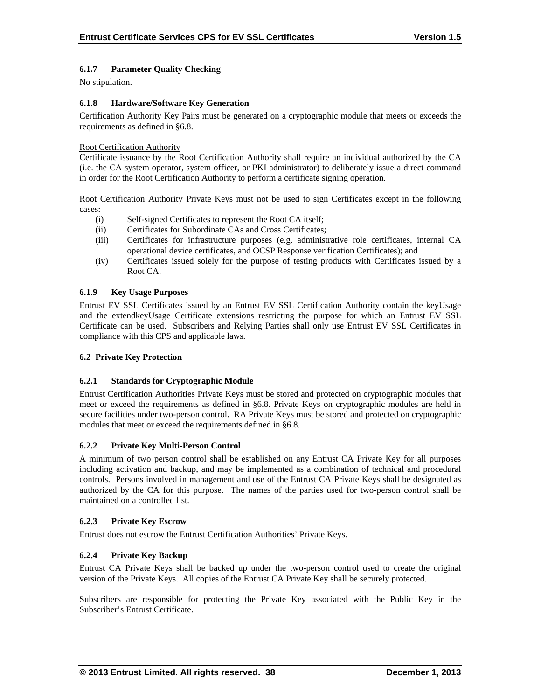# **6.1.7 Parameter Quality Checking**

No stipulation.

# **6.1.8 Hardware/Software Key Generation**

Certification Authority Key Pairs must be generated on a cryptographic module that meets or exceeds the requirements as defined in §6.8.

## Root Certification Authority

Certificate issuance by the Root Certification Authority shall require an individual authorized by the CA (i.e. the CA system operator, system officer, or PKI administrator) to deliberately issue a direct command in order for the Root Certification Authority to perform a certificate signing operation.

Root Certification Authority Private Keys must not be used to sign Certificates except in the following cases:

- (i) Self-signed Certificates to represent the Root CA itself;
- (ii) Certificates for Subordinate CAs and Cross Certificates;
- (iii) Certificates for infrastructure purposes (e.g. administrative role certificates, internal CA operational device certificates, and OCSP Response verification Certificates); and
- (iv) Certificates issued solely for the purpose of testing products with Certificates issued by a Root CA.

# **6.1.9 Key Usage Purposes**

Entrust EV SSL Certificates issued by an Entrust EV SSL Certification Authority contain the keyUsage and the extendkeyUsage Certificate extensions restricting the purpose for which an Entrust EV SSL Certificate can be used. Subscribers and Relying Parties shall only use Entrust EV SSL Certificates in compliance with this CPS and applicable laws.

# **6.2 Private Key Protection**

#### **6.2.1 Standards for Cryptographic Module**

Entrust Certification Authorities Private Keys must be stored and protected on cryptographic modules that meet or exceed the requirements as defined in §6.8. Private Keys on cryptographic modules are held in secure facilities under two-person control. RA Private Keys must be stored and protected on cryptographic modules that meet or exceed the requirements defined in §6.8.

#### **6.2.2 Private Key Multi-Person Control**

A minimum of two person control shall be established on any Entrust CA Private Key for all purposes including activation and backup, and may be implemented as a combination of technical and procedural controls. Persons involved in management and use of the Entrust CA Private Keys shall be designated as authorized by the CA for this purpose. The names of the parties used for two-person control shall be maintained on a controlled list.

#### **6.2.3 Private Key Escrow**

Entrust does not escrow the Entrust Certification Authorities' Private Keys.

# **6.2.4 Private Key Backup**

Entrust CA Private Keys shall be backed up under the two-person control used to create the original version of the Private Keys. All copies of the Entrust CA Private Key shall be securely protected.

Subscribers are responsible for protecting the Private Key associated with the Public Key in the Subscriber's Entrust Certificate.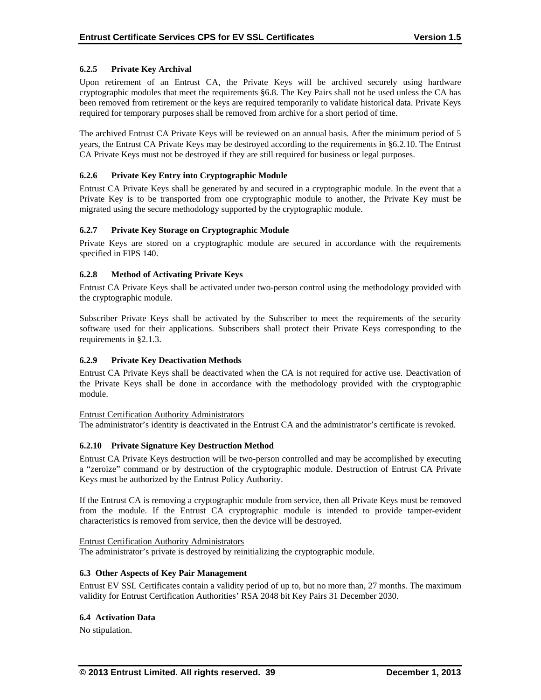# **6.2.5 Private Key Archival**

Upon retirement of an Entrust CA, the Private Keys will be archived securely using hardware cryptographic modules that meet the requirements §6.8. The Key Pairs shall not be used unless the CA has been removed from retirement or the keys are required temporarily to validate historical data. Private Keys required for temporary purposes shall be removed from archive for a short period of time.

The archived Entrust CA Private Keys will be reviewed on an annual basis. After the minimum period of 5 years, the Entrust CA Private Keys may be destroyed according to the requirements in §6.2.10. The Entrust CA Private Keys must not be destroyed if they are still required for business or legal purposes.

# **6.2.6 Private Key Entry into Cryptographic Module**

Entrust CA Private Keys shall be generated by and secured in a cryptographic module. In the event that a Private Key is to be transported from one cryptographic module to another, the Private Key must be migrated using the secure methodology supported by the cryptographic module.

# **6.2.7 Private Key Storage on Cryptographic Module**

Private Keys are stored on a cryptographic module are secured in accordance with the requirements specified in FIPS 140.

# **6.2.8 Method of Activating Private Keys**

Entrust CA Private Keys shall be activated under two-person control using the methodology provided with the cryptographic module.

Subscriber Private Keys shall be activated by the Subscriber to meet the requirements of the security software used for their applications. Subscribers shall protect their Private Keys corresponding to the requirements in §2.1.3.

#### **6.2.9 Private Key Deactivation Methods**

Entrust CA Private Keys shall be deactivated when the CA is not required for active use. Deactivation of the Private Keys shall be done in accordance with the methodology provided with the cryptographic module.

#### Entrust Certification Authority Administrators

The administrator's identity is deactivated in the Entrust CA and the administrator's certificate is revoked.

#### **6.2.10 Private Signature Key Destruction Method**

Entrust CA Private Keys destruction will be two-person controlled and may be accomplished by executing a "zeroize" command or by destruction of the cryptographic module. Destruction of Entrust CA Private Keys must be authorized by the Entrust Policy Authority.

If the Entrust CA is removing a cryptographic module from service, then all Private Keys must be removed from the module. If the Entrust CA cryptographic module is intended to provide tamper-evident characteristics is removed from service, then the device will be destroyed.

#### Entrust Certification Authority Administrators

The administrator's private is destroyed by reinitializing the cryptographic module.

#### **6.3 Other Aspects of Key Pair Management**

Entrust EV SSL Certificates contain a validity period of up to, but no more than, 27 months. The maximum validity for Entrust Certification Authorities' RSA 2048 bit Key Pairs 31 December 2030.

#### **6.4 Activation Data**

No stipulation.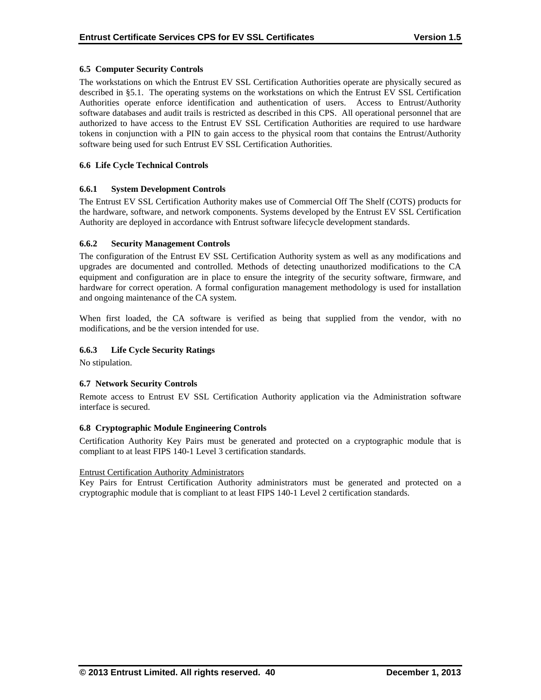# **6.5 Computer Security Controls**

The workstations on which the Entrust EV SSL Certification Authorities operate are physically secured as described in §5.1. The operating systems on the workstations on which the Entrust EV SSL Certification Authorities operate enforce identification and authentication of users. Access to Entrust/Authority software databases and audit trails is restricted as described in this CPS. All operational personnel that are authorized to have access to the Entrust EV SSL Certification Authorities are required to use hardware tokens in conjunction with a PIN to gain access to the physical room that contains the Entrust/Authority software being used for such Entrust EV SSL Certification Authorities.

# **6.6 Life Cycle Technical Controls**

# **6.6.1 System Development Controls**

The Entrust EV SSL Certification Authority makes use of Commercial Off The Shelf (COTS) products for the hardware, software, and network components. Systems developed by the Entrust EV SSL Certification Authority are deployed in accordance with Entrust software lifecycle development standards.

# **6.6.2 Security Management Controls**

The configuration of the Entrust EV SSL Certification Authority system as well as any modifications and upgrades are documented and controlled. Methods of detecting unauthorized modifications to the CA equipment and configuration are in place to ensure the integrity of the security software, firmware, and hardware for correct operation. A formal configuration management methodology is used for installation and ongoing maintenance of the CA system.

When first loaded, the CA software is verified as being that supplied from the vendor, with no modifications, and be the version intended for use.

# **6.6.3 Life Cycle Security Ratings**

No stipulation.

#### **6.7 Network Security Controls**

Remote access to Entrust EV SSL Certification Authority application via the Administration software interface is secured.

#### **6.8 Cryptographic Module Engineering Controls**

Certification Authority Key Pairs must be generated and protected on a cryptographic module that is compliant to at least FIPS 140-1 Level 3 certification standards.

#### Entrust Certification Authority Administrators

Key Pairs for Entrust Certification Authority administrators must be generated and protected on a cryptographic module that is compliant to at least FIPS 140-1 Level 2 certification standards.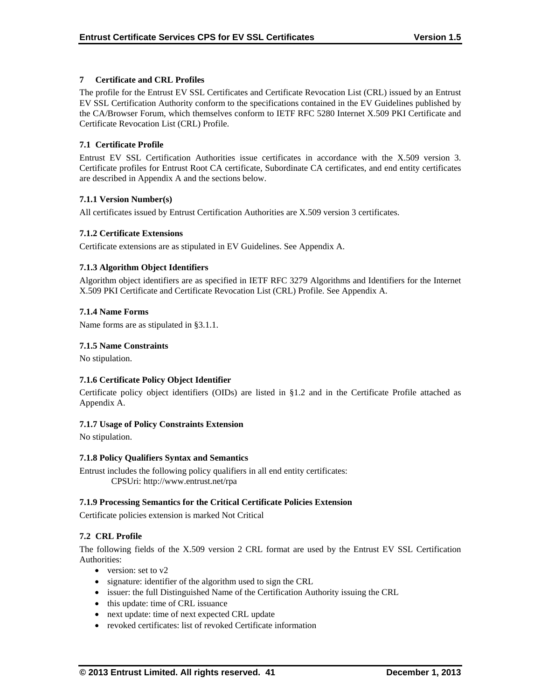# **7 Certificate and CRL Profiles**

The profile for the Entrust EV SSL Certificates and Certificate Revocation List (CRL) issued by an Entrust EV SSL Certification Authority conform to the specifications contained in the EV Guidelines published by the CA/Browser Forum, which themselves conform to IETF RFC 5280 Internet X.509 PKI Certificate and Certificate Revocation List (CRL) Profile.

# **7.1 Certificate Profile**

Entrust EV SSL Certification Authorities issue certificates in accordance with the X.509 version 3. Certificate profiles for Entrust Root CA certificate, Subordinate CA certificates, and end entity certificates are described in Appendix A and the sections below.

# **7.1.1 Version Number(s)**

All certificates issued by Entrust Certification Authorities are X.509 version 3 certificates.

# **7.1.2 Certificate Extensions**

Certificate extensions are as stipulated in EV Guidelines. See Appendix A.

# **7.1.3 Algorithm Object Identifiers**

Algorithm object identifiers are as specified in IETF RFC 3279 Algorithms and Identifiers for the Internet X.509 PKI Certificate and Certificate Revocation List (CRL) Profile. See Appendix A.

# **7.1.4 Name Forms**

Name forms are as stipulated in §3.1.1.

## **7.1.5 Name Constraints**

No stipulation.

# **7.1.6 Certificate Policy Object Identifier**

Certificate policy object identifiers (OIDs) are listed in §1.2 and in the Certificate Profile attached as Appendix A.

#### **7.1.7 Usage of Policy Constraints Extension**

No stipulation.

#### **7.1.8 Policy Qualifiers Syntax and Semantics**

Entrust includes the following policy qualifiers in all end entity certificates: CPSUri: http://www.entrust.net/rpa

#### **7.1.9 Processing Semantics for the Critical Certificate Policies Extension**

Certificate policies extension is marked Not Critical

# **7.2 CRL Profile**

The following fields of the X.509 version 2 CRL format are used by the Entrust EV SSL Certification Authorities:

- version: set to  $v2$
- signature: identifier of the algorithm used to sign the CRL
- issuer: the full Distinguished Name of the Certification Authority issuing the CRL
- this update: time of CRL issuance
- next update: time of next expected CRL update
- revoked certificates: list of revoked Certificate information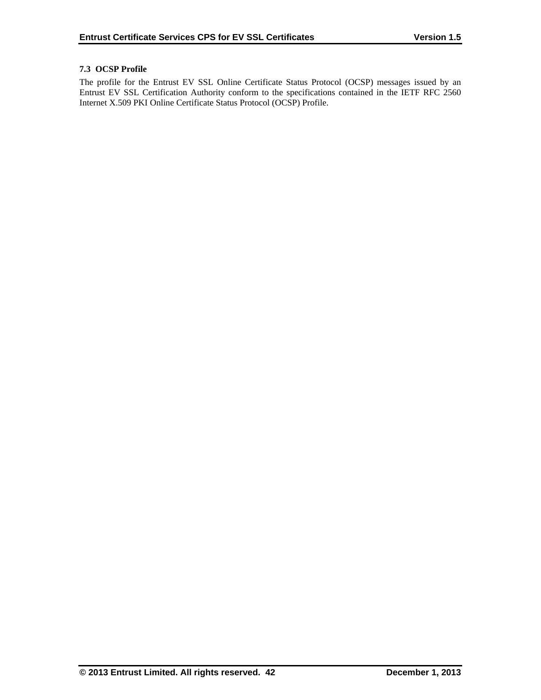# **7.3 OCSP Profile**

The profile for the Entrust EV SSL Online Certificate Status Protocol (OCSP) messages issued by an Entrust EV SSL Certification Authority conform to the specifications contained in the IETF RFC 2560 Internet X.509 PKI Online Certificate Status Protocol (OCSP) Profile.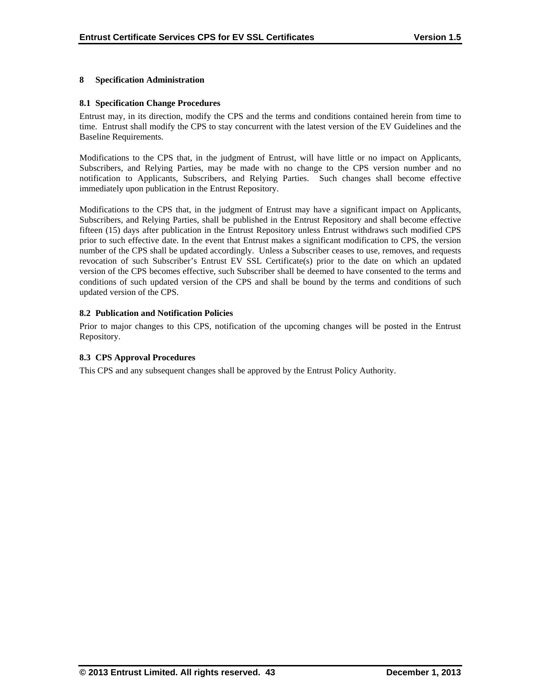# **8 Specification Administration**

## **8.1 Specification Change Procedures**

Entrust may, in its direction, modify the CPS and the terms and conditions contained herein from time to time. Entrust shall modify the CPS to stay concurrent with the latest version of the EV Guidelines and the Baseline Requirements.

Modifications to the CPS that, in the judgment of Entrust, will have little or no impact on Applicants, Subscribers, and Relying Parties, may be made with no change to the CPS version number and no notification to Applicants, Subscribers, and Relying Parties. Such changes shall become effective immediately upon publication in the Entrust Repository.

Modifications to the CPS that, in the judgment of Entrust may have a significant impact on Applicants, Subscribers, and Relying Parties, shall be published in the Entrust Repository and shall become effective fifteen (15) days after publication in the Entrust Repository unless Entrust withdraws such modified CPS prior to such effective date. In the event that Entrust makes a significant modification to CPS, the version number of the CPS shall be updated accordingly. Unless a Subscriber ceases to use, removes, and requests revocation of such Subscriber's Entrust EV SSL Certificate(s) prior to the date on which an updated version of the CPS becomes effective, such Subscriber shall be deemed to have consented to the terms and conditions of such updated version of the CPS and shall be bound by the terms and conditions of such updated version of the CPS.

# **8.2 Publication and Notification Policies**

Prior to major changes to this CPS, notification of the upcoming changes will be posted in the Entrust Repository.

# **8.3 CPS Approval Procedures**

This CPS and any subsequent changes shall be approved by the Entrust Policy Authority.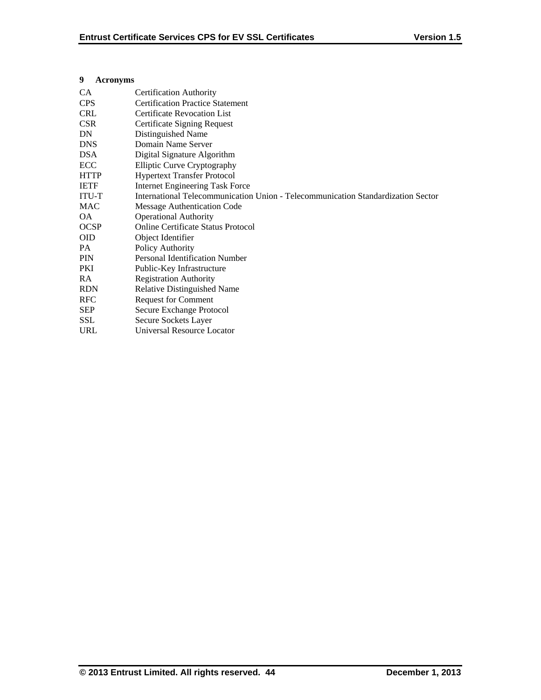# **9 Acronyms**

| CA           | <b>Certification Authority</b>                                                   |
|--------------|----------------------------------------------------------------------------------|
| <b>CPS</b>   | <b>Certification Practice Statement</b>                                          |
| <b>CRL</b>   | <b>Certificate Revocation List</b>                                               |
| <b>CSR</b>   | Certificate Signing Request                                                      |
| DN.          | Distinguished Name                                                               |
| <b>DNS</b>   | Domain Name Server                                                               |
| <b>DSA</b>   | Digital Signature Algorithm                                                      |
| ECC          | Elliptic Curve Cryptography                                                      |
| <b>HTTP</b>  | Hypertext Transfer Protocol                                                      |
| <b>IETF</b>  | <b>Internet Engineering Task Force</b>                                           |
| <b>ITU-T</b> | International Telecommunication Union - Telecommunication Standardization Sector |
| <b>MAC</b>   | Message Authentication Code                                                      |
| OA.          | <b>Operational Authority</b>                                                     |
| <b>OCSP</b>  | <b>Online Certificate Status Protocol</b>                                        |
| <b>OID</b>   | Object Identifier                                                                |
| PA.          | Policy Authority                                                                 |
| <b>PIN</b>   | <b>Personal Identification Number</b>                                            |
| <b>PKI</b>   | Public-Key Infrastructure                                                        |
| <b>RA</b>    | <b>Registration Authority</b>                                                    |
| <b>RDN</b>   | <b>Relative Distinguished Name</b>                                               |
| <b>RFC</b>   | <b>Request for Comment</b>                                                       |
| <b>SEP</b>   | Secure Exchange Protocol                                                         |
| <b>SSL</b>   | Secure Sockets Layer                                                             |
| <b>URL</b>   | <b>Universal Resource Locator</b>                                                |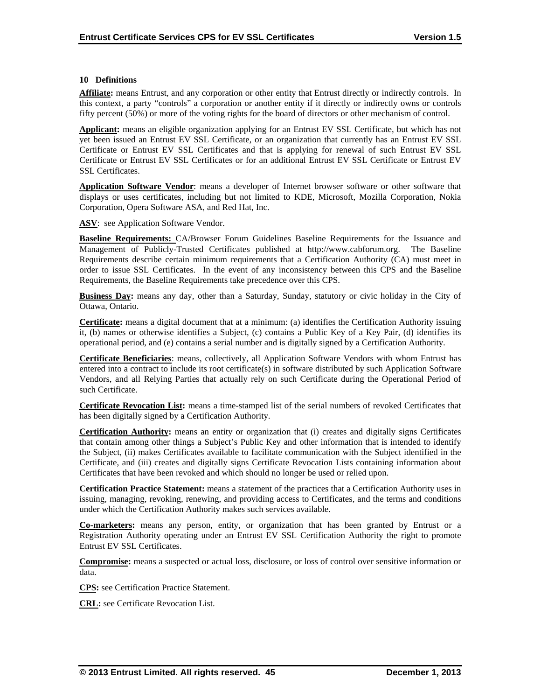# **10 Definitions**

**Affiliate:** means Entrust, and any corporation or other entity that Entrust directly or indirectly controls. In this context, a party "controls" a corporation or another entity if it directly or indirectly owns or controls fifty percent (50%) or more of the voting rights for the board of directors or other mechanism of control.

**Applicant:** means an eligible organization applying for an Entrust EV SSL Certificate, but which has not yet been issued an Entrust EV SSL Certificate, or an organization that currently has an Entrust EV SSL Certificate or Entrust EV SSL Certificates and that is applying for renewal of such Entrust EV SSL Certificate or Entrust EV SSL Certificates or for an additional Entrust EV SSL Certificate or Entrust EV SSL Certificates.

**Application Software Vendor**: means a developer of Internet browser software or other software that displays or uses certificates, including but not limited to KDE, Microsoft, Mozilla Corporation, Nokia Corporation, Opera Software ASA, and Red Hat, Inc.

ASV: see Application Software Vendor.

**Baseline Requirements:** CA/Browser Forum Guidelines Baseline Requirements for the Issuance and Management of Publicly-Trusted Certificates published at http://www.cabforum.org. The Baseline Requirements describe certain minimum requirements that a Certification Authority (CA) must meet in order to issue SSL Certificates. In the event of any inconsistency between this CPS and the Baseline Requirements, the Baseline Requirements take precedence over this CPS.

**Business Day:** means any day, other than a Saturday, Sunday, statutory or civic holiday in the City of Ottawa, Ontario.

**Certificate:** means a digital document that at a minimum: (a) identifies the Certification Authority issuing it, (b) names or otherwise identifies a Subject, (c) contains a Public Key of a Key Pair, (d) identifies its operational period, and (e) contains a serial number and is digitally signed by a Certification Authority.

**Certificate Beneficiaries**: means, collectively, all Application Software Vendors with whom Entrust has entered into a contract to include its root certificate(s) in software distributed by such Application Software Vendors, and all Relying Parties that actually rely on such Certificate during the Operational Period of such Certificate.

**Certificate Revocation List:** means a time-stamped list of the serial numbers of revoked Certificates that has been digitally signed by a Certification Authority.

**Certification Authority:** means an entity or organization that (i) creates and digitally signs Certificates that contain among other things a Subject's Public Key and other information that is intended to identify the Subject, (ii) makes Certificates available to facilitate communication with the Subject identified in the Certificate, and (iii) creates and digitally signs Certificate Revocation Lists containing information about Certificates that have been revoked and which should no longer be used or relied upon.

**Certification Practice Statement:** means a statement of the practices that a Certification Authority uses in issuing, managing, revoking, renewing, and providing access to Certificates, and the terms and conditions under which the Certification Authority makes such services available.

**Co-marketers:** means any person, entity, or organization that has been granted by Entrust or a Registration Authority operating under an Entrust EV SSL Certification Authority the right to promote Entrust EV SSL Certificates.

**Compromise:** means a suspected or actual loss, disclosure, or loss of control over sensitive information or data.

**CPS:** see Certification Practice Statement.

**CRL:** see Certificate Revocation List.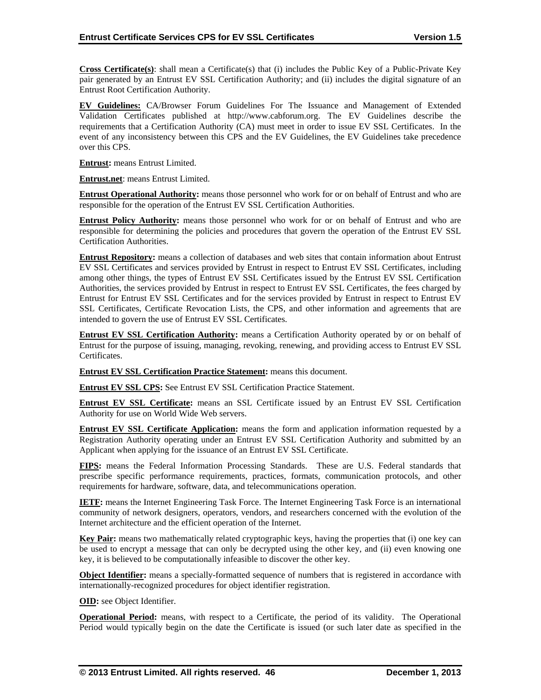**Cross Certificate(s)**: shall mean a Certificate(s) that (i) includes the Public Key of a Public-Private Key pair generated by an Entrust EV SSL Certification Authority; and (ii) includes the digital signature of an Entrust Root Certification Authority.

**EV Guidelines:** CA/Browser Forum Guidelines For The Issuance and Management of Extended Validation Certificates published at http://www.cabforum.org. The EV Guidelines describe the requirements that a Certification Authority (CA) must meet in order to issue EV SSL Certificates. In the event of any inconsistency between this CPS and the EV Guidelines, the EV Guidelines take precedence over this CPS.

**Entrust:** means Entrust Limited.

**Entrust.net**: means Entrust Limited.

**Entrust Operational Authority:** means those personnel who work for or on behalf of Entrust and who are responsible for the operation of the Entrust EV SSL Certification Authorities.

**Entrust Policy Authority:** means those personnel who work for or on behalf of Entrust and who are responsible for determining the policies and procedures that govern the operation of the Entrust EV SSL Certification Authorities.

**Entrust Repository:** means a collection of databases and web sites that contain information about Entrust EV SSL Certificates and services provided by Entrust in respect to Entrust EV SSL Certificates, including among other things, the types of Entrust EV SSL Certificates issued by the Entrust EV SSL Certification Authorities, the services provided by Entrust in respect to Entrust EV SSL Certificates, the fees charged by Entrust for Entrust EV SSL Certificates and for the services provided by Entrust in respect to Entrust EV SSL Certificates, Certificate Revocation Lists, the CPS, and other information and agreements that are intended to govern the use of Entrust EV SSL Certificates.

**Entrust EV SSL Certification Authority:** means a Certification Authority operated by or on behalf of Entrust for the purpose of issuing, managing, revoking, renewing, and providing access to Entrust EV SSL Certificates.

**Entrust EV SSL Certification Practice Statement:** means this document.

**Entrust EV SSL CPS:** See Entrust EV SSL Certification Practice Statement.

**Entrust EV SSL Certificate:** means an SSL Certificate issued by an Entrust EV SSL Certification Authority for use on World Wide Web servers.

**Entrust EV SSL Certificate Application:** means the form and application information requested by a Registration Authority operating under an Entrust EV SSL Certification Authority and submitted by an Applicant when applying for the issuance of an Entrust EV SSL Certificate.

**FIPS:** means the Federal Information Processing Standards. These are U.S. Federal standards that prescribe specific performance requirements, practices, formats, communication protocols, and other requirements for hardware, software, data, and telecommunications operation.

**IETF:** means the Internet Engineering Task Force. The Internet Engineering Task Force is an international community of network designers, operators, vendors, and researchers concerned with the evolution of the Internet architecture and the efficient operation of the Internet.

**Key Pair:** means two mathematically related cryptographic keys, having the properties that (i) one key can be used to encrypt a message that can only be decrypted using the other key, and (ii) even knowing one key, it is believed to be computationally infeasible to discover the other key.

**Object Identifier:** means a specially-formatted sequence of numbers that is registered in accordance with internationally-recognized procedures for object identifier registration.

**OID:** see Object Identifier.

**Operational Period:** means, with respect to a Certificate, the period of its validity. The Operational Period would typically begin on the date the Certificate is issued (or such later date as specified in the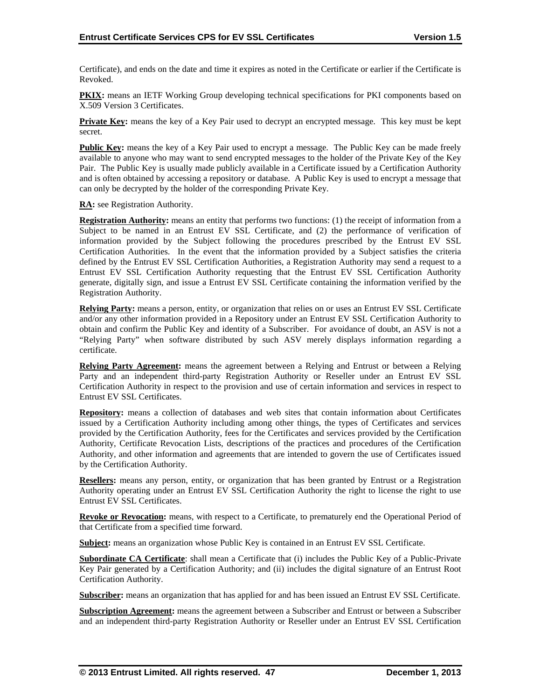Certificate), and ends on the date and time it expires as noted in the Certificate or earlier if the Certificate is Revoked.

**PKIX:** means an IETF Working Group developing technical specifications for PKI components based on X.509 Version 3 Certificates.

**Private Key:** means the key of a Key Pair used to decrypt an encrypted message. This key must be kept secret.

**Public Key:** means the key of a Key Pair used to encrypt a message. The Public Key can be made freely available to anyone who may want to send encrypted messages to the holder of the Private Key of the Key Pair. The Public Key is usually made publicly available in a Certificate issued by a Certification Authority and is often obtained by accessing a repository or database. A Public Key is used to encrypt a message that can only be decrypted by the holder of the corresponding Private Key.

**RA:** see Registration Authority.

**Registration Authority:** means an entity that performs two functions: (1) the receipt of information from a Subject to be named in an Entrust EV SSL Certificate, and (2) the performance of verification of information provided by the Subject following the procedures prescribed by the Entrust EV SSL Certification Authorities. In the event that the information provided by a Subject satisfies the criteria defined by the Entrust EV SSL Certification Authorities, a Registration Authority may send a request to a Entrust EV SSL Certification Authority requesting that the Entrust EV SSL Certification Authority generate, digitally sign, and issue a Entrust EV SSL Certificate containing the information verified by the Registration Authority.

**Relying Party:** means a person, entity, or organization that relies on or uses an Entrust EV SSL Certificate and/or any other information provided in a Repository under an Entrust EV SSL Certification Authority to obtain and confirm the Public Key and identity of a Subscriber. For avoidance of doubt, an ASV is not a "Relying Party" when software distributed by such ASV merely displays information regarding a certificate.

**Relying Party Agreement:** means the agreement between a Relying and Entrust or between a Relying Party and an independent third-party Registration Authority or Reseller under an Entrust EV SSL Certification Authority in respect to the provision and use of certain information and services in respect to Entrust EV SSL Certificates.

**Repository:** means a collection of databases and web sites that contain information about Certificates issued by a Certification Authority including among other things, the types of Certificates and services provided by the Certification Authority, fees for the Certificates and services provided by the Certification Authority, Certificate Revocation Lists, descriptions of the practices and procedures of the Certification Authority, and other information and agreements that are intended to govern the use of Certificates issued by the Certification Authority.

**Resellers:** means any person, entity, or organization that has been granted by Entrust or a Registration Authority operating under an Entrust EV SSL Certification Authority the right to license the right to use Entrust EV SSL Certificates.

**Revoke or Revocation:** means, with respect to a Certificate, to prematurely end the Operational Period of that Certificate from a specified time forward.

**Subject:** means an organization whose Public Key is contained in an Entrust EV SSL Certificate.

**Subordinate CA Certificate**: shall mean a Certificate that (i) includes the Public Key of a Public-Private Key Pair generated by a Certification Authority; and (ii) includes the digital signature of an Entrust Root Certification Authority.

**Subscriber:** means an organization that has applied for and has been issued an Entrust EV SSL Certificate.

**Subscription Agreement:** means the agreement between a Subscriber and Entrust or between a Subscriber and an independent third-party Registration Authority or Reseller under an Entrust EV SSL Certification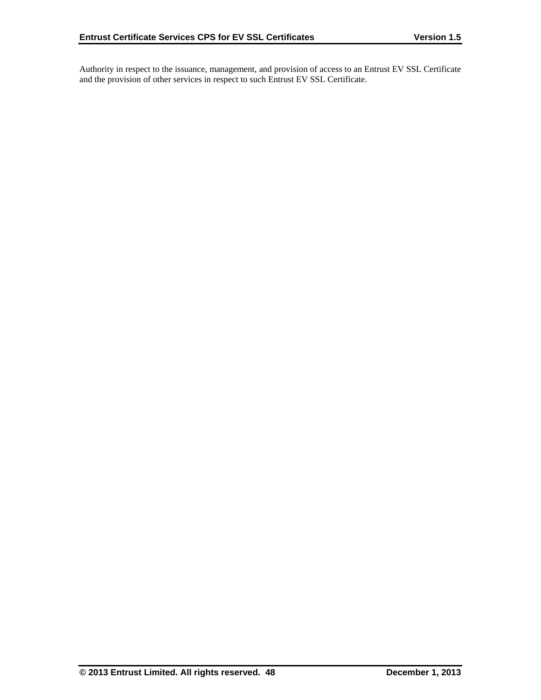Authority in respect to the issuance, management, and provision of access to an Entrust EV SSL Certificate and the provision of other services in respect to such Entrust EV SSL Certificate.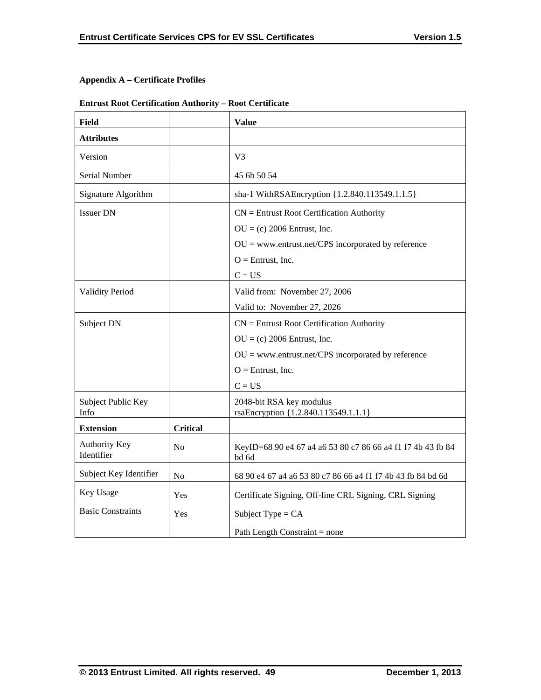# **Appendix A – Certificate Profiles**

# **Entrust Root Certification Authority – Root Certificate**

| Field                              |                 | <b>Value</b>                                                         |
|------------------------------------|-----------------|----------------------------------------------------------------------|
| <b>Attributes</b>                  |                 |                                                                      |
| Version                            |                 | V <sub>3</sub>                                                       |
| Serial Number                      |                 | 45 6b 50 54                                                          |
| Signature Algorithm                |                 | sha-1 WithRSAEncryption {1.2.840.113549.1.1.5}                       |
| <b>Issuer DN</b>                   |                 | $CN =$ Entrust Root Certification Authority                          |
|                                    |                 | $OU = (c) 2006$ Entrust, Inc.                                        |
|                                    |                 | $OU = www.entrust.net/CPS incorporated by reference$                 |
|                                    |                 | $O =$ Entrust, Inc.                                                  |
|                                    |                 | $C = US$                                                             |
| <b>Validity Period</b>             |                 | Valid from: November 27, 2006                                        |
|                                    |                 | Valid to: November 27, 2026                                          |
| Subject DN                         |                 | $CN =$ Entrust Root Certification Authority                          |
|                                    |                 | $OU = (c) 2006$ Entrust, Inc.                                        |
|                                    |                 | $OU = www.entrust.net/CPS incorporated by reference$                 |
|                                    |                 | $O =$ Entrust, Inc.                                                  |
|                                    |                 | $C = US$                                                             |
| Subject Public Key<br>Info         |                 | 2048-bit RSA key modulus<br>rsaEncryption {1.2.840.113549.1.1.1}     |
| <b>Extension</b>                   | <b>Critical</b> |                                                                      |
| <b>Authority Key</b><br>Identifier | N <sub>o</sub>  | KeyID=68 90 e4 67 a4 a6 53 80 c7 86 66 a4 f1 f7 4b 43 fb 84<br>bd 6d |
| Subject Key Identifier             | No              | 68 90 e4 67 a4 a6 53 80 c7 86 66 a4 f1 f7 4b 43 fb 84 bd 6d          |
| Key Usage                          | Yes             | Certificate Signing, Off-line CRL Signing, CRL Signing               |
| <b>Basic Constraints</b>           | Yes             | Subject Type = $CA$                                                  |
|                                    |                 | Path Length Constraint = none                                        |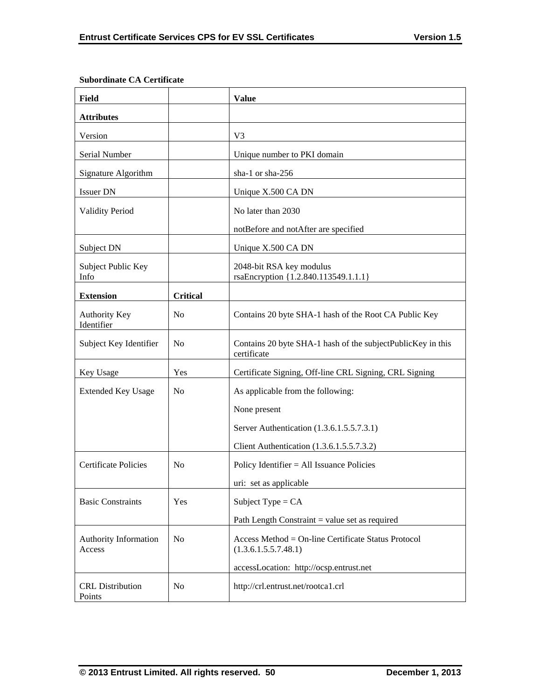| <b>Field</b>                      |                 | <b>Value</b>                                                                |
|-----------------------------------|-----------------|-----------------------------------------------------------------------------|
| <b>Attributes</b>                 |                 |                                                                             |
| Version                           |                 | V <sub>3</sub>                                                              |
| Serial Number                     |                 | Unique number to PKI domain                                                 |
| Signature Algorithm               |                 | sha-1 or sha-256                                                            |
| <b>Issuer DN</b>                  |                 | Unique X.500 CA DN                                                          |
| <b>Validity Period</b>            |                 | No later than 2030                                                          |
|                                   |                 | notBefore and notAfter are specified                                        |
| Subject DN                        |                 | Unique X.500 CA DN                                                          |
| Subject Public Key<br>Info        |                 | 2048-bit RSA key modulus<br>rsaEncryption {1.2.840.113549.1.1.1}            |
| <b>Extension</b>                  | <b>Critical</b> |                                                                             |
| Authority Key<br>Identifier       | N <sub>0</sub>  | Contains 20 byte SHA-1 hash of the Root CA Public Key                       |
| Subject Key Identifier            | N <sub>o</sub>  | Contains 20 byte SHA-1 hash of the subjectPublicKey in this<br>certificate  |
| Key Usage                         | Yes             | Certificate Signing, Off-line CRL Signing, CRL Signing                      |
| <b>Extended Key Usage</b>         | No              | As applicable from the following:                                           |
|                                   |                 | None present                                                                |
|                                   |                 | Server Authentication (1.3.6.1.5.5.7.3.1)                                   |
|                                   |                 | Client Authentication (1.3.6.1.5.5.7.3.2)                                   |
| Certificate Policies              | No              | Policy Identifier $=$ All Issuance Policies                                 |
|                                   |                 | uri: set as applicable                                                      |
| <b>Basic Constraints</b>          | Yes             | Subject Type = $CA$                                                         |
|                                   |                 | Path Length Constraint $=$ value set as required                            |
| Authority Information<br>Access   | N <sub>0</sub>  | Access Method = On-line Certificate Status Protocol<br>(1.3.6.1.5.5.7.48.1) |
|                                   |                 | accessLocation: http://ocsp.entrust.net                                     |
| <b>CRL</b> Distribution<br>Points | N <sub>o</sub>  | http://crl.entrust.net/rootca1.crl                                          |

# **Subordinate CA Certificate**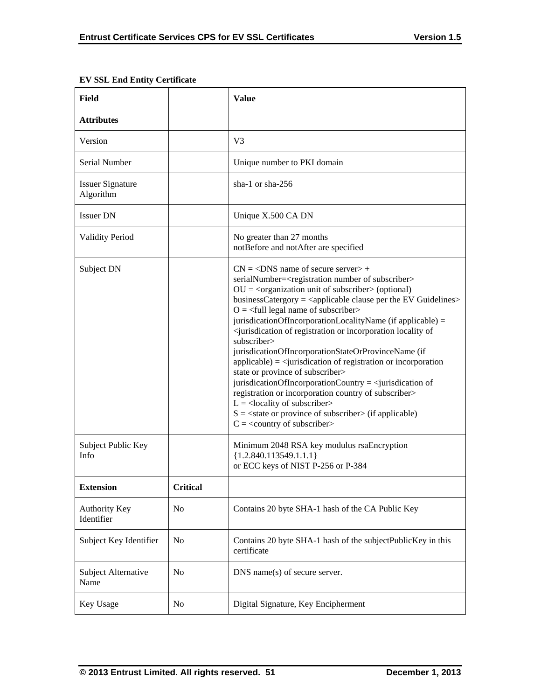| <b>Field</b>                         |                 | <b>Value</b>                                                                                                                                                                                                                                                                                                                                                                                                                                                                                                                                                                                                                                                                                                                                                                                                                                                                                                                                                                                                                                                                                                                  |
|--------------------------------------|-----------------|-------------------------------------------------------------------------------------------------------------------------------------------------------------------------------------------------------------------------------------------------------------------------------------------------------------------------------------------------------------------------------------------------------------------------------------------------------------------------------------------------------------------------------------------------------------------------------------------------------------------------------------------------------------------------------------------------------------------------------------------------------------------------------------------------------------------------------------------------------------------------------------------------------------------------------------------------------------------------------------------------------------------------------------------------------------------------------------------------------------------------------|
| <b>Attributes</b>                    |                 |                                                                                                                                                                                                                                                                                                                                                                                                                                                                                                                                                                                                                                                                                                                                                                                                                                                                                                                                                                                                                                                                                                                               |
| Version                              |                 | V <sub>3</sub>                                                                                                                                                                                                                                                                                                                                                                                                                                                                                                                                                                                                                                                                                                                                                                                                                                                                                                                                                                                                                                                                                                                |
| Serial Number                        |                 | Unique number to PKI domain                                                                                                                                                                                                                                                                                                                                                                                                                                                                                                                                                                                                                                                                                                                                                                                                                                                                                                                                                                                                                                                                                                   |
| <b>Issuer Signature</b><br>Algorithm |                 | sha-1 or sha- $256$                                                                                                                                                                                                                                                                                                                                                                                                                                                                                                                                                                                                                                                                                                                                                                                                                                                                                                                                                                                                                                                                                                           |
| <b>Issuer DN</b>                     |                 | Unique X.500 CA DN                                                                                                                                                                                                                                                                                                                                                                                                                                                                                                                                                                                                                                                                                                                                                                                                                                                                                                                                                                                                                                                                                                            |
| <b>Validity Period</b>               |                 | No greater than 27 months<br>notBefore and notAfter are specified                                                                                                                                                                                                                                                                                                                                                                                                                                                                                                                                                                                                                                                                                                                                                                                                                                                                                                                                                                                                                                                             |
| Subject DN                           |                 | $CN = <$ DNS name of secure server> +<br>serialNumber= <registration number="" of="" subscriber=""><br/><math>OU = corganization unit of subscripter &gt; (optional)</math><br/>businessCatergory = <applicable clause="" ev="" guidelines="" per="" the=""><br/><math>O = \left\langle \text{full legal name of subscripter} \right\rangle</math><br/>jurisdicationOfIncorporationLocalityName (if applicable) =<br/><jurisdication incorporation="" locality="" of="" of<br="" or="" registration="">subscriber&gt;<br/>jurisdicationOfIncorporationStateOrProvinceName (if<br/><math>applicable) = \langle</math><i>jurisdication</i> of registration or incorporation<br/>state or province of subscriber&gt;<br/>jurisdicationOfIncorporationCountry = <math>\le</math>jurisdication of<br/>registration or incorporation country of subscriber&gt;<br/><math>L =</math> <locality of="" subscriber=""><br/><math>S = \text{state}</math> or province of subscriber <math>\text{in}</math> (if applicable)<br/><math>C = \langle</math> country of subscriber&gt;</locality></jurisdication></applicable></registration> |
| Subject Public Key<br>Info           |                 | Minimum 2048 RSA key modulus rsaEncryption<br>${1.2.840.113549.1.1.1}$<br>or ECC keys of NIST P-256 or P-384                                                                                                                                                                                                                                                                                                                                                                                                                                                                                                                                                                                                                                                                                                                                                                                                                                                                                                                                                                                                                  |
| <b>Extension</b>                     | <b>Critical</b> |                                                                                                                                                                                                                                                                                                                                                                                                                                                                                                                                                                                                                                                                                                                                                                                                                                                                                                                                                                                                                                                                                                                               |
| Authority Key<br>Identifier          | No              | Contains 20 byte SHA-1 hash of the CA Public Key                                                                                                                                                                                                                                                                                                                                                                                                                                                                                                                                                                                                                                                                                                                                                                                                                                                                                                                                                                                                                                                                              |
| Subject Key Identifier               | No              | Contains 20 byte SHA-1 hash of the subjectPublicKey in this<br>certificate                                                                                                                                                                                                                                                                                                                                                                                                                                                                                                                                                                                                                                                                                                                                                                                                                                                                                                                                                                                                                                                    |
| Subject Alternative<br>Name          | No              | DNS name(s) of secure server.                                                                                                                                                                                                                                                                                                                                                                                                                                                                                                                                                                                                                                                                                                                                                                                                                                                                                                                                                                                                                                                                                                 |
| Key Usage                            | No              | Digital Signature, Key Encipherment                                                                                                                                                                                                                                                                                                                                                                                                                                                                                                                                                                                                                                                                                                                                                                                                                                                                                                                                                                                                                                                                                           |
|                                      |                 |                                                                                                                                                                                                                                                                                                                                                                                                                                                                                                                                                                                                                                                                                                                                                                                                                                                                                                                                                                                                                                                                                                                               |

# **EV SSL End Entity Certificate**